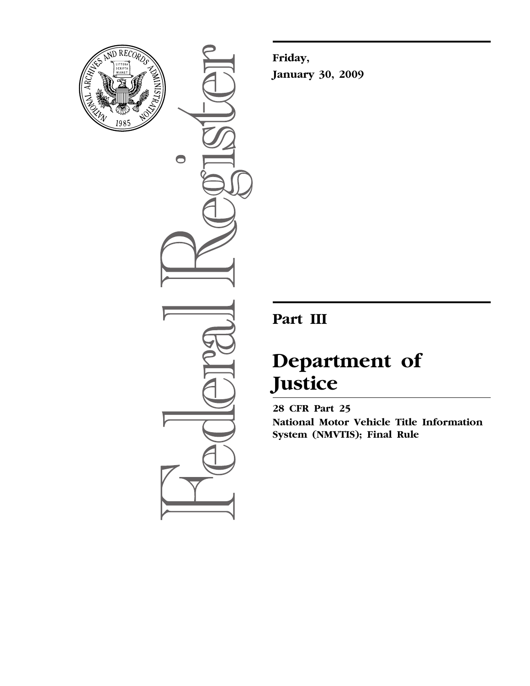

 $\bullet$ 

**Friday, January 30, 2009** 

## **Part III**

# **Department of Justice**

**28 CFR Part 25 National Motor Vehicle Title Information System (NMVTIS); Final Rule**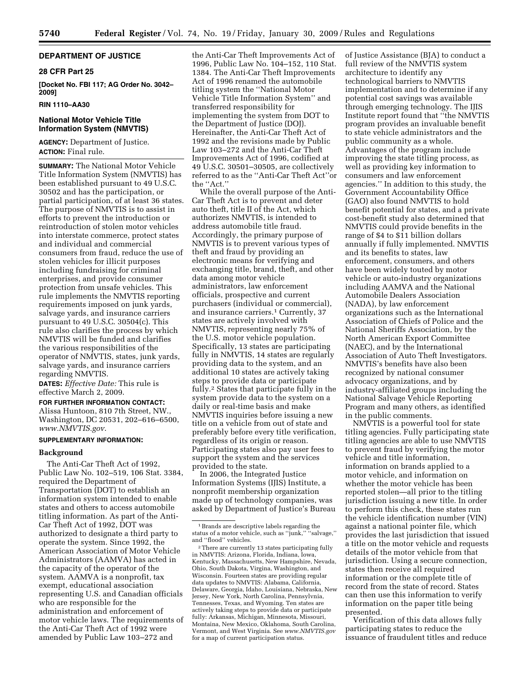## **DEPARTMENT OF JUSTICE**

## **28 CFR Part 25**

**[Docket No. FBI 117; AG Order No. 3042– 2009]** 

## **RIN 1110–AA30**

## **National Motor Vehicle Title Information System (NMVTIS)**

**AGENCY:** Department of Justice. **ACTION:** Final rule.

**SUMMARY:** The National Motor Vehicle Title Information System (NMVTIS) has been established pursuant to 49 U.S.C. 30502 and has the participation, or partial participation, of at least 36 states. The purpose of NMVTIS is to assist in efforts to prevent the introduction or reintroduction of stolen motor vehicles into interstate commerce, protect states and individual and commercial consumers from fraud, reduce the use of stolen vehicles for illicit purposes including fundraising for criminal enterprises, and provide consumer protection from unsafe vehicles. This rule implements the NMVTIS reporting requirements imposed on junk yards, salvage yards, and insurance carriers pursuant to 49 U.S.C. 30504(c). This rule also clarifies the process by which NMVTIS will be funded and clarifies the various responsibilities of the operator of NMVTIS, states, junk yards, salvage yards, and insurance carriers regarding NMVTIS.

**DATES:** *Effective Date:* This rule is effective March 2, 2009.

**FOR FURTHER INFORMATION CONTACT:**  Alissa Huntoon, 810 7th Street, NW., Washington, DC 20531, 202–616–6500, *[www.NMVTIS.gov](http://www.NMVTIS.gov)*.

#### **SUPPLEMENTARY INFORMATION:**

## **Background**

The Anti-Car Theft Act of 1992, Public Law No. 102–519, 106 Stat. 3384, required the Department of Transportation (DOT) to establish an information system intended to enable states and others to access automobile titling information. As part of the Anti-Car Theft Act of 1992, DOT was authorized to designate a third party to operate the system. Since 1992, the American Association of Motor Vehicle Administrators (AAMVA) has acted in the capacity of the operator of the system. AAMVA is a nonprofit, tax exempt, educational association representing U.S. and Canadian officials who are responsible for the administration and enforcement of motor vehicle laws. The requirements of the Anti-Car Theft Act of 1992 were amended by Public Law 103–272 and

the Anti-Car Theft Improvements Act of 1996, Public Law No. 104–152, 110 Stat. 1384. The Anti-Car Theft Improvements Act of 1996 renamed the automobile titling system the ''National Motor Vehicle Title Information System'' and transferred responsibility for implementing the system from DOT to the Department of Justice (DOJ). Hereinafter, the Anti-Car Theft Act of 1992 and the revisions made by Public Law 103–272 and the Anti-Car Theft Improvements Act of 1996, codified at 49 U.S.C. 30501–30505, are collectively referred to as the ''Anti-Car Theft Act''or the ''Act.''

While the overall purpose of the Anti-Car Theft Act is to prevent and deter auto theft, title II of the Act, which authorizes NMVTIS, is intended to address automobile title fraud. Accordingly, the primary purpose of NMVTIS is to prevent various types of theft and fraud by providing an electronic means for verifying and exchanging title, brand, theft, and other data among motor vehicle administrators, law enforcement officials, prospective and current purchasers (individual or commercial), and insurance carriers.<sup>1</sup> Currently, 37 states are actively involved with NMVTIS, representing nearly 75% of the U.S. motor vehicle population. Specifically, 13 states are participating fully in NMVTIS, 14 states are regularly providing data to the system, and an additional 10 states are actively taking steps to provide data or participate fully.2 States that participate fully in the system provide data to the system on a daily or real-time basis and make NMVTIS inquiries before issuing a new title on a vehicle from out of state and preferably before every title verification, regardless of its origin or reason. Participating states also pay user fees to support the system and the services provided to the state.

In 2006, the Integrated Justice Information Systems (IJIS) Institute, a nonprofit membership organization made up of technology companies, was asked by Department of Justice's Bureau

of Justice Assistance (BJA) to conduct a full review of the NMVTIS system architecture to identify any technological barriers to NMVTIS implementation and to determine if any potential cost savings was available through emerging technology. The IJIS Institute report found that ''the NMVTIS program provides an invaluable benefit to state vehicle administrators and the public community as a whole. Advantages of the program include improving the state titling process, as well as providing key information to consumers and law enforcement agencies.'' In addition to this study, the Government Accountability Office (GAO) also found NMVTIS to hold benefit potential for states, and a private cost-benefit study also determined that NMVTIS could provide benefits in the range of \$4 to \$11 billion dollars annually if fully implemented. NMVTIS and its benefits to states, law enforcement, consumers, and others have been widely touted by motor vehicle or auto-industry organizations including AAMVA and the National Automobile Dealers Association (NADA), by law enforcement organizations such as the International Association of Chiefs of Police and the National Sheriffs Association, by the North American Export Committee (NAEC), and by the International Association of Auto Theft Investigators. NMVTIS's benefits have also been recognized by national consumer advocacy organizations, and by industry-affiliated groups including the National Salvage Vehicle Reporting Program and many others, as identified in the public comments.

NMVTIS is a powerful tool for state titling agencies. Fully participating state titling agencies are able to use NMVTIS to prevent fraud by verifying the motor vehicle and title information, information on brands applied to a motor vehicle, and information on whether the motor vehicle has been reported stolen—all prior to the titling jurisdiction issuing a new title. In order to perform this check, these states run the vehicle identification number (VIN) against a national pointer file, which provides the last jurisdiction that issued a title on the motor vehicle and requests details of the motor vehicle from that jurisdiction. Using a secure connection, states then receive all required information or the complete title of record from the state of record. States can then use this information to verify information on the paper title being presented.

Verification of this data allows fully participating states to reduce the issuance of fraudulent titles and reduce

<sup>1</sup>Brands are descriptive labels regarding the status of a motor vehicle, such as ''junk,'' ''salvage,'' and ''flood'' vehicles.

<sup>2</sup>There are currently 13 states participating fully in NMVTIS: Arizona, Florida, Indiana, Iowa, Kentucky, Massachusetts, New Hampshire, Nevada, Ohio, South Dakota, Virgina, Washington, and Wisconsin. Fourteen states are providing regular data updates to NMVTIS: Alabama, California, Delaware, Georgia, Idaho, Louisiana, Nebraska, New Jersey, New York, North Carolina, Pennsylvnia, Tennesses, Texas, and Wyoming. Ten states are actively taking steps to provide data or participate fully: Arkansas, Michigan, Minnesota, Missouri, Montaina, New Mexico, Oklahoma, South Carolina, Vermont, and West Virginia. See *[www.NMVTIS.gov](http://www.NMVTIS.gov)*  for a map of current participation status.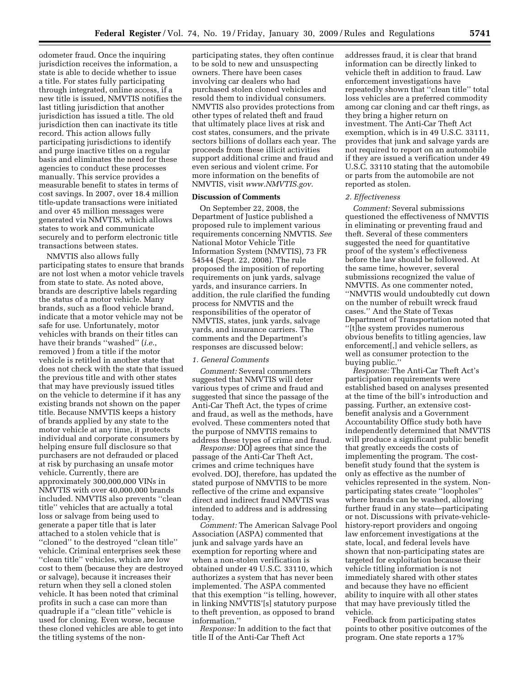odometer fraud. Once the inquiring jurisdiction receives the information, a state is able to decide whether to issue a title. For states fully participating through integrated, online access, if a new title is issued, NMVTIS notifies the last titling jurisdiction that another jurisdiction has issued a title. The old jurisdiction then can inactivate its title record. This action allows fully participating jurisdictions to identify and purge inactive titles on a regular basis and eliminates the need for these agencies to conduct these processes manually. This service provides a measurable benefit to states in terms of cost savings. In 2007, over 18.4 million title-update transactions were initiated and over 45 million messages were generated via NMVTIS, which allows states to work and communicate securely and to perform electronic title transactions between states.

NMVTIS also allows fully participating states to ensure that brands are not lost when a motor vehicle travels from state to state. As noted above, brands are descriptive labels regarding the status of a motor vehicle. Many brands, such as a flood vehicle brand, indicate that a motor vehicle may not be safe for use. Unfortunately, motor vehicles with brands on their titles can have their brands ''washed'' (*i.e.*, removed ) from a title if the motor vehicle is retitled in another state that does not check with the state that issued the previous title and with other states that may have previously issued titles on the vehicle to determine if it has any existing brands not shown on the paper title. Because NMVTIS keeps a history of brands applied by any state to the motor vehicle at any time, it protects individual and corporate consumers by helping ensure full disclosure so that purchasers are not defrauded or placed at risk by purchasing an unsafe motor vehicle. Currently, there are approximately 300,000,000 VINs in NMVTIS with over 40,000,000 brands included. NMVTIS also prevents ''clean title'' vehicles that are actually a total loss or salvage from being used to generate a paper title that is later attached to a stolen vehicle that is ''cloned'' to the destroyed ''clean title'' vehicle. Criminal enterprises seek these ''clean title'' vehicles, which are low cost to them (because they are destroyed or salvage), because it increases their return when they sell a cloned stolen vehicle. It has been noted that criminal profits in such a case can more than quadruple if a ''clean title'' vehicle is used for cloning. Even worse, because these cloned vehicles are able to get into the titling systems of the non-

participating states, they often continue to be sold to new and unsuspecting owners. There have been cases involving car dealers who had purchased stolen cloned vehicles and resold them to individual consumers. NMVTIS also provides protections from other types of related theft and fraud that ultimately place lives at risk and cost states, consumers, and the private sectors billions of dollars each year. The proceeds from these illicit activities support additional crime and fraud and even serious and violent crime. For more information on the benefits of NMVTIS, visit *[www.NMVTIS.gov](http://www.NMVTIS.gov)*.

#### **Discussion of Comments**

On September 22, 2008, the Department of Justice published a proposed rule to implement various requirements concerning NMVTIS. *See*  National Motor Vehicle Title Information System (NMVTIS), 73 FR 54544 (Sept. 22, 2008). The rule proposed the imposition of reporting requirements on junk yards, salvage yards, and insurance carriers. In addition, the rule clarified the funding process for NMVTIS and the responsibilities of the operator of NMVTIS, states, junk yards, salvage yards, and insurance carriers. The comments and the Department's responses are discussed below:

## *1. General Comments*

*Comment:* Several commenters suggested that NMVTIS will deter various types of crime and fraud and suggested that since the passage of the Anti-Car Theft Act, the types of crime and fraud, as well as the methods, have evolved. These commenters noted that the purpose of NMVTIS remains to address these types of crime and fraud.

*Response:* DOJ agrees that since the passage of the Anti-Car Theft Act, crimes and crime techniques have evolved. DOJ, therefore, has updated the stated purpose of NMVTIS to be more reflective of the crime and expansive direct and indirect fraud NMVTIS was intended to address and is addressing today.

*Comment:* The American Salvage Pool Association (ASPA) commented that junk and salvage yards have an exemption for reporting where and when a non-stolen verification is obtained under 49 U.S.C. 33110, which authorizes a system that has never been implemented. The ASPA commented that this exemption ''is telling, however, in linking NMVTIS'[s] statutory purpose to theft prevention, as opposed to brand information.''

*Response:* In addition to the fact that title II of the Anti-Car Theft Act

addresses fraud, it is clear that brand information can be directly linked to vehicle theft in addition to fraud. Law enforcement investigations have repeatedly shown that ''clean title'' total loss vehicles are a preferred commodity among car cloning and car theft rings, as they bring a higher return on investment. The Anti-Car Theft Act exemption, which is in 49 U.S.C. 33111, provides that junk and salvage yards are not required to report on an automobile if they are issued a verification under 49 U.S.C. 33110 stating that the automobile or parts from the automobile are not reported as stolen.

#### *2. Effectiveness*

*Comment:* Several submissions questioned the effectiveness of NMVTIS in eliminating or preventing fraud and theft. Several of these commenters suggested the need for quantitative proof of the system's effectiveness before the law should be followed. At the same time, however, several submissions recognized the value of NMVTIS. As one commenter noted, ''NMVTIS would undoubtedly cut down on the number of rebuilt wreck fraud cases.'' And the State of Texas Department of Transportation noted that ''[t]he system provides numerous obvious benefits to titling agencies, law enforcement[,] and vehicle sellers, as well as consumer protection to the buying public.''

*Response:* The Anti-Car Theft Act's participation requirements were established based on analyses presented at the time of the bill's introduction and passing. Further, an extensive costbenefit analysis and a Government Accountability Office study both have independently determined that NMVTIS will produce a significant public benefit that greatly exceeds the costs of implementing the program. The costbenefit study found that the system is only as effective as the number of vehicles represented in the system. Nonparticipating states create ''loopholes'' where brands can be washed, allowing further fraud in any state—participating or not. Discussions with private-vehiclehistory-report providers and ongoing law enforcement investigations at the state, local, and federal levels have shown that non-participating states are targeted for exploitation because their vehicle titling information is not immediately shared with other states and because they have no efficient ability to inquire with all other states that may have previously titled the vehicle.

Feedback from participating states points to other positive outcomes of the program. One state reports a 17%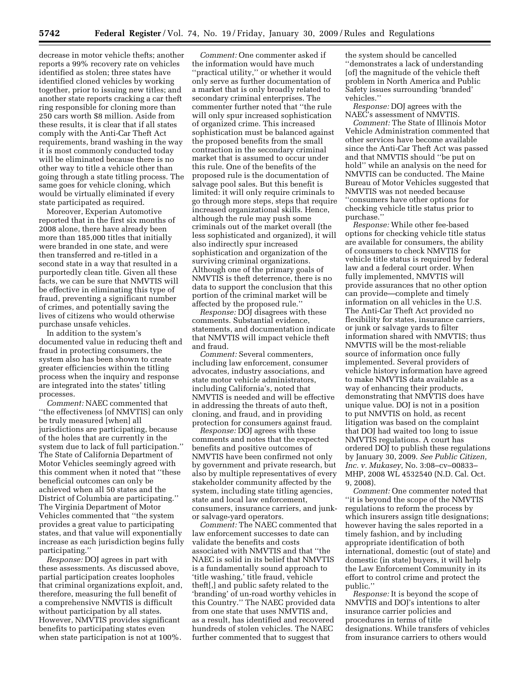decrease in motor vehicle thefts; another reports a 99% recovery rate on vehicles identified as stolen; three states have identified cloned vehicles by working together, prior to issuing new titles; and another state reports cracking a car theft ring responsible for cloning more than 250 cars worth \$8 million. Aside from these results, it is clear that if all states comply with the Anti-Car Theft Act requirements, brand washing in the way it is most commonly conducted today will be eliminated because there is no other way to title a vehicle other than going through a state titling process. The same goes for vehicle cloning, which would be virtually eliminated if every state participated as required.

Moreover, Experian Automotive reported that in the first six months of 2008 alone, there have already been more than 185,000 titles that initially were branded in one state, and were then transferred and re-titled in a second state in a way that resulted in a purportedly clean title. Given all these facts, we can be sure that NMVTIS will be effective in eliminating this type of fraud, preventing a significant number of crimes, and potentially saving the lives of citizens who would otherwise purchase unsafe vehicles.

In addition to the system's documented value in reducing theft and fraud in protecting consumers, the system also has been shown to create greater efficiencies within the titling process when the inquiry and response are integrated into the states' titling processes.

*Comment:* NAEC commented that ''the effectiveness [of NMVTIS] can only be truly measured [when] all jurisdictions are participating, because of the holes that are currently in the system due to lack of full participation.'' The State of California Department of Motor Vehicles seemingly agreed with this comment when it noted that ''these beneficial outcomes can only be achieved when all 50 states and the District of Columbia are participating.'' The Virginia Department of Motor Vehicles commented that ''the system provides a great value to participating states, and that value will exponentially increase as each jurisdiction begins fully participating.''

*Response:* DOJ agrees in part with these assessments. As discussed above, partial participation creates loopholes that criminal organizations exploit, and, therefore, measuring the full benefit of a comprehensive NMVTIS is difficult without participation by all states. However, NMVTIS provides significant benefits to participating states even when state participation is not at 100%.

*Comment:* One commenter asked if the information would have much ''practical utility,'' or whether it would only serve as further documentation of a market that is only broadly related to secondary criminal enterprises. The commenter further noted that ''the rule will only spur increased sophistication of organized crime. This increased sophistication must be balanced against the proposed benefits from the small contraction in the secondary criminal market that is assumed to occur under this rule. One of the benefits of the proposed rule is the documentation of salvage pool sales. But this benefit is limited: it will only require criminals to go through more steps, steps that require increased organizational skills. Hence, although the rule may push some criminals out of the market overall (the less sophisticated and organized), it will also indirectly spur increased sophistication and organization of the surviving criminal organizations. Although one of the primary goals of NMVTIS is theft deterrence, there is no data to support the conclusion that this portion of the criminal market will be affected by the proposed rule.''

*Response:* DOJ disagrees with these comments. Substantial evidence, statements, and documentation indicate that NMVTIS will impact vehicle theft and fraud.

*Comment:* Several commenters, including law enforcement, consumer advocates, industry associations, and state motor vehicle administrators, including California's, noted that NMVTIS is needed and will be effective in addressing the threats of auto theft, cloning, and fraud, and in providing protection for consumers against fraud.

*Response:* DOJ agrees with these comments and notes that the expected benefits and positive outcomes of NMVTIS have been confirmed not only by government and private research, but also by multiple representatives of every stakeholder community affected by the system, including state titling agencies, state and local law enforcement, consumers, insurance carriers, and junkor salvage-yard operators.

*Comment:* The NAEC commented that law enforcement successes to date can validate the benefits and costs associated with NMVTIS and that ''the NAEC is solid in its belief that NMVTIS is a fundamentally sound approach to 'title washing,' title fraud, vehicle theft[,] and public safety related to the 'branding' of un-road worthy vehicles in this Country.'' The NAEC provided data from one state that uses NMVTIS and, as a result, has identified and recovered hundreds of stolen vehicles. The NAEC further commented that to suggest that

the system should be cancelled ''demonstrates a lack of understanding [of] the magnitude of the vehicle theft problem in North America and Public Safety issues surrounding 'branded' vehicles.''

*Response:* DOJ agrees with the NAEC's assessment of NMVTIS.

*Comment:* The State of Illinois Motor Vehicle Administration commented that other services have become available since the Anti-Car Theft Act was passed and that NMVTIS should ''be put on hold'' while an analysis on the need for NMVTIS can be conducted. The Maine Bureau of Motor Vehicles suggested that NMVTIS was not needed because ''consumers have other options for checking vehicle title status prior to purchase.''

*Response:* While other fee-based options for checking vehicle title status are available for consumers, the ability of consumers to check NMVTIS for vehicle title status is required by federal law and a federal court order. When fully implemented, NMVTIS will provide assurances that no other option can provide—complete and timely information on all vehicles in the U.S. The Anti-Car Theft Act provided no flexibility for states, insurance carriers, or junk or salvage yards to filter information shared with NMVTIS; thus NMVTIS will be the most-reliable source of information once fully implemented. Several providers of vehicle history information have agreed to make NMVTIS data available as a way of enhancing their products, demonstrating that NMVTIS does have unique value. DOJ is not in a position to put NMVTIS on hold, as recent litigation was based on the complaint that DOJ had waited too long to issue NMVTIS regulations. A court has ordered DOJ to publish these regulations by January 30, 2009. *See Public Citizen, Inc. v. Mukasey*, No. 3:08–cv–00833– MHP, 2008 WL 4532540 (N.D. Cal. Oct. 9, 2008).

*Comment:* One commenter noted that ''it is beyond the scope of the NMVTIS regulations to reform the process by which insurers assign title designations; however having the sales reported in a timely fashion, and by including appropriate identification of both international, domestic (out of state) and domestic (in state) buyers, it will help the Law Enforcement Community in its effort to control crime and protect the public.''

*Response:* It is beyond the scope of NMVTIS and DOJ's intentions to alter insurance carrier policies and procedures in terms of title designations. While transfers of vehicles from insurance carriers to others would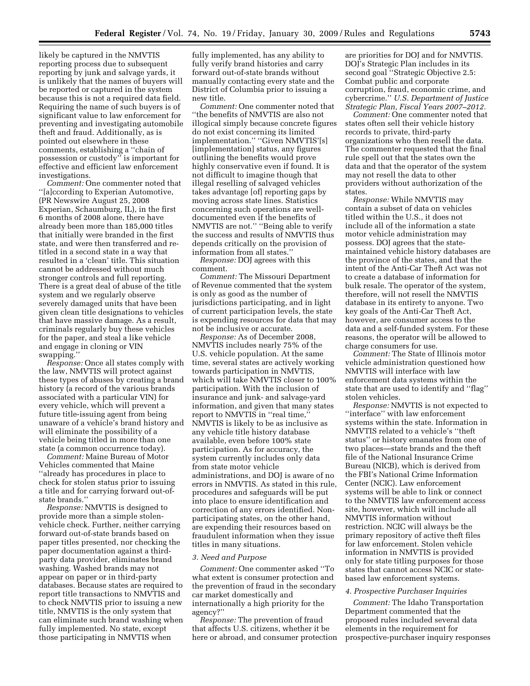likely be captured in the NMVTIS reporting process due to subsequent reporting by junk and salvage yards, it is unlikely that the names of buyers will be reported or captured in the system because this is not a required data field. Requiring the name of such buyers is of significant value to law enforcement for preventing and investigating automobile theft and fraud. Additionally, as is pointed out elsewhere in these comments, establishing a ''chain of possession or custody'' is important for effective and efficient law enforcement investigations.

*Comment:* One commenter noted that ''[a]ccording to Experian Automotive, (PR Newswire August 25, 2008 Experian, Schaumburg, IL), in the first 6 months of 2008 alone, there have already been more than 185,000 titles that initially were branded in the first state, and were then transferred and retitled in a second state in a way that resulted in a 'clean' title. This situation cannot be addressed without much stronger controls and full reporting. There is a great deal of abuse of the title system and we regularly observe severely damaged units that have been given clean title designations to vehicles that have massive damage. As a result, criminals regularly buy these vehicles for the paper, and steal a like vehicle and engage in cloning or VIN swapping.''

*Response:* Once all states comply with the law, NMVTIS will protect against these types of abuses by creating a brand history (a record of the various brands associated with a particular VIN) for every vehicle, which will prevent a future title-issuing agent from being unaware of a vehicle's brand history and will eliminate the possibility of a vehicle being titled in more than one state (a common occurrence today).

*Comment:* Maine Bureau of Motor Vehicles commented that Maine ''already has procedures in place to check for stolen status prior to issuing a title and for carrying forward out-ofstate brands.''

*Response:* NMVTIS is designed to provide more than a simple stolenvehicle check. Further, neither carrying forward out-of-state brands based on paper titles presented, nor checking the paper documentation against a thirdparty data provider, eliminates brand washing. Washed brands may not appear on paper or in third-party databases. Because states are required to report title transactions to NMVTIS and to check NMVTIS prior to issuing a new title, NMVTIS is the only system that can eliminate such brand washing when fully implemented. No state, except those participating in NMVTIS when

fully implemented, has any ability to fully verify brand histories and carry forward out-of-state brands without manually contacting every state and the District of Columbia prior to issuing a new title.

*Comment:* One commenter noted that ''the benefits of NMVTIS are also not illogical simply because concrete figures do not exist concerning its limited implementation." "Given NMVTIS'[s] [implementation] status, any figures outlining the benefits would prove highly conservative even if found. It is not difficult to imagine though that illegal reselling of salvaged vehicles takes advantage [of] reporting gaps by moving across state lines. Statistics concerning such operations are welldocumented even if the benefits of NMVTIS are not.'' ''Being able to verify the success and results of NMVTIS thus depends critically on the provision of information from all states.''

*Response:* DOJ agrees with this comment.

*Comment:* The Missouri Department of Revenue commented that the system is only as good as the number of jurisdictions participating, and in light of current participation levels, the state is expending resources for data that may not be inclusive or accurate.

*Response:* As of December 2008, NMVTIS includes nearly 75% of the U.S. vehicle population. At the same time, several states are actively working towards participation in NMVTIS, which will take NMVTIS closer to 100% participation. With the inclusion of insurance and junk- and salvage-yard information, and given that many states report to NMVTIS in ''real time,'' NMVTIS is likely to be as inclusive as any vehicle title history database available, even before 100% state participation. As for accuracy, the system currently includes only data from state motor vehicle administrations, and DOJ is aware of no errors in NMVTIS. As stated in this rule, procedures and safeguards will be put into place to ensure identification and correction of any errors identified. Nonparticipating states, on the other hand, are expending their resources based on fraudulent information when they issue titles in many situations.

#### *3. Need and Purpose*

*Comment:* One commenter asked ''To what extent is consumer protection and the prevention of fraud in the secondary car market domestically and internationally a high priority for the agency?''

*Response:* The prevention of fraud that affects U.S. citizens, whether it be here or abroad, and consumer protection are priorities for DOJ and for NMVTIS. DOJ's Strategic Plan includes in its second goal ''Strategic Objective 2.5: Combat public and corporate corruption, fraud, economic crime, and cybercrime.'' *U.S. Department of Justice Strategic Plan, Fiscal Years 2007–2012.* 

*Comment:* One commenter noted that states often sell their vehicle history records to private, third-party organizations who then resell the data. The commenter requested that the final rule spell out that the states own the data and that the operator of the system may not resell the data to other providers without authorization of the states.

*Response:* While NMVTIS may contain a subset of data on vehicles titled within the U.S., it does not include all of the information a state motor vehicle administration may possess. DOJ agrees that the statemaintained vehicle history databases are the province of the states, and that the intent of the Anti-Car Theft Act was not to create a database of information for bulk resale. The operator of the system, therefore, will not resell the NMVTIS database in its entirety to anyone. Two key goals of the Anti-Car Theft Act, however, are consumer access to the data and a self-funded system. For these reasons, the operator will be allowed to charge consumers for use.

*Comment:* The State of Illinois motor vehicle administration questioned how NMVTIS will interface with law enforcement data systems within the state that are used to identify and ''flag'' stolen vehicles.

*Response:* NMVTIS is not expected to ''interface'' with law enforcement systems within the state. Information in NMVTIS related to a vehicle's ''theft status'' or history emanates from one of two places—state brands and the theft file of the National Insurance Crime Bureau (NICB), which is derived from the FBI's National Crime Information Center (NCIC). Law enforcement systems will be able to link or connect to the NMVTIS law enforcement access site, however, which will include all NMVTIS information without restriction. NCIC will always be the primary repository of active theft files for law enforcement. Stolen vehicle information in NMVTIS is provided only for state titling purposes for those states that cannot access NCIC or statebased law enforcement systems.

#### *4. Prospective Purchaser Inquiries*

*Comment:* The Idaho Transportation Department commented that the proposed rules included several data elements in the requirement for prospective-purchaser inquiry responses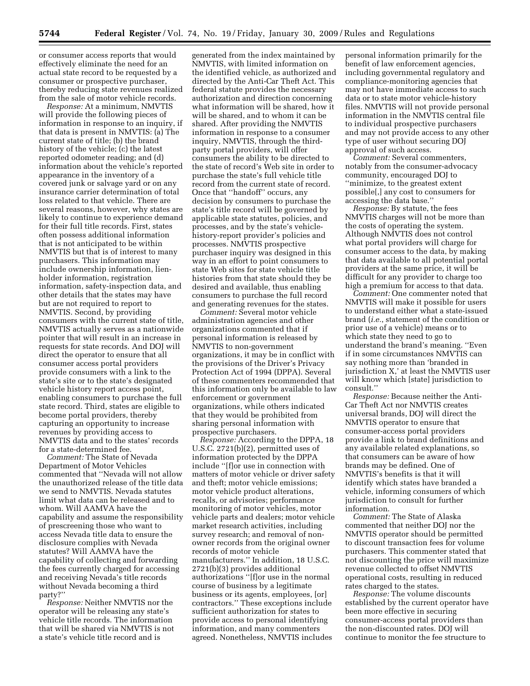or consumer access reports that would effectively eliminate the need for an actual state record to be requested by a consumer or prospective purchaser, thereby reducing state revenues realized from the sale of motor vehicle records.

*Response:* At a minimum, NMVTIS will provide the following pieces of information in response to an inquiry, if that data is present in NMVTIS: (a) The current state of title; (b) the brand history of the vehicle; (c) the latest reported odometer reading; and (d) information about the vehicle's reported appearance in the inventory of a covered junk or salvage yard or on any insurance carrier determination of total loss related to that vehicle. There are several reasons, however, why states are likely to continue to experience demand for their full title records. First, states often possess additional information that is not anticipated to be within NMVTIS but that is of interest to many purchasers. This information may include ownership information, lienholder information, registration information, safety-inspection data, and other details that the states may have but are not required to report to NMVTIS. Second, by providing consumers with the current state of title, NMVTIS actually serves as a nationwide pointer that will result in an increase in requests for state records. And DOJ will direct the operator to ensure that all consumer access portal providers provide consumers with a link to the state's site or to the state's designated vehicle history report access point, enabling consumers to purchase the full state record. Third, states are eligible to become portal providers, thereby capturing an opportunity to increase revenues by providing access to NMVTIS data and to the states' records for a state-determined fee.

*Comment:* The State of Nevada Department of Motor Vehicles commented that ''Nevada will not allow the unauthorized release of the title data we send to NMVTIS. Nevada statutes limit what data can be released and to whom. Will AAMVA have the capability and assume the responsibility of prescreening those who want to access Nevada title data to ensure the disclosure complies with Nevada statutes? Will AAMVA have the capability of collecting and forwarding the fees currently charged for accessing and receiving Nevada's title records without Nevada becoming a third party?''

*Response:* Neither NMVTIS nor the operator will be releasing any state's vehicle title records. The information that will be shared via NMVTIS is not a state's vehicle title record and is

generated from the index maintained by NMVTIS, with limited information on the identified vehicle, as authorized and directed by the Anti-Car Theft Act. This federal statute provides the necessary authorization and direction concerning what information will be shared, how it will be shared, and to whom it can be shared. After providing the NMVTIS information in response to a consumer inquiry, NMVTIS, through the thirdparty portal providers, will offer consumers the ability to be directed to the state of record's Web site in order to purchase the state's full vehicle title record from the current state of record. Once that ''handoff'' occurs, any decision by consumers to purchase the state's title record will be governed by applicable state statutes, policies, and processes, and by the state's vehiclehistory-report provider's policies and processes. NMVTIS prospective purchaser inquiry was designed in this way in an effort to point consumers to state Web sites for state vehicle title histories from that state should they be desired and available, thus enabling consumers to purchase the full record and generating revenues for the states.

*Comment:* Several motor vehicle administration agencies and other organizations commented that if personal information is released by NMVTIS to non-government organizations, it may be in conflict with the provisions of the Driver's Privacy Protection Act of 1994 (DPPA). Several of these commenters recommended that this information only be available to law enforcement or government organizations, while others indicated that they would be prohibited from sharing personal information with prospective purchasers.

*Response:* According to the DPPA, 18 U.S.C. 2721(b)(2), permitted uses of information protected by the DPPA include ''[f]or use in connection with matters of motor vehicle or driver safety and theft; motor vehicle emissions; motor vehicle product alterations, recalls, or advisories; performance monitoring of motor vehicles, motor vehicle parts and dealers; motor vehicle market research activities, including survey research; and removal of nonowner records from the original owner records of motor vehicle manufacturers.'' In addition, 18 U.S.C. 2721(b)(3) provides additional authorizations ''[f]or use in the normal course of business by a legitimate business or its agents, employees, [or] contractors.'' These exceptions include sufficient authorization for states to provide access to personal identifying information, and many commenters agreed. Nonetheless, NMVTIS includes

personal information primarily for the benefit of law enforcement agencies, including governmental regulatory and compliance-monitoring agencies that may not have immediate access to such data or to state motor vehicle-history files. NMVTIS will not provide personal information in the NMVTIS central file to individual prospective purchasers and may not provide access to any other type of user without securing DOJ approval of such access.

*Comment:* Several commenters, notably from the consumer-advocacy community, encouraged DOJ to ''minimize, to the greatest extent possible[,] any cost to consumers for accessing the data base.''

*Response:* By statute, the fees NMVTIS charges will not be more than the costs of operating the system. Although NMVTIS does not control what portal providers will charge for consumer access to the data, by making that data available to all potential portal providers at the same price, it will be difficult for any provider to charge too high a premium for access to that data.

*Comment:* One commenter noted that NMVTIS will make it possible for users to understand either what a state-issued brand (*i.e.*, statement of the condition or prior use of a vehicle) means or to which state they need to go to understand the brand's meaning. ''Even if in some circumstances NMVTIS can say nothing more than 'branded in jurisdiction X,' at least the NMVTIS user will know which [state] jurisdiction to consult.''

*Response:* Because neither the Anti-Car Theft Act nor NMVTIS creates universal brands, DOJ will direct the NMVTIS operator to ensure that consumer-access portal providers provide a link to brand definitions and any available related explanations, so that consumers can be aware of how brands may be defined. One of NMVTIS's benefits is that it will identify which states have branded a vehicle, informing consumers of which jurisdiction to consult for further information.

*Comment:* The State of Alaska commented that neither DOJ nor the NMVTIS operator should be permitted to discount transaction fees for volume purchasers. This commenter stated that not discounting the price will maximize revenue collected to offset NMVTIS operational costs, resulting in reduced rates charged to the states.

*Response:* The volume discounts established by the current operator have been more effective in securing consumer-access portal providers than the non-discounted rates. DOJ will continue to monitor the fee structure to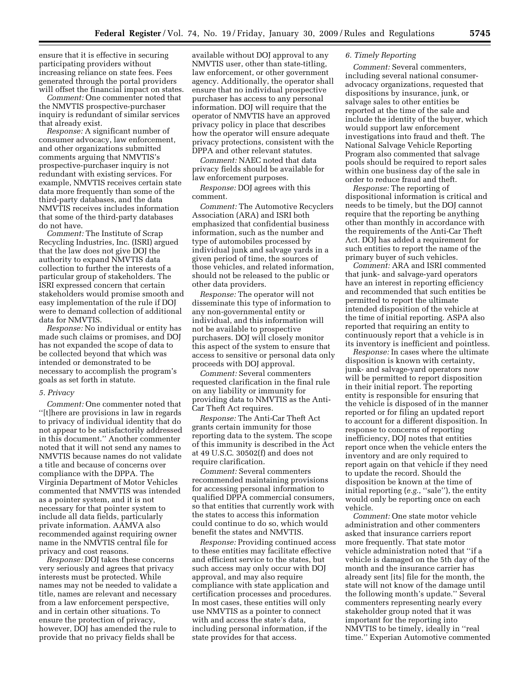ensure that it is effective in securing participating providers without increasing reliance on state fees. Fees generated through the portal providers will offset the financial impact on states.

*Comment:* One commenter noted that the NMVTIS prospective-purchaser inquiry is redundant of similar services that already exist.

*Response:* A significant number of consumer advocacy, law enforcement, and other organizations submitted comments arguing that NMVTIS's prospective-purchaser inquiry is not redundant with existing services. For example, NMVTIS receives certain state data more frequently than some of the third-party databases, and the data NMVTIS receives includes information that some of the third-party databases do not have.

*Comment:* The Institute of Scrap Recycling Industries, Inc. (ISRI) argued that the law does not give DOJ the authority to expand NMVTIS data collection to further the interests of a particular group of stakeholders. The ISRI expressed concern that certain stakeholders would promise smooth and easy implementation of the rule if DOJ were to demand collection of additional data for NMVTIS.

*Response:* No individual or entity has made such claims or promises, and DOJ has not expanded the scope of data to be collected beyond that which was intended or demonstrated to be necessary to accomplish the program's goals as set forth in statute.

#### *5. Privacy*

*Comment:* One commenter noted that ''[t]here are provisions in law in regards to privacy of individual identity that do not appear to be satisfactorily addressed in this document.'' Another commenter noted that it will not send any names to NMVTIS because names do not validate a title and because of concerns over compliance with the DPPA. The Virginia Department of Motor Vehicles commented that NMVTIS was intended as a pointer system, and it is not necessary for that pointer system to include all data fields, particularly private information. AAMVA also recommended against requiring owner name in the NMVTIS central file for privacy and cost reasons.

*Response:* DOJ takes these concerns very seriously and agrees that privacy interests must be protected. While names may not be needed to validate a title, names are relevant and necessary from a law enforcement perspective, and in certain other situations. To ensure the protection of privacy, however, DOJ has amended the rule to provide that no privacy fields shall be

available without DOJ approval to any NMVTIS user, other than state-titling, law enforcement, or other government agency. Additionally, the operator shall ensure that no individual prospective purchaser has access to any personal information. DOJ will require that the operator of NMVTIS have an approved privacy policy in place that describes how the operator will ensure adequate privacy protections, consistent with the DPPA and other relevant statutes.

*Comment:* NAEC noted that data privacy fields should be available for law enforcement purposes.

*Response:* DOJ agrees with this comment.

*Comment:* The Automotive Recyclers Association (ARA) and ISRI both emphasized that confidential business information, such as the number and type of automobiles processed by individual junk and salvage yards in a given period of time, the sources of those vehicles, and related information, should not be released to the public or other data providers.

*Response:* The operator will not disseminate this type of information to any non-governmental entity or individual, and this information will not be available to prospective purchasers. DOJ will closely monitor this aspect of the system to ensure that access to sensitive or personal data only proceeds with DOJ approval.

*Comment:* Several commenters requested clarification in the final rule on any liability or immunity for providing data to NMVTIS as the Anti-Car Theft Act requires.

*Response:* The Anti-Car Theft Act grants certain immunity for those reporting data to the system. The scope of this immunity is described in the Act at 49 U.S.C. 30502(f) and does not require clarification.

*Comment:* Several commenters recommended maintaining provisions for accessing personal information to qualified DPPA commercial consumers, so that entities that currently work with the states to access this information could continue to do so, which would benefit the states and NMVTIS.

*Response:* Providing continued access to these entities may facilitate effective and efficient service to the states, but such access may only occur with DOJ approval, and may also require compliance with state application and certification processes and procedures. In most cases, these entities will only use NMVTIS as a pointer to connect with and access the state's data, including personal information, if the state provides for that access.

## *6. Timely Reporting*

*Comment:* Several commenters, including several national consumeradvocacy organizations, requested that dispositions by insurance, junk, or salvage sales to other entities be reported at the time of the sale and include the identity of the buyer, which would support law enforcement investigations into fraud and theft. The National Salvage Vehicle Reporting Program also commented that salvage pools should be required to report sales within one business day of the sale in order to reduce fraud and theft.

*Response:* The reporting of dispositional information is critical and needs to be timely, but the DOJ cannot require that the reporting be anything other than monthly in accordance with the requirements of the Anti-Car Theft Act. DOJ has added a requirement for such entities to report the name of the primary buyer of such vehicles.

*Comment:* ARA and ISRI commented that junk- and salvage-yard operators have an interest in reporting efficiency and recommended that such entities be permitted to report the ultimate intended disposition of the vehicle at the time of initial reporting. ASPA also reported that requiring an entity to continuously report that a vehicle is in its inventory is inefficient and pointless.

*Response:* In cases where the ultimate disposition is known with certainty, junk- and salvage-yard operators now will be permitted to report disposition in their initial report. The reporting entity is responsible for ensuring that the vehicle is disposed of in the manner reported or for filing an updated report to account for a different disposition. In response to concerns of reporting inefficiency, DOJ notes that entities report once when the vehicle enters the inventory and are only required to report again on that vehicle if they need to update the record. Should the disposition be known at the time of initial reporting (*e.g.*, ''sale''), the entity would only be reporting once on each vehicle.

*Comment:* One state motor vehicle administration and other commenters asked that insurance carriers report more frequently. That state motor vehicle administration noted that ''if a vehicle is damaged on the 5th day of the month and the insurance carrier has already sent [its] file for the month, the state will not know of the damage until the following month's update.'' Several commenters representing nearly every stakeholder group noted that it was important for the reporting into NMVTIS to be timely, ideally in ''real time.'' Experian Automotive commented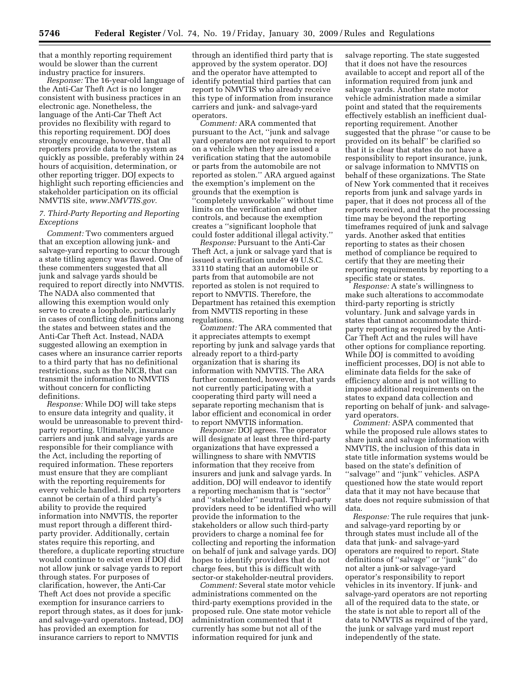that a monthly reporting requirement would be slower than the current industry practice for insurers.

*Response:* The 16-year-old language of the Anti-Car Theft Act is no longer consistent with business practices in an electronic age. Nonetheless, the language of the Anti-Car Theft Act provides no flexibility with regard to this reporting requirement. DOJ does strongly encourage, however, that all reporters provide data to the system as quickly as possible, preferably within 24 hours of acquisition, determination, or other reporting trigger. DOJ expects to highlight such reporting efficiencies and stakeholder participation on its official NMVTIS site, *[www.NMVTIS.gov.](http://www.NMVTIS.gov)* 

## *7. Third-Party Reporting and Reporting Exceptions*

*Comment:* Two commenters argued that an exception allowing junk- and salvage-yard reporting to occur through a state titling agency was flawed. One of these commenters suggested that all junk and salvage yards should be required to report directly into NMVTIS. The NADA also commented that allowing this exemption would only serve to create a loophole, particularly in cases of conflicting definitions among the states and between states and the Anti-Car Theft Act. Instead, NADA suggested allowing an exemption in cases where an insurance carrier reports to a third party that has no definitional restrictions, such as the NICB, that can transmit the information to NMVTIS without concern for conflicting definitions.

*Response:* While DOJ will take steps to ensure data integrity and quality, it would be unreasonable to prevent thirdparty reporting. Ultimately, insurance carriers and junk and salvage yards are responsible for their compliance with the Act, including the reporting of required information. These reporters must ensure that they are compliant with the reporting requirements for every vehicle handled. If such reporters cannot be certain of a third party's ability to provide the required information into NMVTIS, the reporter must report through a different thirdparty provider. Additionally, certain states require this reporting, and therefore, a duplicate reporting structure would continue to exist even if DOJ did not allow junk or salvage yards to report through states. For purposes of clarification, however, the Anti-Car Theft Act does not provide a specific exemption for insurance carriers to report through states, as it does for junkand salvage-yard operators. Instead, DOJ has provided an exemption for insurance carriers to report to NMVTIS

through an identified third party that is approved by the system operator. DOJ and the operator have attempted to identify potential third parties that can report to NMVTIS who already receive this type of information from insurance carriers and junk- and salvage-yard operators.

*Comment:* ARA commented that pursuant to the Act, ''junk and salvage yard operators are not required to report on a vehicle when they are issued a verification stating that the automobile or parts from the automobile are not reported as stolen.'' ARA argued against the exemption's implement on the grounds that the exemption is 'completely unworkable" without time limits on the verification and other controls, and because the exemption creates a ''significant loophole that could foster additional illegal activity.''

*Response:* Pursuant to the Anti-Car Theft Act, a junk or salvage yard that is issued a verification under 49 U.S.C. 33110 stating that an automobile or parts from that automobile are not reported as stolen is not required to report to NMVTIS. Therefore, the Department has retained this exemption from NMVTIS reporting in these regulations.

*Comment:* The ARA commented that it appreciates attempts to exempt reporting by junk and salvage yards that already report to a third-party organization that is sharing its information with NMVTIS. The ARA further commented, however, that yards not currently participating with a cooperating third party will need a separate reporting mechanism that is labor efficient and economical in order to report NMVTIS information.

*Response:* DOJ agrees. The operator will designate at least three third-party organizations that have expressed a willingness to share with NMVTIS information that they receive from insurers and junk and salvage yards. In addition, DOJ will endeavor to identify a reporting mechanism that is ''sector'' and ''stakeholder'' neutral. Third-party providers need to be identified who will provide the information to the stakeholders or allow such third-party providers to charge a nominal fee for collecting and reporting the information on behalf of junk and salvage yards. DOJ hopes to identify providers that do not charge fees, but this is difficult with sector-or stakeholder-neutral providers.

*Comment:* Several state motor vehicle administrations commented on the third-party exemptions provided in the proposed rule. One state motor vehicle administration commented that it currently has some but not all of the information required for junk and

salvage reporting. The state suggested that it does not have the resources available to accept and report all of the information required from junk and salvage yards. Another state motor vehicle administration made a similar point and stated that the requirements effectively establish an inefficient dualreporting requirement. Another suggested that the phrase ''or cause to be provided on its behalf'' be clarified so that it is clear that states do not have a responsibility to report insurance, junk, or salvage information to NMVTIS on behalf of these organizations. The State of New York commented that it receives reports from junk and salvage yards in paper, that it does not process all of the reports received, and that the processing time may be beyond the reporting timeframes required of junk and salvage yards. Another asked that entities reporting to states as their chosen method of compliance be required to certify that they are meeting their reporting requirements by reporting to a specific state or states.

*Response:* A state's willingness to make such alterations to accommodate third-party reporting is strictly voluntary. Junk and salvage yards in states that cannot accommodate thirdparty reporting as required by the Anti-Car Theft Act and the rules will have other options for compliance reporting. While DOJ is committed to avoiding inefficient processes, DOJ is not able to eliminate data fields for the sake of efficiency alone and is not willing to impose additional requirements on the states to expand data collection and reporting on behalf of junk- and salvageyard operators.

*Comment:* ASPA commented that while the proposed rule allows states to share junk and salvage information with NMVTIS, the inclusion of this data in state title information systems would be based on the state's definition of ''salvage'' and ''junk'' vehicles. ASPA questioned how the state would report data that it may not have because that state does not require submission of that data.

*Response:* The rule requires that junkand salvage-yard reporting by or through states must include all of the data that junk- and salvage-yard operators are required to report. State definitions of ''salvage'' or ''junk'' do not alter a junk-or salvage-yard operator's responsibility to report vehicles in its inventory. If junk- and salvage-yard operators are not reporting all of the required data to the state, or the state is not able to report all of the data to NMVTIS as required of the yard, the junk or salvage yard must report independently of the state.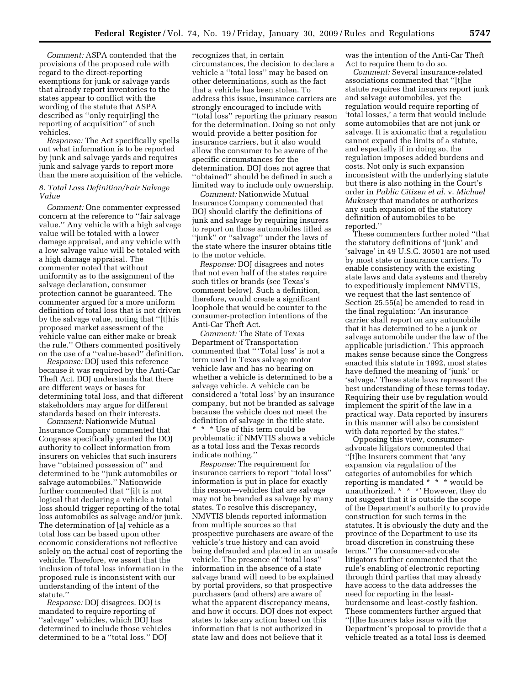*Comment:* ASPA contended that the provisions of the proposed rule with regard to the direct-reporting exemptions for junk or salvage yards that already report inventories to the states appear to conflict with the wording of the statute that ASPA described as ''only requir[ing] the reporting of acquisition'' of such vehicles.

*Response:* The Act specifically spells out what information is to be reported by junk and salvage yards and requires junk and salvage yards to report more than the mere acquisition of the vehicle.

## *8. Total Loss Definition/Fair Salvage Value*

*Comment:* One commenter expressed concern at the reference to ''fair salvage value.'' Any vehicle with a high salvage value will be totaled with a lower damage appraisal, and any vehicle with a low salvage value will be totaled with a high damage appraisal. The commenter noted that without uniformity as to the assignment of the salvage declaration, consumer protection cannot be guaranteed. The commenter argued for a more uniform definition of total loss that is not driven by the salvage value, noting that ''[t]his proposed market assessment of the vehicle value can either make or break the rule.'' Others commented positively on the use of a ''value-based'' definition.

*Response:* DOJ used this reference because it was required by the Anti-Car Theft Act. DOJ understands that there are different ways or bases for determining total loss, and that different stakeholders may argue for different standards based on their interests.

*Comment:* Nationwide Mutual Insurance Company commented that Congress specifically granted the DOJ authority to collect information from insurers on vehicles that such insurers have ''obtained possession of'' and determined to be ''junk automobiles or salvage automobiles.'' Nationwide further commented that ''[i]t is not logical that declaring a vehicle a total loss should trigger reporting of the total loss automobiles as salvage and/or junk. The determination of [a] vehicle as a total loss can be based upon other economic considerations not reflective solely on the actual cost of reporting the vehicle. Therefore, we assert that the inclusion of total loss information in the proposed rule is inconsistent with our understanding of the intent of the statute.''

*Response:* DOJ disagrees. DOJ is mandated to require reporting of ''salvage'' vehicles, which DOJ has determined to include those vehicles determined to be a ''total loss.'' DOJ

recognizes that, in certain circumstances, the decision to declare a vehicle a ''total loss'' may be based on other determinations, such as the fact that a vehicle has been stolen. To address this issue, insurance carriers are strongly encouraged to include with ''total loss'' reporting the primary reason for the determination. Doing so not only would provide a better position for insurance carriers, but it also would allow the consumer to be aware of the specific circumstances for the determination. DOJ does not agree that ''obtained'' should be defined in such a limited way to include only ownership.

*Comment:* Nationwide Mutual Insurance Company commented that DOJ should clarify the definitions of junk and salvage by requiring insurers to report on those automobiles titled as ''junk'' or ''salvage'' under the laws of the state where the insurer obtains title to the motor vehicle.

*Response:* DOJ disagrees and notes that not even half of the states require such titles or brands (see Texas's comment below). Such a definition, therefore, would create a significant loophole that would be counter to the consumer-protection intentions of the Anti-Car Theft Act.

*Comment:* The State of Texas Department of Transportation commented that '' 'Total loss' is not a term used in Texas salvage motor vehicle law and has no bearing on whether a vehicle is determined to be a salvage vehicle. A vehicle can be considered a 'total loss' by an insurance company, but not be branded as salvage because the vehicle does not meet the definition of salvage in the title state. \* \* \* Use of this term could be problematic if NMVTIS shows a vehicle as a total loss and the Texas records indicate nothing.''

*Response:* The requirement for insurance carriers to report ''total loss'' information is put in place for exactly this reason—vehicles that are salvage may not be branded as salvage by many states. To resolve this discrepancy, NMVTIS blends reported information from multiple sources so that prospective purchasers are aware of the vehicle's true history and can avoid being defrauded and placed in an unsafe vehicle. The presence of ''total loss'' information in the absence of a state salvage brand will need to be explained by portal providers, so that prospective purchasers (and others) are aware of what the apparent discrepancy means, and how it occurs. DOJ does not expect states to take any action based on this information that is not authorized in state law and does not believe that it

was the intention of the Anti-Car Theft Act to require them to do so.

*Comment:* Several insurance-related associations commented that ''[t]he statute requires that insurers report junk and salvage automobiles, yet the regulation would require reporting of 'total losses,' a term that would include some automobiles that are not junk or salvage. It is axiomatic that a regulation cannot expand the limits of a statute, and especially if in doing so, the regulation imposes added burdens and costs. Not only is such expansion inconsistent with the underlying statute but there is also nothing in the Court's order in *Public Citizen et al.* v. *Michael Mukasey* that mandates or authorizes any such expansion of the statutory definition of automobiles to be reported.''

These commenters further noted ''that the statutory definitions of 'junk' and 'salvage' in 49 U.S.C. 30501 are not used by most state or insurance carriers. To enable consistency with the existing state laws and data systems and thereby to expeditiously implement NMVTIS, we request that the last sentence of Section 25.55(a) be amended to read in the final regulation: 'An insurance carrier shall report on any automobile that it has determined to be a junk or salvage automobile under the law of the applicable jurisdiction.' This approach makes sense because since the Congress enacted this statute in 1992, most states have defined the meaning of 'junk' or 'salvage.' These state laws represent the best understanding of these terms today. Requiring their use by regulation would implement the spirit of the law in a practical way. Data reported by insurers in this manner will also be consistent with data reported by the states.''

Opposing this view, consumeradvocate litigators commented that ''[t]he Insurers comment that 'any expansion via regulation of the categories of automobiles for which reporting is mandated \* \* \* would be unauthorized. \* \* \*' However, they do not suggest that it is outside the scope of the Department's authority to provide construction for such terms in the statutes. It is obviously the duty and the province of the Department to use its broad discretion in construing these terms.'' The consumer-advocate litigators further commented that the rule's enabling of electronic reporting through third parties that may already have access to the data addresses the need for reporting in the leastburdensome and least-costly fashion. These commenters further argued that ''[t]he Insurers take issue with the Department's proposal to provide that a vehicle treated as a total loss is deemed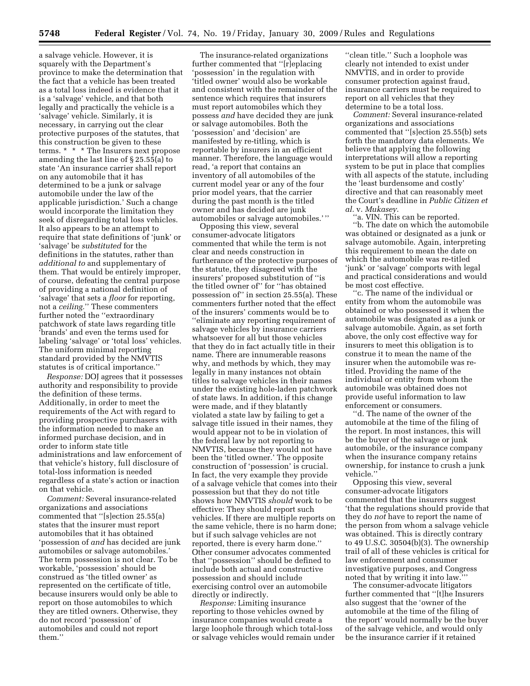a salvage vehicle. However, it is squarely with the Department's province to make the determination that the fact that a vehicle has been treated as a total loss indeed is evidence that it is a 'salvage' vehicle, and that both legally and practically the vehicle is a 'salvage' vehicle. Similarly, it is necessary, in carrying out the clear protective purposes of the statutes, that this construction be given to these terms. \* \* \* The Insurers next propose amending the last line of § 25.55(a) to state 'An insurance carrier shall report on any automobile that it has determined to be a junk or salvage automobile under the law of the applicable jurisdiction.' Such a change would incorporate the limitation they seek of disregarding total loss vehicles. It also appears to be an attempt to require that state definitions of 'junk' or 'salvage' be *substituted* for the definitions in the statutes, rather than *additional to* and supplementary of them. That would be entirely improper, of course, defeating the central purpose of providing a national definition of 'salvage' that sets a *floor* for reporting, not a *ceiling.*'' These commenters further noted the ''extraordinary patchwork of state laws regarding title 'brands' and even the terms used for labeling 'salvage' or 'total loss' vehicles. The uniform minimal reporting standard provided by the NMVTIS statutes is of critical importance.''

*Response:* DOJ agrees that it possesses authority and responsibility to provide the definition of these terms. Additionally, in order to meet the requirements of the Act with regard to providing prospective purchasers with the information needed to make an informed purchase decision, and in order to inform state title administrations and law enforcement of that vehicle's history, full disclosure of total-loss information is needed regardless of a state's action or inaction on that vehicle.

*Comment:* Several insurance-related organizations and associations commented that ''[s]ection 25.55(a) states that the insurer must report automobiles that it has obtained 'possession of *and* has decided are junk automobiles or salvage automobiles.' The term possession is not clear. To be workable, 'possession' should be construed as 'the titled owner' as represented on the certificate of title, because insurers would only be able to report on those automobiles to which they are titled owners. Otherwise, they do not record 'possession' of automobiles and could not report them.''

The insurance-related organizations further commented that ''[r]eplacing 'possession' in the regulation with 'titled owner' would also be workable and consistent with the remainder of the sentence which requires that insurers must report automobiles which they possess *and* have decided they are junk or salvage automobiles. Both the 'possession' and 'decision' are manifested by re-titling, which is reportable by insurers in an efficient manner. Therefore, the language would read, 'a report that contains an inventory of all automobiles of the current model year or any of the four prior model years, that the carrier during the past month is the titled owner and has decided are junk automobiles or salvage automobiles.' ''

Opposing this view, several consumer-advocate litigators commented that while the term is not clear and needs construction in furtherance of the protective purposes of the statute, they disagreed with the insurers' proposed substitution of ''is the titled owner of'' for ''has obtained possession of'' in section 25.55(a). These commenters further noted that the effect of the insurers' comments would be to ''eliminate any reporting requirement of salvage vehicles by insurance carriers whatsoever for all but those vehicles that they do in fact actually title in their name. There are innumerable reasons why, and methods by which, they may legally in many instances not obtain titles to salvage vehicles in their names under the existing hole-laden patchwork of state laws. In addition, if this change were made, and if they blatantly violated a state law by failing to get a salvage title issued in their names, they would appear not to be in violation of the federal law by not reporting to NMVTIS, because they would not have been the 'titled owner.' The opposite construction of 'possession' is crucial. In fact, the very example they provide of a salvage vehicle that comes into their possession but that they do not title shows how NMVTIS *should* work to be effective: They should report such vehicles. If there are multiple reports on the same vehicle, there is no harm done; but if such salvage vehicles are not reported, there is every harm done.'' Other consumer advocates commented that ''possession'' should be defined to include both actual and constructive possession and should include exercising control over an automobile directly or indirectly.

*Response:* Limiting insurance reporting to those vehicles owned by insurance companies would create a large loophole through which total-loss or salvage vehicles would remain under

''clean title.'' Such a loophole was clearly not intended to exist under NMVTIS, and in order to provide consumer protection against fraud, insurance carriers must be required to report on all vehicles that they determine to be a total loss.

*Comment:* Several insurance-related organizations and associations commented that ''[s]ection 25.55(b) sets forth the mandatory data elements. We believe that applying the following interpretations will allow a reporting system to be put in place that complies with all aspects of the statute, including the 'least burdensome and costly' directive and that can reasonably meet the Court's deadline in *Public Citizen et al.* v. *Mukasey*.

''a. VIN. This can be reported.

''b. The date on which the automobile was obtained or designated as a junk or salvage automobile. Again, interpreting this requirement to mean the date on which the automobile was re-titled 'junk' or 'salvage' comports with legal and practical considerations and would be most cost effective.

''c. The name of the individual or entity from whom the automobile was obtained or who possessed it when the automobile was designated as a junk or salvage automobile. Again, as set forth above, the only cost effective way for insurers to meet this obligation is to construe it to mean the name of the insurer when the automobile was retitled. Providing the name of the individual or entity from whom the automobile was obtained does not provide useful information to law enforcement or consumers.

''d. The name of the owner of the automobile at the time of the filing of the report. In most instances, this will be the buyer of the salvage or junk automobile, or the insurance company when the insurance company retains ownership, for instance to crush a junk vehicle.''

Opposing this view, several consumer-advocate litigators commented that the insurers suggest 'that the regulations should provide that they do *not* have to report the name of the person from whom a salvage vehicle was obtained. This is directly contrary to 49 U.S.C. 30504(b)(3). The ownership trail of all of these vehicles is critical for law enforcement and consumer investigative purposes, and Congress noted that by writing it into law.'''

The consumer-advocate litigators further commented that ''[t]he Insurers also suggest that the 'owner of the automobile at the time of the filing of the report' would normally be the buyer of the salvage vehicle, and would only be the insurance carrier if it retained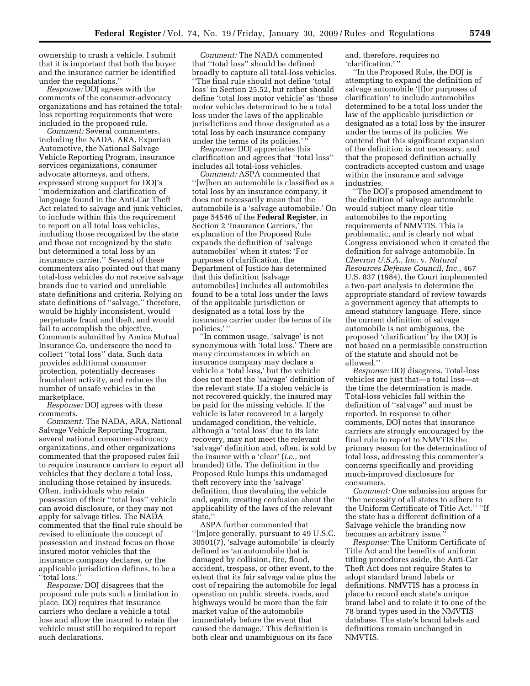ownership to crush a vehicle. I submit that it is important that both the buyer and the insurance carrier be identified under the regulations.''

*Response:* DOJ agrees with the comments of the consumer-advocacy organizations and has retained the totalloss reporting requirements that were included in the proposed rule.

*Comment:* Several commenters, including the NADA, ARA, Experian Automotive, the National Salvage Vehicle Reporting Program, insurance services organizations, consumer advocate attorneys, and others, expressed strong support for DOJ's ''modernization and clarification of language found in the Anti-Car Theft Act related to salvage and junk vehicles, to include within this the requirement to report on all total loss vehicles, including those recognized by the state and those not recognized by the state but determined a total loss by an insurance carrier.'' Several of these commenters also pointed out that many total-loss vehicles do not receive salvage brands due to varied and unreliable state definitions and criteria. Relying on state definitions of ''salvage,'' therefore, would be highly inconsistent, would perpetuate fraud and theft, and would fail to accomplish the objective. Comments submitted by Amica Mutual Insurance Co. underscore the need to collect ''total loss'' data. Such data provides additional consumer protection, potentially decreases fraudulent activity, and reduces the number of unsafe vehicles in the marketplace.

*Response:* DOJ agrees with these comments.

*Comment:* The NADA, ARA, National Salvage Vehicle Reporting Program, several national consumer-advocacy organizations, and other organizations commented that the proposed rules fail to require insurance carriers to report all vehicles that they declare a total loss, including those retained by insureds. Often, individuals who retain possession of their ''total loss'' vehicle can avoid disclosure, or they may not apply for salvage titles. The NADA commented that the final rule should be revised to eliminate the concept of possession and instead focus on those insured motor vehicles that the insurance company declares, or the applicable jurisdiction defines, to be a ''total loss.''

*Response:* DOJ disagrees that the proposed rule puts such a limitation in place. DOJ requires that insurance carriers who declare a vehicle a total loss and allow the insured to retain the vehicle must still be required to report such declarations.

*Comment:* The NADA commented that ''total loss'' should be defined broadly to capture all total-loss vehicles. ''The final rule should not define 'total loss' in Section 25.52, but rather should define 'total loss motor vehicle' as 'those motor vehicles determined to be a total loss under the laws of the applicable jurisdictions and those designated as a total loss by each insurance company under the terms of its policies.' ''

*Response:* DOJ appreciates this clarification and agrees that ''total loss'' includes all total-loss vehicles.

*Comment:* ASPA commented that ''[w]hen an automobile is classified as a total loss by an insurance company, it does not necessarily mean that the automobile is a 'salvage automobile.' On page 54546 of the **Federal Register**, in Section 2 'Insurance Carriers,' the explanation of the Proposed Rule expands the definition of 'salvage automobiles' when it states: 'For purposes of clarification, the Department of Justice has determined that this definition [salvage automobiles] includes all automobiles found to be a total loss under the laws of the applicable jurisdiction or designated as a total loss by the insurance carrier under the terms of its policies.'"

''In common usage, 'salvage' is not synonymous with 'total loss.' There are many circumstances in which an insurance company may declare a vehicle a 'total loss,' but the vehicle does not meet the 'salvage' definition of the relevant state. If a stolen vehicle is not recovered quickly, the insured may be paid for the missing vehicle. If the vehicle is later recovered in a largely undamaged condition, the vehicle, although a 'total loss' due to its late recovery, may not meet the relevant 'salvage' definition and, often, is sold by the insurer with a 'clear' (*i.e.,* not branded) title. The definition in the Proposed Rule lumps this undamaged theft recovery into the 'salvage' definition, thus devaluing the vehicle and, again, creating confusion about the applicability of the laws of the relevant state.''

ASPA further commented that ''[m]ore generally, pursuant to 49 U.S.C. 30501(7), 'salvage automobile' is clearly defined as 'an automobile that is damaged by collision, fire, flood, accident, trespass, or other event, to the extent that its fair salvage value plus the cost of repairing the automobile for legal operation on public streets, roads, and highways would be more than the fair market value of the automobile immediately before the event that caused the damage.' This definition is both clear and unambiguous on its face

and, therefore, requires no 'clarification.' ''

''In the Proposed Rule, the DOJ is attempting to expand the definition of salvage automobile '[f]or purposes of clarification' to include automobiles determined to be a total loss under the law of the applicable jurisdiction or designated as a total loss by the insurer under the terms of its policies. We contend that this significant expansion of the definition is not necessary, and that the proposed definition actually contradicts accepted custom and usage within the insurance and salvage industries.

''The DOJ's proposed amendment to the definition of salvage automobile would subject many clear title automobiles to the reporting requirements of NMVTIS. This is problematic, and is clearly not what Congress envisioned when it created the definition for salvage automobile. In *Chevron U.S.A., Inc.* v. *Natural Resources Defense Council, Inc.,* 467 U.S. 837 (1984), the Court implemented a two-part analysis to determine the appropriate standard of review towards a government agency that attempts to amend statutory language. Here, since the current definition of salvage automobile is not ambiguous, the proposed 'clarification' by the DOJ is not based on a permissible construction of the statute and should not be allowed.''

*Response:* DOJ disagrees. Total-loss vehicles are just that—a total loss—at the time the determination is made. Total-loss vehicles fall within the definition of ''salvage'' and must be reported. In response to other comments, DOJ notes that insurance carriers are strongly encouraged by the final rule to report to NMVTIS the primary reason for the determination of total loss, addressing this commenter's concerns specifically and providing much-improved disclosure for consumers.

*Comment:* One submission argues for ''the necessity of all states to adhere to the Uniform Certificate of Title Act.'' ''If the state has a different definition of a Salvage vehicle the branding now becomes an arbitrary issue.''

*Response:* The Uniform Certificate of Title Act and the benefits of uniform titling procedures aside, the Anti-Car Theft Act does not require States to adopt standard brand labels or definitions. NMVTIS has a process in place to record each state's unique brand label and to relate it to one of the 78 brand types used in the NMVTIS database. The state's brand labels and definitions remain unchanged in NMVTIS.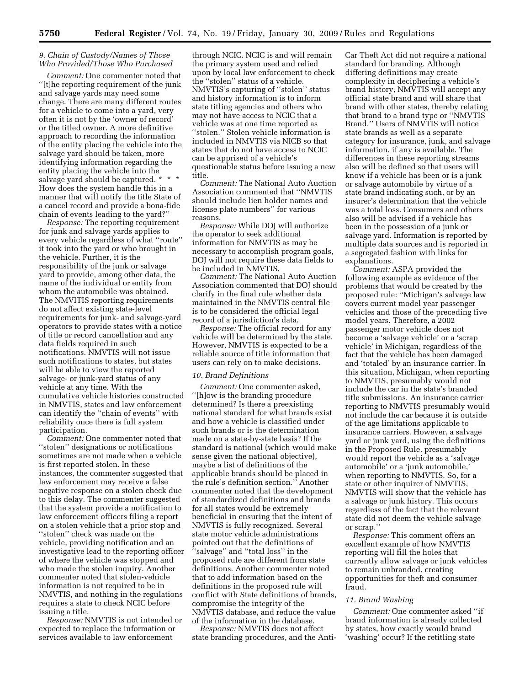## *9. Chain of Custody/Names of Those Who Provided/Those Who Purchased*

*Comment:* One commenter noted that ''[t]he reporting requirement of the junk and salvage yards may need some change. There are many different routes for a vehicle to come into a yard, very often it is not by the 'owner of record' or the titled owner. A more definitive approach to recording the information of the entity placing the vehicle into the salvage yard should be taken, more identifying information regarding the entity placing the vehicle into the salvage yard should be captured. \* \* \* How does the system handle this in a manner that will notify the title State of a cancel record and provide a bona-fide chain of events leading to the yard?''

*Response:* The reporting requirement for junk and salvage yards applies to every vehicle regardless of what ''route'' it took into the yard or who brought in the vehicle. Further, it is the responsibility of the junk or salvage yard to provide, among other data, the name of the individual or entity from whom the automobile was obtained. The NMVITIS reporting requirements do not affect existing state-level requirements for junk- and salvage-yard operators to provide states with a notice of title or record cancellation and any data fields required in such notifications. NMVTIS will not issue such notifications to states, but states will be able to view the reported salvage- or junk-yard status of any vehicle at any time. With the cumulative vehicle histories constructed in NMVTIS, states and law enforcement can identify the ''chain of events'' with reliability once there is full system participation.

*Comment:* One commenter noted that ''stolen'' designations or notifications sometimes are not made when a vehicle is first reported stolen. In these instances, the commenter suggested that law enforcement may receive a false negative response on a stolen check due to this delay. The commenter suggested that the system provide a notification to law enforcement officers filing a report on a stolen vehicle that a prior stop and ''stolen'' check was made on the vehicle, providing notification and an investigative lead to the reporting officer of where the vehicle was stopped and who made the stolen inquiry. Another commenter noted that stolen-vehicle information is not required to be in NMVTIS, and nothing in the regulations requires a state to check NCIC before issuing a title.

*Response:* NMVTIS is not intended or expected to replace the information or services available to law enforcement

through NCIC. NCIC is and will remain the primary system used and relied upon by local law enforcement to check the ''stolen'' status of a vehicle. NMVTIS's capturing of ''stolen'' status and history information is to inform state titling agencies and others who may not have access to NCIC that a vehicle was at one time reported as ''stolen.'' Stolen vehicle information is included in NMVTIS via NICB so that states that do not have access to NCIC can be apprised of a vehicle's questionable status before issuing a new title.

*Comment:* The National Auto Auction Association commented that ''NMVTIS should include lien holder names and license plate numbers'' for various reasons.

*Response:* While DOJ will authorize the operator to seek additional information for NMVTIS as may be necessary to accomplish program goals, DOJ will not require these data fields to be included in NMVTIS.

*Comment:* The National Auto Auction Association commented that DOJ should clarify in the final rule whether data maintained in the NMVTIS central file is to be considered the official legal record of a jurisdiction's data.

*Response:* The official record for any vehicle will be determined by the state. However, NMVTIS is expected to be a reliable source of title information that users can rely on to make decisions.

## *10. Brand Definitions*

*Comment:* One commenter asked, ''[h]ow is the branding procedure determined? Is there a preexisting national standard for what brands exist and how a vehicle is classified under such brands or is the determination made on a state-by-state basis? If the standard is national (which would make sense given the national objective), maybe a list of definitions of the applicable brands should be placed in the rule's definition section.'' Another commenter noted that the development of standardized definitions and brands for all states would be extremely beneficial in ensuring that the intent of NMVTIS is fully recognized. Several state motor vehicle administrations pointed out that the definitions of ''salvage'' and ''total loss'' in the proposed rule are different from state definitions. Another commenter noted that to add information based on the definitions in the proposed rule will conflict with State definitions of brands, compromise the integrity of the NMVTIS database, and reduce the value of the information in the database.

*Response:* NMVTIS does not affect state branding procedures, and the AntiCar Theft Act did not require a national standard for branding. Although differing definitions may create complexity in deciphering a vehicle's brand history, NMVTIS will accept any official state brand and will share that brand with other states, thereby relating that brand to a brand type or ''NMVTIS Brand.'' Users of NMVTIS will notice state brands as well as a separate category for insurance, junk, and salvage information, if any is available. The differences in these reporting streams also will be defined so that users will know if a vehicle has been or is a junk or salvage automobile by virtue of a state brand indicating such, or by an insurer's determination that the vehicle was a total loss. Consumers and others also will be advised if a vehicle has been in the possession of a junk or salvage yard. Information is reported by multiple data sources and is reported in a segregated fashion with links for explanations.

*Comment:* ASPA provided the following example as evidence of the problems that would be created by the proposed rule: ''Michigan's salvage law covers current model year passenger vehicles and those of the preceding five model years. Therefore, a 2002 passenger motor vehicle does not become a 'salvage vehicle' or a 'scrap vehicle' in Michigan, regardless of the fact that the vehicle has been damaged and 'totaled' by an insurance carrier. In this situation, Michigan, when reporting to NMVTIS, presumably would not include the car in the state's branded title submissions. An insurance carrier reporting to NMVTIS presumably would not include the car because it is outside of the age limitations applicable to insurance carriers. However, a salvage yard or junk yard, using the definitions in the Proposed Rule, presumably would report the vehicle as a 'salvage automobile' or a 'junk automobile,' when reporting to NMVTIS. So, for a state or other inquirer of NMVTIS, NMVTIS will show that the vehicle has a salvage or junk history. This occurs regardless of the fact that the relevant state did not deem the vehicle salvage or scrap.''

*Response:* This comment offers an excellent example of how NMVTIS reporting will fill the holes that currently allow salvage or junk vehicles to remain unbranded, creating opportunities for theft and consumer fraud.

#### *11. Brand Washing*

*Comment:* One commenter asked ''if brand information is already collected by states, how exactly would brand 'washing' occur? If the retitling state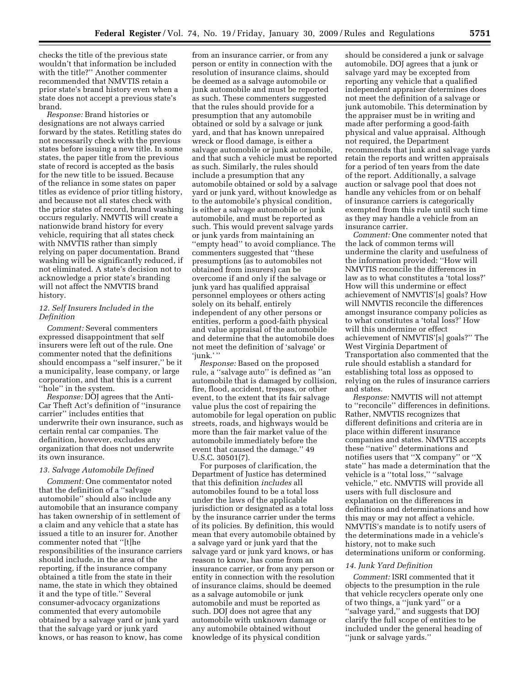checks the title of the previous state wouldn't that information be included with the title?'' Another commenter recommended that NMVTIS retain a prior state's brand history even when a state does not accept a previous state's brand.

*Response:* Brand histories or designations are not always carried forward by the states. Retitling states do not necessarily check with the previous states before issuing a new title. In some states, the paper title from the previous state of record is accepted as the basis for the new title to be issued. Because of the reliance in some states on paper titles as evidence of prior titling history, and because not all states check with the prior states of record, brand washing occurs regularly. NMVTIS will create a nationwide brand history for every vehicle, requiring that all states check with NMVTIS rather than simply relying on paper documentation. Brand washing will be significantly reduced, if not eliminated. A state's decision not to acknowledge a prior state's branding will not affect the NMVTIS brand history.

## *12. Self Insurers Included in the Definition*

*Comment:* Several commenters expressed disappointment that self insurers were left out of the rule. One commenter noted that the definitions should encompass a ''self insurer,'' be it a municipality, lease company, or large corporation, and that this is a current ''hole'' in the system.

*Response:* DOJ agrees that the Anti-Car Theft Act's definition of ''insurance carrier'' includes entities that underwrite their own insurance, such as certain rental car companies. The definition, however, excludes any organization that does not underwrite its own insurance.

#### *13. Salvage Automobile Defined*

*Comment:* One commentator noted that the definition of a ''salvage automobile'' should also include any automobile that an insurance company has taken ownership of in settlement of a claim and any vehicle that a state has issued a title to an insurer for. Another commenter noted that ''[t]he responsibilities of the insurance carriers should include, in the area of the reporting, if the insurance company obtained a title from the state in their name, the state in which they obtained it and the type of title.'' Several consumer-advocacy organizations commented that every automobile obtained by a salvage yard or junk yard that the salvage yard or junk yard knows, or has reason to know, has come

from an insurance carrier, or from any person or entity in connection with the resolution of insurance claims, should be deemed as a salvage automobile or junk automobile and must be reported as such. These commenters suggested that the rules should provide for a presumption that any automobile obtained or sold by a salvage or junk yard, and that has known unrepaired wreck or flood damage, is either a salvage automobile or junk automobile, and that such a vehicle must be reported as such. Similarly, the rules should include a presumption that any automobile obtained or sold by a salvage yard or junk yard, without knowledge as to the automobile's physical condition, is either a salvage automobile or junk automobile, and must be reported as such. This would prevent salvage yards or junk yards from maintaining an ''empty head'' to avoid compliance. The commenters suggested that ''these presumptions (as to automobiles not obtained from insurers) can be overcome if and only if the salvage or junk yard has qualified appraisal personnel employees or others acting solely on its behalf, entirely independent of any other persons or entities, perform a good-faith physical and value appraisal of the automobile and determine that the automobile does not meet the definition of 'salvage' or 'junk.' ''

*Response:* Based on the proposed rule, a ''salvage auto'' is defined as ''an automobile that is damaged by collision, fire, flood, accident, trespass, or other event, to the extent that its fair salvage value plus the cost of repairing the automobile for legal operation on public streets, roads, and highways would be more than the fair market value of the automobile immediately before the event that caused the damage.'' 49 U.S.C. 30501(7).

For purposes of clarification, the Department of Justice has determined that this definition *includes* all automobiles found to be a total loss under the laws of the applicable jurisdiction or designated as a total loss by the insurance carrier under the terms of its policies. By definition, this would mean that every automobile obtained by a salvage yard or junk yard that the salvage yard or junk yard knows, or has reason to know, has come from an insurance carrier, or from any person or entity in connection with the resolution of insurance claims, should be deemed as a salvage automobile or junk automobile and must be reported as such. DOJ does not agree that any automobile with unknown damage or any automobile obtained without knowledge of its physical condition

should be considered a junk or salvage automobile. DOJ agrees that a junk or salvage yard may be excepted from reporting any vehicle that a qualified independent appraiser determines does not meet the definition of a salvage or junk automobile. This determination by the appraiser must be in writing and made after performing a good-faith physical and value appraisal. Although not required, the Department recommends that junk and salvage yards retain the reports and written appraisals for a period of ten years from the date of the report. Additionally, a salvage auction or salvage pool that does not handle any vehicles from or on behalf of insurance carriers is categorically exempted from this rule until such time as they may handle a vehicle from an insurance carrier.

*Comment:* One commenter noted that the lack of common terms will undermine the clarity and usefulness of the information provided: ''How will NMVTIS reconcile the differences in law as to what constitutes a 'total loss?' How will this undermine or effect achievement of NMVTIS'[s] goals? How will NMVTIS reconcile the differences amongst insurance company policies as to what constitutes a 'total loss?' How will this undermine or effect achievement of NMVTIS'[s] goals?'' The West Virginia Department of Transportation also commented that the rule should establish a standard for establishing total loss as opposed to relying on the rules of insurance carriers and states.

*Response:* NMVTIS will not attempt to ''reconcile'' differences in definitions. Rather, NMVTIS recognizes that different definitions and criteria are in place within different insurance companies and states. NMVTIS accepts these ''native'' determinations and notifies users that ''X company'' or ''X state'' has made a determination that the vehicle is a ''total loss,'' ''salvage vehicle,'' etc. NMVTIS will provide all users with full disclosure and explanation on the differences in definitions and determinations and how this may or may not affect a vehicle. NMVTIS's mandate is to notify users of the determinations made in a vehicle's history, not to make such determinations uniform or conforming.

#### *14. Junk Yard Definition*

*Comment:* ISRI commented that it objects to the presumption in the rule that vehicle recyclers operate only one of two things, a ''junk yard'' or a ''salvage yard,'' and suggests that DOJ clarify the full scope of entities to be included under the general heading of ''junk or salvage yards.''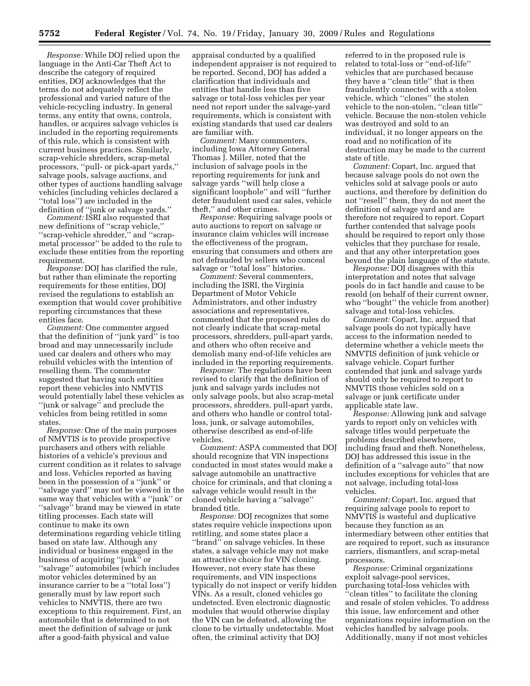*Response:* While DOJ relied upon the language in the Anti-Car Theft Act to describe the category of required entities, DOJ acknowledges that the terms do not adequately reflect the professional and varied nature of the vehicle-recycling industry. In general terms, any entity that owns, controls, handles, or acquires salvage vehicles is included in the reporting requirements of this rule, which is consistent with current business practices. Similarly, scrap-vehicle shredders, scrap-metal processors, ''pull- or pick-apart yards,'' salvage pools, salvage auctions, and other types of auctions handling salvage vehicles (including vehicles declared a ''total loss'') are included in the definition of ''junk or salvage yards.''

Comment: ISRI also requested that new definitions of ''scrap vehicle,'' ''scrap-vehicle shredder,'' and ''scrapmetal processor'' be added to the rule to exclude these entities from the reporting requirement.

*Response:* DOJ has clarified the rule, but rather than eliminate the reporting requirements for these entities, DOJ revised the regulations to establish an exemption that would cover prohibitive reporting circumstances that these entities face.

*Comment:* One commenter argued that the definition of ''junk yard'' is too broad and may unnecessarily include used car dealers and others who may rebuild vehicles with the intention of reselling them. The commenter suggested that having such entities report these vehicles into NMVTIS would potentially label these vehicles as ''junk or salvage'' and preclude the vehicles from being retitled in some states.

*Response:* One of the main purposes of NMVTIS is to provide prospective purchasers and others with reliable histories of a vehicle's previous and current condition as it relates to salvage and loss. Vehicles reported as having been in the possession of a ''junk'' or ''salvage yard'' may not be viewed in the same way that vehicles with a ''junk'' or ''salvage'' brand may be viewed in state titling processes. Each state will continue to make its own determinations regarding vehicle titling based on state law. Although any individual or business engaged in the business of acquiring ''junk'' or ''salvage'' automobiles (which includes motor vehicles determined by an insurance carrier to be a ''total loss'') generally must by law report such vehicles to NMVTIS, there are two exceptions to this requirement. First, an automobile that is determined to not meet the definition of salvage or junk after a good-faith physical and value

appraisal conducted by a qualified independent appraiser is not required to be reported. Second, DOJ has added a clarification that individuals and entities that handle less than five salvage or total-loss vehicles per year need not report under the salvage-yard requirements, which is consistent with existing standards that used car dealers are familiar with.

*Comment:* Many commenters, including Iowa Attorney General Thomas J. Miller, noted that the inclusion of salvage pools in the reporting requirements for junk and salvage yards ''will help close a significant loophole'' and will ''further deter fraudulent used car sales, vehicle theft,'' and other crimes.

*Response:* Requiring salvage pools or auto auctions to report on salvage or insurance claim vehicles will increase the effectiveness of the program, ensuring that consumers and others are not defrauded by sellers who conceal salvage or "total loss" histories.

*Comment:* Several commenters, including the ISRI, the Virginia Department of Motor Vehicle Administrators, and other industry associations and representatives, commented that the proposed rules do not clearly indicate that scrap-metal processors, shredders, pull-apart yards, and others who often receive and demolish many end-of-life vehicles are included in the reporting requirements.

*Response:* The regulations have been revised to clarify that the definition of junk and salvage yards includes not only salvage pools, but also scrap-metal processors, shredders, pull-apart yards, and others who handle or control totalloss, junk, or salvage automobiles, otherwise described as end-of-life vehicles.

*Comment:* ASPA commented that DOJ should recognize that VIN inspections conducted in most states would make a salvage automobile an unattractive choice for criminals, and that cloning a salvage vehicle would result in the cloned vehicle having a ''salvage'' branded title.

*Response:* DOJ recognizes that some states require vehicle inspections upon retitling, and some states place a "brand" on salvage vehicles. In these states, a salvage vehicle may not make an attractive choice for VIN cloning. However, not every state has these requirements, and VIN inspections typically do not inspect or verify hidden VINs. As a result, cloned vehicles go undetected. Even electronic diagnostic modules that would otherwise display the VIN can be defeated, allowing the clone to be virtually undetectable. Most often, the criminal activity that DOJ

referred to in the proposed rule is related to total-loss or ''end-of-life'' vehicles that are purchased because they have a ''clean title'' that is then fraudulently connected with a stolen vehicle, which ''clones'' the stolen vehicle to the non-stolen, ''clean title'' vehicle. Because the non-stolen vehicle was destroyed and sold to an individual, it no longer appears on the road and no notification of its destruction may be made to the current state of title.

*Comment:* Copart, Inc. argued that because salvage pools do not own the vehicles sold at salvage pools or auto auctions, and therefore by definition do not ''resell'' them, they do not meet the definition of salvage yard and are therefore not required to report. Copart further contended that salvage pools should be required to report only those vehicles that they purchase for resale, and that any other interpretation goes beyond the plain language of the statute.

*Response:* DOJ disagrees with this interpretation and notes that salvage pools do in fact handle and cause to be resold (on behalf of their current owner, who ''bought'' the vehicle from another) salvage and total-loss vehicles.

*Comment:* Copart, Inc. argued that salvage pools do not typically have access to the information needed to determine whether a vehicle meets the NMVTIS definition of junk vehicle or salvage vehicle. Copart further contended that junk and salvage yards should only be required to report to NMVTIS those vehicles sold on a salvage or junk certificate under applicable state law.

*Response:* Allowing junk and salvage yards to report only on vehicles with salvage titles would perpetuate the problems described elsewhere, including fraud and theft. Nonetheless, DOJ has addressed this issue in the definition of a ''salvage auto'' that now includes exceptions for vehicles that are not salvage, including total-loss vehicles.

*Comment:* Copart, Inc. argued that requiring salvage pools to report to NMVTIS is wasteful and duplicative because they function as an intermediary between other entities that are required to report, such as insurance carriers, dismantlers, and scrap-metal processors.

*Response:* Criminal organizations exploit salvage-pool services, purchasing total-loss vehicles with ''clean titles'' to facilitate the cloning and resale of stolen vehicles. To address this issue, law enforcement and other organizations require information on the vehicles handled by salvage pools. Additionally, many if not most vehicles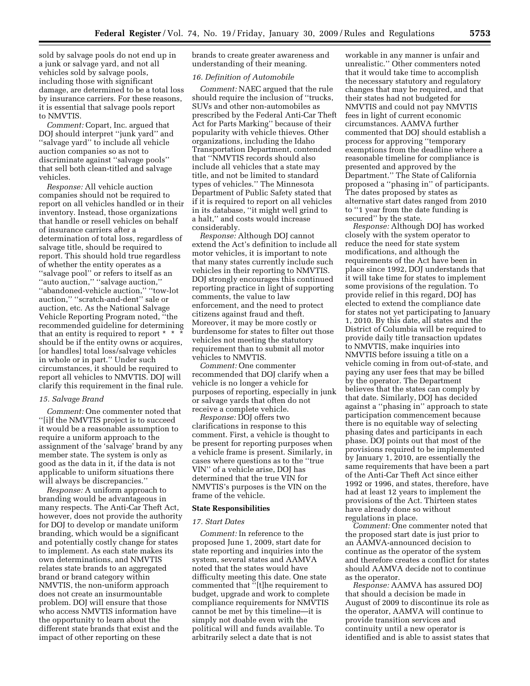sold by salvage pools do not end up in a junk or salvage yard, and not all vehicles sold by salvage pools, including those with significant damage, are determined to be a total loss by insurance carriers. For these reasons, it is essential that salvage pools report to NMVTIS.

*Comment:* Copart, Inc. argued that DOJ should interpret ''junk yard'' and ''salvage yard'' to include all vehicle auction companies so as not to discriminate against ''salvage pools'' that sell both clean-titled and salvage vehicles.

*Response:* All vehicle auction companies should not be required to report on all vehicles handled or in their inventory. Instead, those organizations that handle or resell vehicles on behalf of insurance carriers after a determination of total loss, regardless of salvage title, should be required to report. This should hold true regardless of whether the entity operates as a ''salvage pool'' or refers to itself as an ''auto auction,'' ''salvage auction,'' ''abandoned-vehicle auction,'' ''tow-lot auction,'' ''scratch-and-dent'' sale or auction, etc. As the National Salvage Vehicle Reporting Program noted, ''the recommended guideline for determining that an entity is required to report \* \* \* should be if the entity owns or acquires, [or handles] total loss/salvage vehicles in whole or in part.'' Under such circumstances, it should be required to report all vehicles to NMVTIS. DOJ will clarify this requirement in the final rule.

#### *15. Salvage Brand*

*Comment:* One commenter noted that ''[i]f the NMVTIS project is to succeed it would be a reasonable assumption to require a uniform approach to the assignment of the 'salvage' brand by any member state. The system is only as good as the data in it, if the data is not applicable to uniform situations there will always be discrepancies.''

*Response:* A uniform approach to branding would be advantageous in many respects. The Anti-Car Theft Act, however, does not provide the authority for DOJ to develop or mandate uniform branding, which would be a significant and potentially costly change for states to implement. As each state makes its own determinations, and NMVTIS relates state brands to an aggregated brand or brand category within NMVTIS, the non-uniform approach does not create an insurmountable problem. DOJ will ensure that those who access NMVTIS information have the opportunity to learn about the different state brands that exist and the impact of other reporting on these

brands to create greater awareness and understanding of their meaning.

### *16. Definition of Automobile*

*Comment:* NAEC argued that the rule should require the inclusion of ''trucks, SUVs and other non-automobiles as prescribed by the Federal Anti-Car Theft Act for Parts Marking'' because of their popularity with vehicle thieves. Other organizations, including the Idaho Transportation Department, contended that ''NMVTIS records should also include all vehicles that a state may title, and not be limited to standard types of vehicles.'' The Minnesota Department of Public Safety stated that if it is required to report on all vehicles in its database, ''it might well grind to a halt,'' and costs would increase considerably.

*Response:* Although DOJ cannot extend the Act's definition to include all motor vehicles, it is important to note that many states currently include such vehicles in their reporting to NMVTIS. DOJ strongly encourages this continued reporting practice in light of supporting comments, the value to law enforcement, and the need to protect citizens against fraud and theft. Moreover, it may be more costly or burdensome for states to filter out those vehicles not meeting the statutory requirement than to submit all motor vehicles to NMVTIS.

*Comment:* One commenter recommended that DOJ clarify when a vehicle is no longer a vehicle for purposes of reporting, especially in junk or salvage yards that often do not receive a complete vehicle.

*Response:* DOJ offers two clarifications in response to this comment. First, a vehicle is thought to be present for reporting purposes when a vehicle frame is present. Similarly, in cases where questions as to the ''true VIN'' of a vehicle arise, DOJ has determined that the true VIN for NMVTIS's purposes is the VIN on the frame of the vehicle.

## **State Responsibilities**

#### *17. Start Dates*

*Comment:* In reference to the proposed June 1, 2009, start date for state reporting and inquiries into the system, several states and AAMVA noted that the states would have difficulty meeting this date. One state commented that ''[t]he requirement to budget, upgrade and work to complete compliance requirements for NMVTIS cannot be met by this timeline—it is simply not doable even with the political will and funds available. To arbitrarily select a date that is not

workable in any manner is unfair and unrealistic.'' Other commenters noted that it would take time to accomplish the necessary statutory and regulatory changes that may be required, and that their states had not budgeted for NMVTIS and could not pay NMVTIS fees in light of current economic circumstances. AAMVA further commented that DOJ should establish a process for approving ''temporary exemptions from the deadline where a reasonable timeline for compliance is presented and approved by the Department.'' The State of California proposed a ''phasing in'' of participants. The dates proposed by states as alternative start dates ranged from 2010 to ''1 year from the date funding is secured'' by the state.

*Response:* Although DOJ has worked closely with the system operator to reduce the need for state system modifications, and although the requirements of the Act have been in place since 1992, DOJ understands that it will take time for states to implement some provisions of the regulation. To provide relief in this regard, DOJ has elected to extend the compliance date for states not yet participating to January 1, 2010. By this date, all states and the District of Columbia will be required to provide daily title transaction updates to NMVTIS, make inquiries into NMVTIS before issuing a title on a vehicle coming in from out-of-state, and paying any user fees that may be billed by the operator. The Department believes that the states can comply by that date. Similarly, DOJ has decided against a ''phasing in'' approach to state participation commencement because there is no equitable way of selecting phasing dates and participants in each phase. DOJ points out that most of the provisions required to be implemented by January 1, 2010, are essentially the same requirements that have been a part of the Anti-Car Theft Act since either 1992 or 1996, and states, therefore, have had at least 12 years to implement the provisions of the Act. Thirteen states have already done so without regulations in place.

*Comment:* One commenter noted that the proposed start date is just prior to an AAMVA-announced decision to continue as the operator of the system and therefore creates a conflict for states should AAMVA decide not to continue as the operator.

*Response:* AAMVA has assured DOJ that should a decision be made in August of 2009 to discontinue its role as the operator, AAMVA will continue to provide transition services and continuity until a new operator is identified and is able to assist states that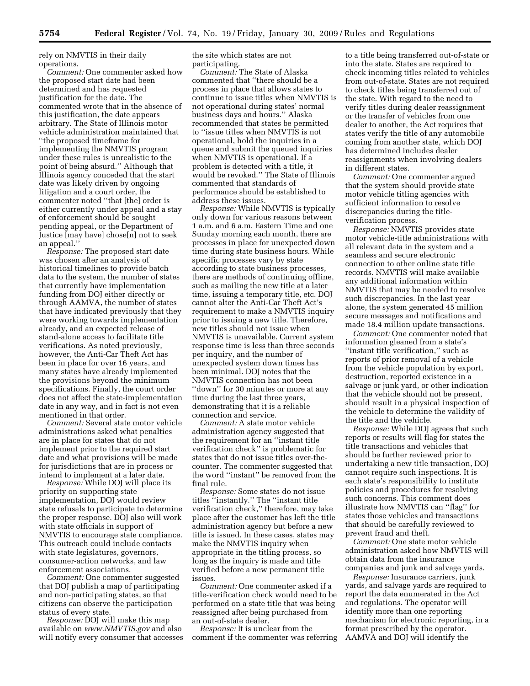rely on NMVTIS in their daily operations.

*Comment:* One commenter asked how the proposed start date had been determined and has requested justification for the date. The commented wrote that in the absence of this justification, the date appears arbitrary. The State of Illinois motor vehicle administration maintained that ''the proposed timeframe for implementing the NMVTIS program under these rules is unrealistic to the point of being absurd.'' Although that Illinois agency conceded that the start date was likely driven by ongoing litigation and a court order, the commenter noted ''that [the] order is either currently under appeal and a stay of enforcement should be sought pending appeal, or the Department of Justice [may have] chose[n] not to seek an appeal.''

*Response:* The proposed start date was chosen after an analysis of historical timelines to provide batch data to the system, the number of states that currently have implementation funding from DOJ either directly or through AAMVA, the number of states that have indicated previously that they were working towards implementation already, and an expected release of stand-alone access to facilitate title verifications. As noted previously, however, the Anti-Car Theft Act has been in place for over 16 years, and many states have already implemented the provisions beyond the minimum specifications. Finally, the court order does not affect the state-implementation date in any way, and in fact is not even mentioned in that order.

*Comment:* Several state motor vehicle administrations asked what penalties are in place for states that do not implement prior to the required start date and what provisions will be made for jurisdictions that are in process or intend to implement at a later date.

*Response:* While DOJ will place its priority on supporting state implementation, DOJ would review state refusals to participate to determine the proper response. DOJ also will work with state officials in support of NMVTIS to encourage state compliance. This outreach could include contacts with state legislatures, governors, consumer-action networks, and law enforcement associations.

*Comment:* One commenter suggested that DOJ publish a map of participating and non-participating states, so that citizens can observe the participation status of every state.

*Response:* DOJ will make this map available on *[www.NMVTIS.gov](http://www.NMVTIS.gov)* and also will notify every consumer that accesses the site which states are not participating.

*Comment:* The State of Alaska commented that ''there should be a process in place that allows states to continue to issue titles when NMVTIS is not operational during states' normal business days and hours.'' Alaska recommended that states be permitted to ''issue titles when NMVTIS is not operational, hold the inquiries in a queue and submit the queued inquiries when NMVTIS is operational. If a problem is detected with a title, it would be revoked.'' The State of Illinois commented that standards of performance should be established to address these issues.

*Response:* While NMVTIS is typically only down for various reasons between 1 a.m. and 6 a.m. Eastern Time and one Sunday morning each month, there are processes in place for unexpected down time during state business hours. While specific processes vary by state according to state business processes, there are methods of continuing offline, such as mailing the new title at a later time, issuing a temporary title, etc. DOJ cannot alter the Anti-Car Theft Act's requirement to make a NMVTIS inquiry prior to issuing a new title. Therefore, new titles should not issue when NMVTIS is unavailable. Current system response time is less than three seconds per inquiry, and the number of unexpected system down times has been minimal. DOJ notes that the NMVTIS connection has not been ''down'' for 30 minutes or more at any time during the last three years, demonstrating that it is a reliable connection and service.

*Comment:* A state motor vehicle administration agency suggested that the requirement for an ''instant title verification check'' is problematic for states that do not issue titles over-thecounter. The commenter suggested that the word ''instant'' be removed from the final rule.

*Response:* Some states do not issue titles ''instantly.'' The ''instant title verification check,'' therefore, may take place after the customer has left the title administration agency but before a new title is issued. In these cases, states may make the NMVTIS inquiry when appropriate in the titling process, so long as the inquiry is made and title verified before a new permanent title issues.

*Comment:* One commenter asked if a title-verification check would need to be performed on a state title that was being reassigned after being purchased from an out-of-state dealer.

*Response:* It is unclear from the comment if the commenter was referring

to a title being transferred out-of-state or into the state. States are required to check incoming titles related to vehicles from out-of-state. States are not required to check titles being transferred out of the state. With regard to the need to verify titles during dealer reassignment or the transfer of vehicles from one dealer to another, the Act requires that states verify the title of any automobile coming from another state, which DOJ has determined includes dealer reassignments when involving dealers in different states.

*Comment:* One commenter argued that the system should provide state motor vehicle titling agencies with sufficient information to resolve discrepancies during the titleverification process.

*Response:* NMVTIS provides state motor vehicle-title administrations with all relevant data in the system and a seamless and secure electronic connection to other online state title records. NMVTIS will make available any additional information within NMVTIS that may be needed to resolve such discrepancies. In the last year alone, the system generated 45 million secure messages and notifications and made 18.4 million update transactions.

*Comment:* One commenter noted that information gleaned from a state's ''instant title verification,'' such as reports of prior removal of a vehicle from the vehicle population by export, destruction, reported existence in a salvage or junk yard, or other indication that the vehicle should not be present, should result in a physical inspection of the vehicle to determine the validity of the title and the vehicle.

*Response:* While DOJ agrees that such reports or results will flag for states the title transactions and vehicles that should be further reviewed prior to undertaking a new title transaction, DOJ cannot require such inspections. It is each state's responsibility to institute policies and procedures for resolving such concerns. This comment does illustrate how NMVTIS can ''flag'' for states those vehicles and transactions that should be carefully reviewed to prevent fraud and theft.

*Comment:* One state motor vehicle administration asked how NMVTIS will obtain data from the insurance companies and junk and salvage yards.

*Response:* Insurance carriers, junk yards, and salvage yards are required to report the data enumerated in the Act and regulations. The operator will identify more than one reporting mechanism for electronic reporting, in a format prescribed by the operator. AAMVA and DOJ will identify the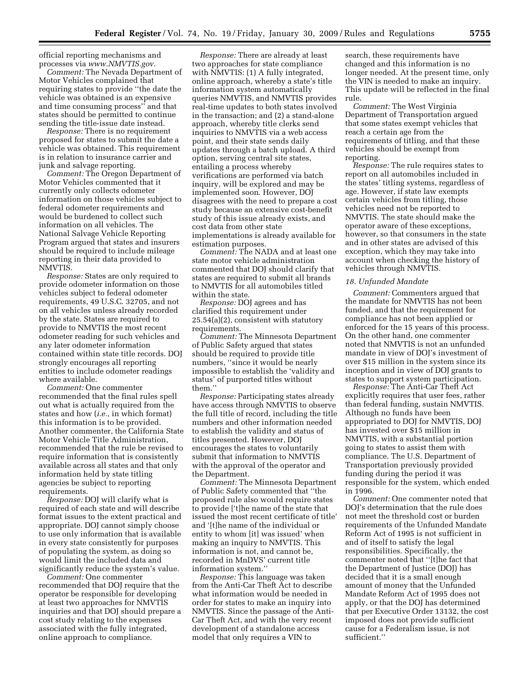official reporting mechanisms and processes via *[www.NMVTIS.gov](http://www.NMVTIS.gov)*.

*Comment:* The Nevada Department of Motor Vehicles complained that requiring states to provide ''the date the vehicle was obtained is an expensive and time consuming process'' and that states should be permitted to continue sending the title-issue date instead.

*Response:* There is no requirement proposed for states to submit the date a vehicle was obtained. This requirement is in relation to insurance carrier and junk and salvage reporting.

*Comment:* The Oregon Department of Motor Vehicles commented that it currently only collects odometer information on those vehicles subject to federal odometer requirements and would be burdened to collect such information on all vehicles. The National Salvage Vehicle Reporting Program argued that states and insurers should be required to include mileage reporting in their data provided to NMVTIS.

*Response:* States are only required to provide odometer information on those vehicles subject to federal odometer requirements, 49 U.S.C. 32705, and not on all vehicles unless already recorded by the state. States are required to provide to NMVTIS the most recent odometer reading for such vehicles and any later odometer information contained within state title records. DOJ strongly encourages all reporting entities to include odometer readings where available.

*Comment:* One commenter recommended that the final rules spell out what is actually required from the states and how (*i.e.*, in which format) this information is to be provided. Another commenter, the California State Motor Vehicle Title Administration, recommended that the rule be revised to require information that is consistently available across all states and that only information held by state titling agencies be subject to reporting requirements.

*Response:* DOJ will clarify what is required of each state and will describe format issues to the extent practical and appropriate. DOJ cannot simply choose to use only information that is available in every state consistently for purposes of populating the system, as doing so would limit the included data and significantly reduce the system's value.

*Comment:* One commenter recommended that DOJ require that the operator be responsible for developing at least two approaches for NMVTIS inquiries and that DOJ should prepare a cost study relating to the expenses associated with the fully integrated, online approach to compliance.

*Response:* There are already at least two approaches for state compliance with NMVTIS: (1) A fully integrated, online approach, whereby a state's title information system automatically queries NMVTIS, and NMVTIS provides real-time updates to both states involved in the transaction; and (2) a stand-alone approach, whereby title clerks send inquiries to NMVTIS via a web access point, and their state sends daily updates through a batch upload. A third option, serving central site states, entailing a process whereby verifications are performed via batch inquiry, will be explored and may be implemented soon. However, DOJ disagrees with the need to prepare a cost study because an extensive cost-benefit study of this issue already exists, and cost data from other state implementations is already available for estimation purposes.

*Comment:* The NADA and at least one state motor vehicle administration commented that DOJ should clarify that states are required to submit all brands to NMVTIS for all automobiles titled within the state.

*Response:* DOJ agrees and has clarified this requirement under 25.54(a)(2), consistent with statutory requirements.

*Comment:* The Minnesota Department of Public Safety argued that states should be required to provide title numbers, ''since it would be nearly impossible to establish the 'validity and status' of purported titles without them.''

*Response:* Participating states already have access through NMVTIS to observe the full title of record, including the title numbers and other information needed to establish the validity and status of titles presented. However, DOJ encourages the states to voluntarily submit that information to NMVTIS with the approval of the operator and the Department.

*Comment:* The Minnesota Department of Public Safety commented that ''the proposed rule also would require states to provide ['t]he name of the state that issued the most recent certificate of title' and '[t]he name of the individual or entity to whom [it] was issued' when making an inquiry to NMVTIS. This information is not, and cannot be, recorded in MnDVS' current title information system.''

*Response:* This language was taken from the Anti-Car Theft Act to describe what information would be needed in order for states to make an inquiry into NMVTIS. Since the passage of the Anti-Car Theft Act, and with the very recent development of a standalone access model that only requires a VIN to

search, these requirements have changed and this information is no longer needed. At the present time, only the VIN is needed to make an inquiry. This update will be reflected in the final rule.

*Comment:* The West Virginia Department of Transportation argued that some states exempt vehicles that reach a certain age from the requirements of titling, and that these vehicles should be exempt from reporting.

*Response:* The rule requires states to report on all automobiles included in the states' titling systems, regardless of age. However, if state law exempts certain vehicles from titling, those vehicles need not be reported to NMVTIS. The state should make the operator aware of these exceptions, however, so that consumers in the state and in other states are advised of this exception, which they may take into account when checking the history of vehicles through NMVTIS.

## *18. Unfunded Mandate*

*Comment:* Commenters argued that the mandate for NMVTIS has not been funded, and that the requirement for compliance has not been applied or enforced for the 15 years of this process. On the other hand, one commenter noted that NMVTIS is not an unfunded mandate in view of DOJ's investment of over \$15 million in the system since its inception and in view of DOJ grants to states to support system participation.

*Response:* The Anti-Car Theft Act explicitly requires that user fees, rather than federal funding, sustain NMVTIS. Although no funds have been appropriated to DOJ for NMVTIS, DOJ has invested over \$15 million in NMVTIS, with a substantial portion going to states to assist them with compliance. The U.S. Department of Transportation previously provided funding during the period it was responsible for the system, which ended in 1996.

*Comment:* One commenter noted that DOJ's determination that the rule does not meet the threshold cost or burden requirements of the Unfunded Mandate Reform Act of 1995 is not sufficient in and of itself to satisfy the legal responsibilities. Specifically, the commenter noted that ''[t]he fact that the Department of Justice (DOJ) has decided that it is a small enough amount of money that the Unfunded Mandate Reform Act of 1995 does not apply, or that the DOJ has determined that per Executive Order 13132, the cost imposed does not provide sufficient cause for a Federalism issue, is not sufficient.''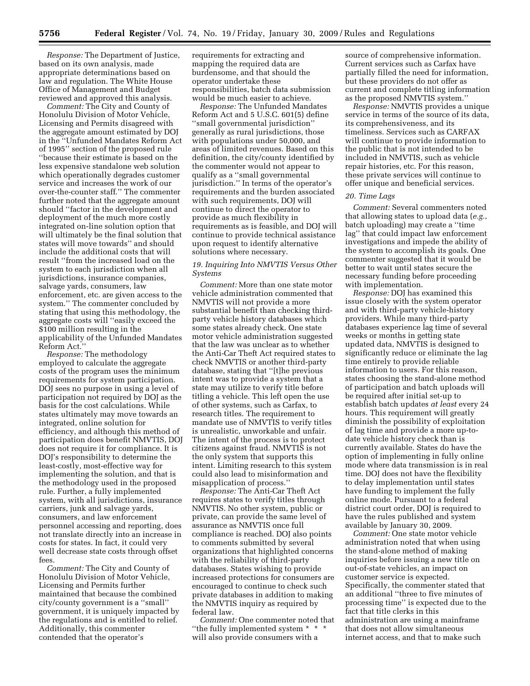*Response:* The Department of Justice, based on its own analysis, made appropriate determinations based on law and regulation. The White House Office of Management and Budget reviewed and approved this analysis.

*Comment:* The City and County of Honolulu Division of Motor Vehicle, Licensing and Permits disagreed with the aggregate amount estimated by DOJ in the ''Unfunded Mandates Reform Act of 1995'' section of the proposed rule ''because their estimate is based on the less expensive standalone web solution which operationally degrades customer service and increases the work of our over-the-counter staff.'' The commenter further noted that the aggregate amount should ''factor in the development and deployment of the much more costly integrated on-line solution option that will ultimately be the final solution that states will move towards'' and should include the additional costs that will result ''from the increased load on the system to each jurisdiction when all jurisdictions, insurance companies, salvage yards, consumers, law enforcement, etc. are given access to the system.'' The commenter concluded by stating that using this methodology, the aggregate costs will ''easily exceed the \$100 million resulting in the applicability of the Unfunded Mandates Reform Act.''

*Response:* The methodology employed to calculate the aggregate costs of the program uses the minimum requirements for system participation. DOJ sees no purpose in using a level of participation not required by DOJ as the basis for the cost calculations. While states ultimately may move towards an integrated, online solution for efficiency, and although this method of participation does benefit NMVTIS, DOJ does not require it for compliance. It is DOJ's responsibility to determine the least-costly, most-effective way for implementing the solution, and that is the methodology used in the proposed rule. Further, a fully implemented system, with all jurisdictions, insurance carriers, junk and salvage yards, consumers, and law enforcement personnel accessing and reporting, does not translate directly into an increase in costs for states. In fact, it could very well decrease state costs through offset fees.

*Comment:* The City and County of Honolulu Division of Motor Vehicle, Licensing and Permits further maintained that because the combined city/county government is a ''small'' government, it is uniquely impacted by the regulations and is entitled to relief. Additionally, this commenter contended that the operator's

requirements for extracting and mapping the required data are burdensome, and that should the operator undertake these responsibilities, batch data submission would be much easier to achieve.

*Response:* The Unfunded Mandates Reform Act and 5 U.S.C. 601(5) define ''small governmental jurisdiction'' generally as rural jurisdictions, those with populations under 50,000, and areas of limited revenues. Based on this definition, the city/county identified by the commenter would not appear to qualify as a ''small governmental jurisdiction.'' In terms of the operator's requirements and the burden associated with such requirements, DOJ will continue to direct the operator to provide as much flexibility in requirements as is feasible, and DOJ will continue to provide technical assistance upon request to identify alternative solutions where necessary.

## *19. Inquiring Into NMVTIS Versus Other Systems*

*Comment:* More than one state motor vehicle administration commented that NMVTIS will not provide a more substantial benefit than checking thirdparty vehicle history databases which some states already check. One state motor vehicle administration suggested that the law was unclear as to whether the Anti-Car Theft Act required states to check NMVTIS or another third-party database, stating that ''[t]he previous intent was to provide a system that a state may utilize to verify title before titling a vehicle. This left open the use of other systems, such as Carfax, to research titles. The requirement to mandate use of NMVTIS to verify titles is unrealistic, unworkable and unfair. The intent of the process is to protect citizens against fraud. NMVTIS is not the only system that supports this intent. Limiting research to this system could also lead to misinformation and misapplication of process.''

*Response:* The Anti-Car Theft Act requires states to verify titles through NMVTIS. No other system, public or private, can provide the same level of assurance as NMVTIS once full compliance is reached. DOJ also points to comments submitted by several organizations that highlighted concerns with the reliability of third-party databases. States wishing to provide increased protections for consumers are encouraged to continue to check such private databases in addition to making the NMVTIS inquiry as required by federal law.

*Comment:* One commenter noted that ''the fully implemented system \* \* \* will also provide consumers with a

source of comprehensive information. Current services such as Carfax have partially filled the need for information, but these providers do not offer as current and complete titling information as the proposed NMVTIS system.''

*Response:* NMVTIS provides a unique service in terms of the source of its data, its comprehensiveness, and its timeliness. Services such as CARFAX will continue to provide information to the public that is not intended to be included in NMVTIS, such as vehicle repair histories, etc. For this reason, these private services will continue to offer unique and beneficial services.

## *20. Time Lags*

*Comment:* Several commenters noted that allowing states to upload data (*e.g.*, batch uploading) may create a ''time lag'' that could impact law enforcement investigations and impede the ability of the system to accomplish its goals. One commenter suggested that it would be better to wait until states secure the necessary funding before proceeding with implementation.

*Response:* DOJ has examined this issue closely with the system operator and with third-party vehicle-history providers. While many third-party databases experience lag time of several weeks or months in getting state updated data, NMVTIS is designed to significantly reduce or eliminate the lag time entirely to provide reliable information to users. For this reason, states choosing the stand-alone method of participation and batch uploads will be required after initial set-up to establish batch updates *at least* every 24 hours. This requirement will greatly diminish the possibility of exploitation of lag time and provide a more up-todate vehicle history check than is currently available. States do have the option of implementing in fully online mode where data transmission is in real time. DOJ does not have the flexibility to delay implementation until states have funding to implement the fully online mode. Pursuant to a federal district court order, DOJ is required to have the rules published and system available by January 30, 2009.

*Comment:* One state motor vehicle administration noted that when using the stand-alone method of making inquiries before issuing a new title on out-of-state vehicles, an impact on customer service is expected. Specifically, the commenter stated that an additional ''three to five minutes of processing time'' is expected due to the fact that title clerks in this administration are using a mainframe that does not allow simultaneous internet access, and that to make such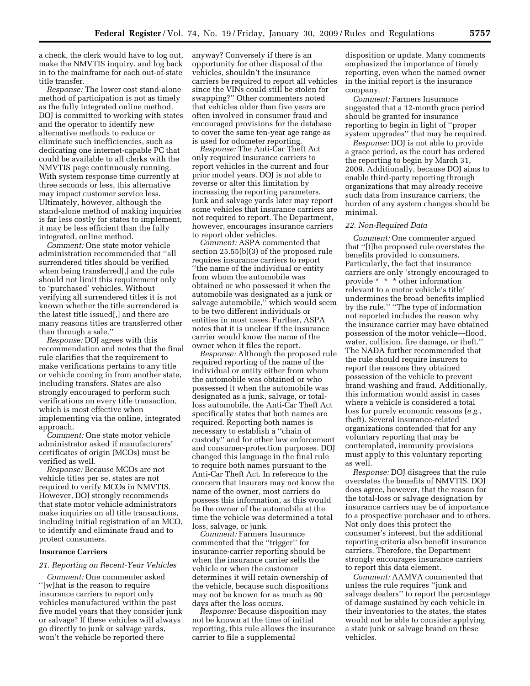a check, the clerk would have to log out, make the NMVTIS inquiry, and log back in to the mainframe for each out-of-state title transfer.

*Response:* The lower cost stand-alone method of participation is not as timely as the fully integrated online method. DOJ is committed to working with states and the operator to identify new alternative methods to reduce or eliminate such inefficiencies, such as dedicating one internet-capable PC that could be available to all clerks with the NMVTIS page continuously running. With system response time currently at three seconds or less, this alternative may impact customer service less. Ultimately, however, although the stand-alone method of making inquiries is far less costly for states to implement, it may be less efficient than the fully integrated, online method.

*Comment:* One state motor vehicle administration recommended that ''all surrendered titles should be verified when being transferred[,] and the rule should not limit this requirement only to 'purchased' vehicles. Without verifying all surrendered titles it is not known whether the title surrendered is the latest title issued[,] and there are many reasons titles are transferred other than through a sale.''

*Response:* DOJ agrees with this recommendation and notes that the final rule clarifies that the requirement to make verifications pertains to any title or vehicle coming in from another state, including transfers. States are also strongly encouraged to perform such verifications on every title transaction, which is most effective when implementing via the online, integrated approach.

*Comment:* One state motor vehicle administrator asked if manufacturers' certificates of origin (MCOs) must be verified as well.

*Response:* Because MCOs are not vehicle titles per se, states are not required to verify MCOs in NMVTIS. However, DOJ strongly recommends that state motor vehicle administrators make inquiries on all title transactions, including initial registration of an MCO, to identify and eliminate fraud and to protect consumers.

## **Insurance Carriers**

#### *21. Reporting on Recent-Year Vehicles*

*Comment:* One commenter asked ''[w]hat is the reason to require insurance carriers to report only vehicles manufactured within the past five model years that they consider junk or salvage? If these vehicles will always go directly to junk or salvage yards, won't the vehicle be reported there

anyway? Conversely if there is an opportunity for other disposal of the vehicles, shouldn't the insurance carriers be required to report all vehicles since the VINs could still be stolen for swapping?'' Other commenters noted that vehicles older than five years are often involved in consumer fraud and encouraged provisions for the database to cover the same ten-year age range as is used for odometer reporting.

*Response:* The Anti-Car Theft Act only required insurance carriers to report vehicles in the current and four prior model years. DOJ is not able to reverse or alter this limitation by increasing the reporting parameters. Junk and salvage yards later may report some vehicles that insurance carriers are not required to report. The Department, however, encourages insurance carriers to report older vehicles.

*Comment:* ASPA commented that section 25.55(b)(3) of the proposed rule requires insurance carriers to report ''the name of the individual or entity from whom the automobile was obtained or who possessed it when the automobile was designated as a junk or salvage automobile,'' which would seem to be two different individuals or entities in most cases. Further, ASPA notes that it is unclear if the insurance carrier would know the name of the owner when it files the report.

*Response:* Although the proposed rule required reporting of the name of the individual or entity either from whom the automobile was obtained or who possessed it when the automobile was designated as a junk, salvage, or totalloss automobile, the Anti-Car Theft Act specifically states that both names are required. Reporting both names is necessary to establish a ''chain of custody'' and for other law enforcement and consumer-protection purposes. DOJ changed this language in the final rule to require both names pursuant to the Anti-Car Theft Act. In reference to the concern that insurers may not know the name of the owner, most carriers do possess this information, as this would be the owner of the automobile at the time the vehicle was determined a total loss, salvage, or junk.

*Comment:* Farmers Insurance commented that the ''trigger'' for insurance-carrier reporting should be when the insurance carrier sells the vehicle or when the customer determines it will retain ownership of the vehicle, because such dispositions may not be known for as much as 90 days after the loss occurs.

*Response:* Because disposition may not be known at the time of initial reporting, this rule allows the insurance carrier to file a supplemental

disposition or update. Many comments emphasized the importance of timely reporting, even when the named owner in the initial report is the insurance company.

*Comment:* Farmers Insurance suggested that a 12-month grace period should be granted for insurance reporting to begin in light of ''proper system upgrades'' that may be required.

*Response:* DOJ is not able to provide a grace period, as the court has ordered the reporting to begin by March 31, 2009. Additionally, because DOJ aims to enable third-party reporting through organizations that may already receive such data from insurance carriers, the burden of any system changes should be minimal.

#### *22. Non-Required Data*

*Comment:* One commenter argued that ''[t]he proposed rule overstates the benefits provided to consumers. Particularly, the fact that insurance carriers are only 'strongly encouraged to provide \* \* \* other information relevant to a motor vehicle's title' undermines the broad benefits implied by the rule.'' ''The type of information not reported includes the reason why the insurance carrier may have obtained possession of the motor vehicle—flood, water, collision, fire damage, or theft.'' The NADA further recommended that the rule should require insurers to report the reasons they obtained possession of the vehicle to prevent brand washing and fraud. Additionally, this information would assist in cases where a vehicle is considered a total loss for purely economic reasons (*e.g.*, theft). Several insurance-related organizations contended that for any voluntary reporting that may be contemplated, immunity provisions must apply to this voluntary reporting as well.

*Response:* DOJ disagrees that the rule overstates the benefits of NMVTIS. DOJ does agree, however, that the reason for the total-loss or salvage designation by insurance carriers may be of importance to a prospective purchaser and to others. Not only does this protect the consumer's interest, but the additional reporting criteria also benefit insurance carriers. Therefore, the Department strongly encourages insurance carriers to report this data element.

*Comment:* AAMVA commented that unless the rule requires ''junk and salvage dealers'' to report the percentage of damage sustained by each vehicle in their inventories to the states, the states would not be able to consider applying a state junk or salvage brand on these vehicles.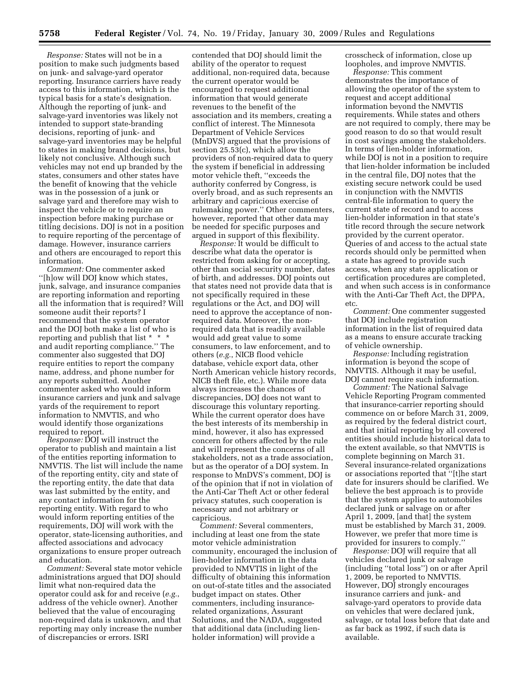*Response:* States will not be in a position to make such judgments based on junk- and salvage-yard operator reporting. Insurance carriers have ready access to this information, which is the typical basis for a state's designation. Although the reporting of junk- and salvage-yard inventories was likely not intended to support state-branding decisions, reporting of junk- and salvage-yard inventories may be helpful to states in making brand decisions, but likely not conclusive. Although such vehicles may not end up branded by the states, consumers and other states have the benefit of knowing that the vehicle was in the possession of a junk or salvage yard and therefore may wish to inspect the vehicle or to require an inspection before making purchase or titling decisions. DOJ is not in a position to require reporting of the percentage of damage. However, insurance carriers and others are encouraged to report this information.

*Comment:* One commenter asked ''[h]ow will DOJ know which states, junk, salvage, and insurance companies are reporting information and reporting all the information that is required? Will someone audit their reports? I recommend that the system operator and the DOJ both make a list of who is reporting and publish that list \* \* \* and audit reporting compliance.'' The commenter also suggested that DOJ require entities to report the company name, address, and phone number for any reports submitted. Another commenter asked who would inform insurance carriers and junk and salvage yards of the requirement to report information to NMVTIS, and who would identify those organizations required to report.

*Response:* DOJ will instruct the operator to publish and maintain a list of the entities reporting information to NMVTIS. The list will include the name of the reporting entity, city and state of the reporting entity, the date that data was last submitted by the entity, and any contact information for the reporting entity. With regard to who would inform reporting entities of the requirements, DOJ will work with the operator, state-licensing authorities, and affected associations and advocacy organizations to ensure proper outreach and education.

*Comment:* Several state motor vehicle administrations argued that DOJ should limit what non-required data the operator could ask for and receive (*e.g.*, address of the vehicle owner). Another believed that the value of encouraging non-required data is unknown, and that reporting may only increase the number of discrepancies or errors. ISRI

contended that DOJ should limit the ability of the operator to request additional, non-required data, because the current operator would be encouraged to request additional information that would generate revenues to the benefit of the association and its members, creating a conflict of interest. The Minnesota Department of Vehicle Services (MnDVS) argued that the provisions of section 25.53(c), which allow the providers of non-required data to query the system if beneficial in addressing motor vehicle theft, ''exceeds the authority conferred by Congress, is overly broad, and as such represents an arbitrary and capricious exercise of rulemaking power.'' Other commenters, however, reported that other data may be needed for specific purposes and argued in support of this flexibility.

*Response:* It would be difficult to describe what data the operator is restricted from asking for or accepting, other than social security number, dates of birth, and addresses. DOJ points out that states need not provide data that is not specifically required in these regulations or the Act, and DOJ will need to approve the acceptance of nonrequired data. Moreover, the nonrequired data that is readily available would add great value to some consumers, to law enforcement, and to others (*e.g.*, NICB flood vehicle database, vehicle export data, other North American vehicle history records, NICB theft file, etc.). While more data always increases the chances of discrepancies, DOJ does not want to discourage this voluntary reporting. While the current operator does have the best interests of its membership in mind, however, it also has expressed concern for others affected by the rule and will represent the concerns of all stakeholders, not as a trade association, but as the operator of a DOJ system. In response to MnDVS's comment, DOJ is of the opinion that if not in violation of the Anti-Car Theft Act or other federal privacy statutes, such cooperation is necessary and not arbitrary or capricious.

*Comment:* Several commenters, including at least one from the state motor vehicle administration community, encouraged the inclusion of lien-holder information in the data provided to NMVTIS in light of the difficulty of obtaining this information on out-of-state titles and the associated budget impact on states. Other commenters, including insurancerelated organizations, Assurant Solutions, and the NADA, suggested that additional data (including lienholder information) will provide a

crosscheck of information, close up loopholes, and improve NMVTIS.

*Response:* This comment demonstrates the importance of allowing the operator of the system to request and accept additional information beyond the NMVTIS requirements. While states and others are not required to comply, there may be good reason to do so that would result in cost savings among the stakeholders. In terms of lien-holder information, while DOJ is not in a position to require that lien-holder information be included in the central file, DOJ notes that the existing secure network could be used in conjunction with the NMVTIS central-file information to query the current state of record and to access lien-holder information in that state's title record through the secure network provided by the current operator. Queries of and access to the actual state records should only be permitted when a state has agreed to provide such access, when any state application or certification procedures are completed, and when such access is in conformance with the Anti-Car Theft Act, the DPPA, etc.

*Comment:* One commenter suggested that DOJ include registration information in the list of required data as a means to ensure accurate tracking of vehicle ownership.

*Response:* Including registration information is beyond the scope of NMVTIS. Although it may be useful, DOJ cannot require such information.

*Comment:* The National Salvage Vehicle Reporting Program commented that insurance-carrier reporting should commence on or before March 31, 2009, as required by the federal district court, and that initial reporting by all covered entities should include historical data to the extent available, so that NMVTIS is complete beginning on March 31. Several insurance-related organizations or associations reported that ''[t]he start date for insurers should be clarified. We believe the best approach is to provide that the system applies to automobiles declared junk or salvage on or after April 1, 2009, [and that] the system must be established by March 31, 2009. However, we prefer that more time is provided for insurers to comply.''

*Response:* DOJ will require that all vehicles declared junk or salvage (including ''total loss'') on or after April 1, 2009, be reported to NMVTIS. However, DOJ strongly encourages insurance carriers and junk- and salvage-yard operators to provide data on vehicles that were declared junk, salvage, or total loss before that date and as far back as 1992, if such data is available.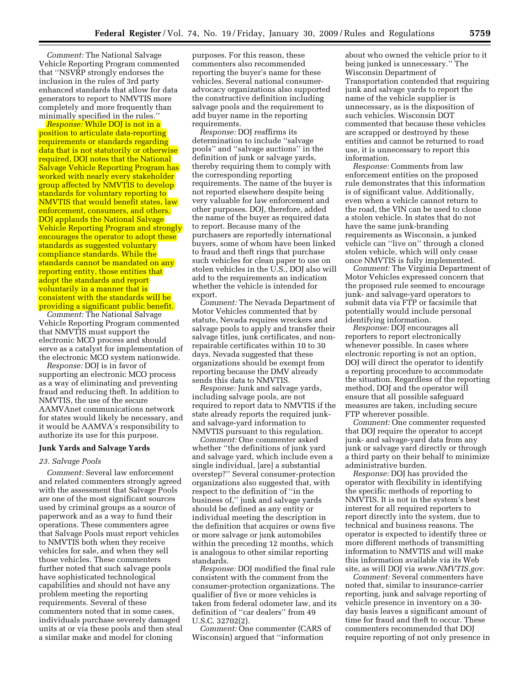*Comment:* The National Salvage Vehicle Reporting Program commented that ''NSVRP strongly endorses the inclusion in the rules of 3rd party enhanced standards that allow for data generators to report to NMVTIS more completely and more frequently than minimally specified in the rules.''

*Response:* While DOJ is not in a position to articulate data-reporting requirements or standards regarding data that is not statutorily or otherwise required, DOJ notes that the National Salvage Vehicle Reporting Program has worked with nearly every stakeholder group affected by NMVTIS to develop standards for voluntary reporting to NMVTIS that would benefit states, law enforcement, consumers, and others. DOJ applauds the National Salvage Vehicle Reporting Program and strongly encourages the operator to adopt these standards as suggested voluntary compliance standards. While the standards cannot be mandated on any reporting entity, those entities that adopt the standards and report voluntarily in a manner that is consistent with the standards will be providing a significant public benefit.

*Comment:* The National Salvage Vehicle Reporting Program commented that NMVTIS must support the electronic MCO process and should serve as a catalyst for implementation of the electronic MCO system nationwide.

*Response:* DOJ is in favor of supporting an electronic MCO process as a way of eliminating and preventing fraud and reducing theft. In addition to NMVTIS, the use of the secure AAMVAnet communications network for states would likely be necessary, and it would be AAMVA's responsibility to authorize its use for this purpose.

#### **Junk Yards and Salvage Yards**

#### *23. Salvage Pools*

*Comment:* Several law enforcement and related commenters strongly agreed with the assessment that Salvage Pools are one of the most significant sources used by criminal groups as a source of paperwork and as a way to fund their operations. These commenters agree that Salvage Pools must report vehicles to NMVTIS both when they receive vehicles for sale, and when they sell those vehicles. These commenters further noted that such salvage pools have sophisticated technological capabilities and should not have any problem meeting the reporting requirements. Several of these commenters noted that in some cases, individuals purchase severely damaged units at or via these pools and then steal a similar make and model for cloning

purposes. For this reason, these commenters also recommended reporting the buyer's name for these vehicles. Several national consumeradvocacy organizations also supported the constructive definition including salvage pools and the requirement to add buyer name in the reporting requirements.

*Response:* DOJ reaffirms its determination to include ''salvage pools'' and ''salvage auctions'' in the definition of junk or salvage yards, thereby requiring them to comply with the corresponding reporting requirements. The name of the buyer is not reported elsewhere despite being very valuable for law enforcement and other purposes. DOJ, therefore, added the name of the buyer as required data to report. Because many of the purchasers are reportedly international buyers, some of whom have been linked to fraud and theft rings that purchase such vehicles for clean paper to use on stolen vehicles in the U.S., DOJ also will add to the requirements an indication whether the vehicle is intended for export.

*Comment:* The Nevada Department of Motor Vehicles commented that by statute, Nevada requires wreckers and salvage pools to apply and transfer their salvage titles, junk certificates, and nonrepairable certificates within 10 to 30 days. Nevada suggested that these organizations should be exempt from reporting because the DMV already sends this data to NMVTIS.

*Response:* Junk and salvage yards, including salvage pools, are not required to report data to NMVTIS if the state already reports the required junkand salvage-yard information to NMVTIS pursuant to this regulation.

*Comment:* One commenter asked whether ''the definitions of junk yard and salvage yard, which include even a single individual, [are] a substantial overstep?'' Several consumer-protection organizations also suggested that, with respect to the definition of ''in the business of,'' junk and salvage yards should be defined as any entity or individual meeting the description in the definition that acquires or owns five or more salvage or junk automobiles within the preceding 12 months, which is analogous to other similar reporting standards.

*Response:* DOJ modified the final rule consistent with the comment from the consumer-protection organizations. The qualifier of five or more vehicles is taken from federal odometer law, and its definition of ''car dealers'' from 49 U.S.C. 32702(2).

*Comment:* One commenter (CARS of Wisconsin) argued that ''information

about who owned the vehicle prior to it being junked is unnecessary.'' The Wisconsin Department of Transportation contended that requiring junk and salvage yards to report the name of the vehicle supplier is unnecessary, as is the disposition of such vehicles. Wisconsin DOT commented that because these vehicles are scrapped or destroyed by these entities and cannot be returned to road use, it is unnecessary to report this information.

*Response:* Comments from law enforcement entities on the proposed rule demonstrates that this information is of significant value. Additionally, even when a vehicle cannot return to the road, the VIN can be used to clone a stolen vehicle. In states that do not have the same junk-branding requirements as Wisconsin, a junked vehicle can ''live on'' through a cloned stolen vehicle, which will only cease once NMVTIS is fully implemented.

*Comment:* The Virginia Department of Motor Vehicles expressed concern that the proposed rule seemed to encourage junk- and salvage-yard operators to submit data via FTP or facsimile that potentially would include personal identifying information.

*Response:* DOJ encourages all reporters to report electronically whenever possible. In cases where electronic reporting is not an option, DOJ will direct the operator to identify a reporting procedure to accommodate the situation. Regardless of the reporting method, DOJ and the operator will ensure that all possible safeguard measures are taken, including secure FTP wherever possible.

*Comment:* One commenter requested that DOJ require the operator to accept junk- and salvage-yard data from any junk or salvage yard directly or through a third party on their behalf to minimize administrative burden.

*Response:* DOJ has provided the operator with flexibility in identifying the specific methods of reporting to NMVTIS. It is not in the system's best interest for all required reporters to report directly into the system, due to technical and business reasons. The operator is expected to identify three or more different methods of transmitting information to NMVTIS and will make this information available via its Web site, as will DOJ via *[www.NMVTIS.gov.](http://www.NMVTIS.gov)* 

*Comment:* Several commenters have noted that, similar to insurance-carrier reporting, junk and salvage reporting of vehicle presence in inventory on a 30 day basis leaves a significant amount of time for fraud and theft to occur. These commenters recommended that DOJ require reporting of not only presence in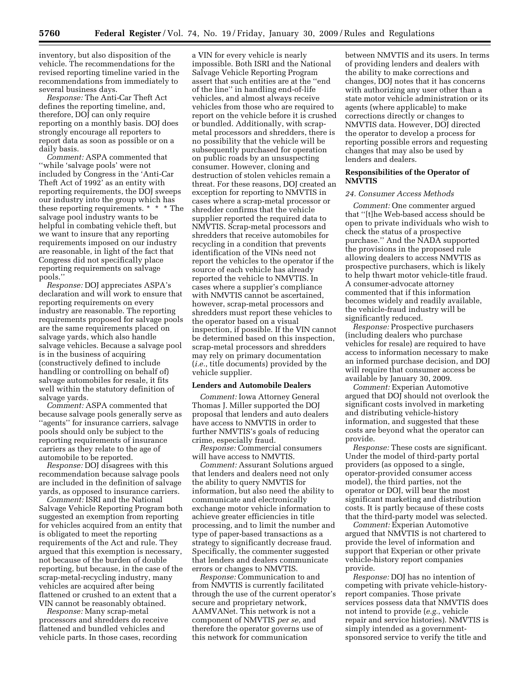inventory, but also disposition of the vehicle. The recommendations for the revised reporting timeline varied in the recommendations from immediately to several business days.

*Response:* The Anti-Car Theft Act defines the reporting timeline, and, therefore, DOJ can only require reporting on a monthly basis. DOJ does strongly encourage all reporters to report data as soon as possible or on a daily basis.

*Comment:* ASPA commented that ''while 'salvage pools' were not included by Congress in the 'Anti-Car Theft Act of 1992' as an entity with reporting requirements, the DOJ sweeps our industry into the group which has these reporting requirements. \* \* \* The salvage pool industry wants to be helpful in combating vehicle theft, but we want to insure that any reporting requirements imposed on our industry are reasonable, in light of the fact that Congress did not specifically place reporting requirements on salvage pools.''

*Response:* DOJ appreciates ASPA's declaration and will work to ensure that reporting requirements on every industry are reasonable. The reporting requirements proposed for salvage pools are the same requirements placed on salvage yards, which also handle salvage vehicles. Because a salvage pool is in the business of acquiring (constructively defined to include handling or controlling on behalf of) salvage automobiles for resale, it fits well within the statutory definition of salvage yards.

*Comment:* ASPA commented that because salvage pools generally serve as ''agents'' for insurance carriers, salvage pools should only be subject to the reporting requirements of insurance carriers as they relate to the age of automobile to be reported.

*Response:* DOJ disagrees with this recommendation because salvage pools are included in the definition of salvage yards, as opposed to insurance carriers.

*Comment:* ISRI and the National Salvage Vehicle Reporting Program both suggested an exemption from reporting for vehicles acquired from an entity that is obligated to meet the reporting requirements of the Act and rule. They argued that this exemption is necessary, not because of the burden of double reporting, but because, in the case of the scrap-metal-recycling industry, many vehicles are acquired after being flattened or crushed to an extent that a VIN cannot be reasonably obtained.

*Response:* Many scrap-metal processors and shredders do receive flattened and bundled vehicles and vehicle parts. In those cases, recording

a VIN for every vehicle is nearly impossible. Both ISRI and the National Salvage Vehicle Reporting Program assert that such entities are at the ''end of the line'' in handling end-of-life vehicles, and almost always receive vehicles from those who are required to report on the vehicle before it is crushed or bundled. Additionally, with scrapmetal processors and shredders, there is no possibility that the vehicle will be subsequently purchased for operation on public roads by an unsuspecting consumer. However, cloning and destruction of stolen vehicles remain a threat. For these reasons, DOJ created an exception for reporting to NMVTIS in cases where a scrap-metal processor or shredder confirms that the vehicle supplier reported the required data to NMVTIS. Scrap-metal processors and shredders that receive automobiles for recycling in a condition that prevents identification of the VINs need not report the vehicles to the operator if the source of each vehicle has already reported the vehicle to NMVTIS. In cases where a supplier's compliance with NMVTIS cannot be ascertained, however, scrap-metal processors and shredders must report these vehicles to the operator based on a visual inspection, if possible. If the VIN cannot be determined based on this inspection, scrap-metal processors and shredders may rely on primary documentation (*i.e.*, title documents) provided by the vehicle supplier.

#### **Lenders and Automobile Dealers**

*Comment:* Iowa Attorney General Thomas J. Miller supported the DOJ proposal that lenders and auto dealers have access to NMVTIS in order to further NMVTIS's goals of reducing crime, especially fraud.

*Response:* Commercial consumers will have access to NMVTIS.

*Comment:* Assurant Solutions argued that lenders and dealers need not only the ability to query NMVTIS for information, but also need the ability to communicate and electronically exchange motor vehicle information to achieve greater efficiencies in title processing, and to limit the number and type of paper-based transactions as a strategy to significantly decrease fraud. Specifically, the commenter suggested that lenders and dealers communicate errors or changes to NMVTIS.

*Response:* Communication to and from NMVTIS is currently facilitated through the use of the current operator's secure and proprietary network, AAMVANet. This network is not a component of NMVTIS *per se*, and therefore the operator governs use of this network for communication

between NMVTIS and its users. In terms of providing lenders and dealers with the ability to make corrections and changes, DOJ notes that it has concerns with authorizing any user other than a state motor vehicle administration or its agents (where applicable) to make corrections directly or changes to NMVTIS data. However, DOJ directed the operator to develop a process for reporting possible errors and requesting changes that may also be used by lenders and dealers.

## **Responsibilities of the Operator of NMVTIS**

### *24. Consumer Access Methods*

*Comment:* One commenter argued that ''[t]he Web-based access should be open to private individuals who wish to check the status of a prospective purchase.'' And the NADA supported the provisions in the proposed rule allowing dealers to access NMVTIS as prospective purchasers, which is likely to help thwart motor vehicle-title fraud. A consumer-advocate attorney commented that if this information becomes widely and readily available, the vehicle-fraud industry will be significantly reduced.

*Response:* Prospective purchasers (including dealers who purchase vehicles for resale) are required to have access to information necessary to make an informed purchase decision, and DOJ will require that consumer access be available by January 30, 2009.

*Comment:* Experian Automotive argued that DOJ should not overlook the significant costs involved in marketing and distributing vehicle-history information, and suggested that these costs are beyond what the operator can provide.

*Response:* These costs are significant. Under the model of third-party portal providers (as opposed to a single, operator-provided consumer access model), the third parties, not the operator or DOJ, will bear the most significant marketing and distribution costs. It is partly because of these costs that the third-party model was selected.

*Comment:* Experian Automotive argued that NMVTIS is not chartered to provide the level of information and support that Experian or other private vehicle-history report companies provide.

*Response:* DOJ has no intention of competing with private vehicle-historyreport companies. Those private services possess data that NMVTIS does not intend to provide (*e.g.*, vehicle repair and service histories). NMVTIS is simply intended as a governmentsponsored service to verify the title and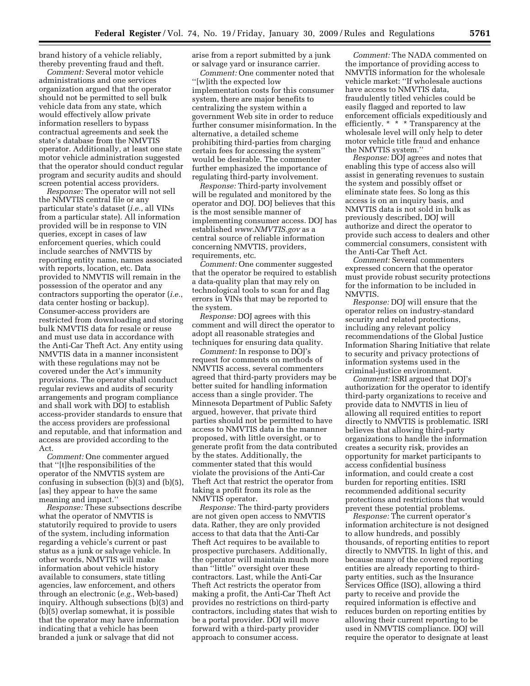brand history of a vehicle reliably, thereby preventing fraud and theft.

*Comment:* Several motor vehicle administrations and one services organization argued that the operator should not be permitted to sell bulk vehicle data from any state, which would effectively allow private information resellers to bypass contractual agreements and seek the state's database from the NMVTIS operator. Additionally, at least one state motor vehicle administration suggested that the operator should conduct regular program and security audits and should screen potential access providers.

*Response:* The operator will not sell the NMVTIS central file or any particular state's dataset (*i.e.*, all VINs from a particular state). All information provided will be in response to VIN queries, except in cases of law enforcement queries, which could include searches of NMVTIS by reporting entity name, names associated with reports, location, etc. Data provided to NMVTIS will remain in the possession of the operator and any contractors supporting the operator (*i.e.*, data center hosting or backup). Consumer-access providers are restricted from downloading and storing bulk NMVTIS data for resale or reuse and must use data in accordance with the Anti-Car Theft Act. Any entity using NMVTIS data in a manner inconsistent with these regulations may not be covered under the Act's immunity provisions. The operator shall conduct regular reviews and audits of security arrangements and program compliance and shall work with DOJ to establish access-provider standards to ensure that the access providers are professional and reputable, and that information and access are provided according to the Act.

*Comment:* One commenter argued that ''[t]he responsibilities of the operator of the NMVTIS system are confusing in subsection (b)(3) and (b)(5), [as] they appear to have the same meaning and impact.''

*Response:* These subsections describe what the operator of NMVTIS is statutorily required to provide to users of the system, including information regarding a vehicle's current or past status as a junk or salvage vehicle. In other words, NMVTIS will make information about vehicle history available to consumers, state titling agencies, law enforcement, and others through an electronic (*e.g.*, Web-based) inquiry. Although subsections (b)(3) and (b)(5) overlap somewhat, it is possible that the operator may have information indicating that a vehicle has been branded a junk or salvage that did not

arise from a report submitted by a junk or salvage yard or insurance carrier.

*Comment:* One commenter noted that ''[w]ith the expected low implementation costs for this consumer system, there are major benefits to centralizing the system within a government Web site in order to reduce further consumer misinformation. In the alternative, a detailed scheme prohibiting third-parties from charging certain fees for accessing the system'' would be desirable. The commenter further emphasized the importance of regulating third-party involvement.

*Response:* Third-party involvement will be regulated and monitored by the operator and DOJ. DOJ believes that this is the most sensible manner of implementing consumer access. DOJ has established *[www.NMVTIS.gov](http://www.NMVTIS.gov)* as a central source of reliable information concerning NMVTIS, providers, requirements, etc.

*Comment:* One commenter suggested that the operator be required to establish a data-quality plan that may rely on technological tools to scan for and flag errors in VINs that may be reported to the system.

*Response:* DOJ agrees with this comment and will direct the operator to adopt all reasonable strategies and techniques for ensuring data quality.

*Comment:* In response to DOJ's request for comments on methods of NMVTIS access, several commenters agreed that third-party providers may be better suited for handling information access than a single provider. The Minnesota Department of Public Safety argued, however, that private third parties should not be permitted to have access to NMVTIS data in the manner proposed, with little oversight, or to generate profit from the data contributed by the states. Additionally, the commenter stated that this would violate the provisions of the Anti-Car Theft Act that restrict the operator from taking a profit from its role as the NMVTIS operator.

*Response:* The third-party providers are not given open access to NMVTIS data. Rather, they are only provided access to that data that the Anti-Car Theft Act requires to be available to prospective purchasers. Additionally, the operator will maintain much more than ''little'' oversight over these contractors. Last, while the Anti-Car Theft Act restricts the operator from making a profit, the Anti-Car Theft Act provides no restrictions on third-party contractors, including states that wish to be a portal provider. DOJ will move forward with a third-party provider approach to consumer access.

*Comment:* The NADA commented on the importance of providing access to NMVTIS information for the wholesale vehicle market: ''If wholesale auctions have access to NMVTIS data, fraudulently titled vehicles could be easily flagged and reported to law enforcement officials expeditiously and efficiently. \* \* \* Transparency at the wholesale level will only help to deter motor vehicle title fraud and enhance the NMVTIS system.''

*Response:* DOJ agrees and notes that enabling this type of access also will assist in generating revenues to sustain the system and possibly offset or eliminate state fees. So long as this access is on an inquiry basis, and NMVTIS data is not sold in bulk as previously described, DOJ will authorize and direct the operator to provide such access to dealers and other commercial consumers, consistent with the Anti-Car Theft Act.

*Comment:* Several commenters expressed concern that the operator must provide robust security protections for the information to be included in NMVTIS.

*Response:* DOJ will ensure that the operator relies on industry-standard security and related protections, including any relevant policy recommendations of the Global Justice Information Sharing Initiative that relate to security and privacy protections of information systems used in the criminal-justice environment.

*Comment:* ISRI argued that DOJ's authorization for the operator to identify third-party organizations to receive and provide data to NMVTIS in lieu of allowing all required entities to report directly to NMVTIS is problematic. ISRI believes that allowing third-party organizations to handle the information creates a security risk, provides an opportunity for market participants to access confidential business information, and could create a cost burden for reporting entities. ISRI recommended additional security protections and restrictions that would prevent these potential problems.

*Response:* The current operator's information architecture is not designed to allow hundreds, and possibly thousands, of reporting entities to report directly to NMVTIS. In light of this, and because many of the covered reporting entities are already reporting to thirdparty entities, such as the Insurance Services Office (ISO), allowing a third party to receive and provide the required information is effective and reduces burden on reporting entities by allowing their current reporting to be used in NMVTIS compliance. DOJ will require the operator to designate at least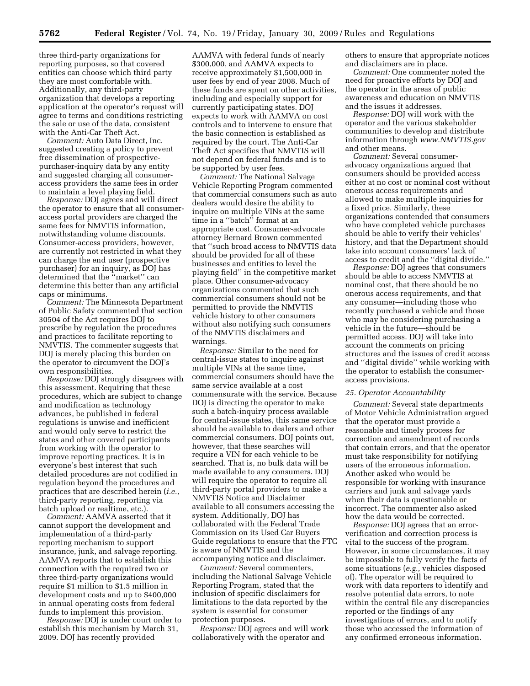three third-party organizations for reporting purposes, so that covered entities can choose which third party they are most comfortable with. Additionally, any third-party organization that develops a reporting application at the operator's request will agree to terms and conditions restricting the sale or use of the data, consistent with the Anti-Car Theft Act.

*Comment:* Auto Data Direct, Inc. suggested creating a policy to prevent free dissemination of prospectivepurchaser-inquiry data by any entity and suggested charging all consumeraccess providers the same fees in order to maintain a level playing field.

*Response:* DOJ agrees and will direct the operator to ensure that all consumeraccess portal providers are charged the same fees for NMVTIS information, notwithstanding volume discounts. Consumer-access providers, however, are currently not restricted in what they can charge the end user (prospective purchaser) for an inquiry, as DOJ has determined that the ''market'' can determine this better than any artificial caps or minimums.

*Comment:* The Minnesota Department of Public Safety commented that section 30504 of the Act requires DOJ to prescribe by regulation the procedures and practices to facilitate reporting to NMVTIS. The commenter suggests that DOJ is merely placing this burden on the operator to circumvent the DOJ's own responsibilities.

*Response:* DOJ strongly disagrees with this assessment. Requiring that these procedures, which are subject to change and modification as technology advances, be published in federal regulations is unwise and inefficient and would only serve to restrict the states and other covered participants from working with the operator to improve reporting practices. It is in everyone's best interest that such detailed procedures are not codified in regulation beyond the procedures and practices that are described herein (*i.e.*, third-party reporting, reporting via batch upload or realtime, etc.).

*Comment:* AAMVA asserted that it cannot support the development and implementation of a third-party reporting mechanism to support insurance, junk, and salvage reporting. AAMVA reports that to establish this connection with the required two or three third-party organizations would require \$1 million to \$1.5 million in development costs and up to \$400,000 in annual operating costs from federal funds to implement this provision.

*Response:* DOJ is under court order to establish this mechanism by March 31, 2009. DOJ has recently provided

AAMVA with federal funds of nearly \$300,000, and AAMVA expects to receive approximately \$1,500,000 in user fees by end of year 2008. Much of these funds are spent on other activities, including and especially support for currently participating states. DOJ expects to work with AAMVA on cost controls and to intervene to ensure that the basic connection is established as required by the court. The Anti-Car Theft Act specifies that NMVTIS will not depend on federal funds and is to be supported by user fees.

*Comment:* The National Salvage Vehicle Reporting Program commented that commercial consumers such as auto dealers would desire the ability to inquire on multiple VINs at the same time in a ''batch'' format at an appropriate cost. Consumer-advocate attorney Bernard Brown commented that ''such broad access to NMVTIS data should be provided for all of these businesses and entities to level the playing field'' in the competitive market place. Other consumer-advocacy organizations commented that such commercial consumers should not be permitted to provide the NMVTIS vehicle history to other consumers without also notifying such consumers of the NMVTIS disclaimers and warnings.

*Response:* Similar to the need for central-issue states to inquire against multiple VINs at the same time, commercial consumers should have the same service available at a cost commensurate with the service. Because DOJ is directing the operator to make such a batch-inquiry process available for central-issue states, this same service should be available to dealers and other commercial consumers. DOJ points out, however, that these searches will require a VIN for each vehicle to be searched. That is, no bulk data will be made available to any consumers. DOJ will require the operator to require all third-party portal providers to make a NMVTIS Notice and Disclaimer available to all consumers accessing the system. Additionally, DOJ has collaborated with the Federal Trade Commission on its Used Car Buyers Guide regulations to ensure that the FTC is aware of NMVTIS and the accompanying notice and disclaimer.

*Comment:* Several commenters, including the National Salvage Vehicle Reporting Program, stated that the inclusion of specific disclaimers for limitations to the data reported by the system is essential for consumer protection purposes.

*Response:* DOJ agrees and will work collaboratively with the operator and

others to ensure that appropriate notices and disclaimers are in place.

*Comment:* One commenter noted the need for proactive efforts by DOJ and the operator in the areas of public awareness and education on NMVTIS and the issues it addresses.

*Response:* DOJ will work with the operator and the various stakeholder communities to develop and distribute information through *[www.NMVTIS.gov](http://www.NMVTIS.gov)*  and other means.

*Comment:* Several consumeradvocacy organizations argued that consumers should be provided access either at no cost or nominal cost without onerous access requirements and allowed to make multiple inquiries for a fixed price. Similarly, these organizations contended that consumers who have completed vehicle purchases should be able to verify their vehicles' history, and that the Department should take into account consumers' lack of access to credit and the ''digital divide.''

*Response:* DOJ agrees that consumers should be able to access NMVTIS at nominal cost, that there should be no onerous access requirements, and that any consumer—including those who recently purchased a vehicle and those who may be considering purchasing a vehicle in the future—should be permitted access. DOJ will take into account the comments on pricing structures and the issues of credit access and ''digital divide'' while working with the operator to establish the consumeraccess provisions.

#### *25. Operator Accountability*

*Comment:* Several state departments of Motor Vehicle Administration argued that the operator must provide a reasonable and timely process for correction and amendment of records that contain errors, and that the operator must take responsibility for notifying users of the erroneous information. Another asked who would be responsible for working with insurance carriers and junk and salvage yards when their data is questionable or incorrect. The commenter also asked how the data would be corrected.

*Response:* DOJ agrees that an errorverification and correction process is vital to the success of the program. However, in some circumstances, it may be impossible to fully verify the facts of some situations (*e.g.*, vehicles disposed of). The operator will be required to work with data reporters to identify and resolve potential data errors, to note within the central file any discrepancies reported or the findings of any investigations of errors, and to notify those who accessed the information of any confirmed erroneous information.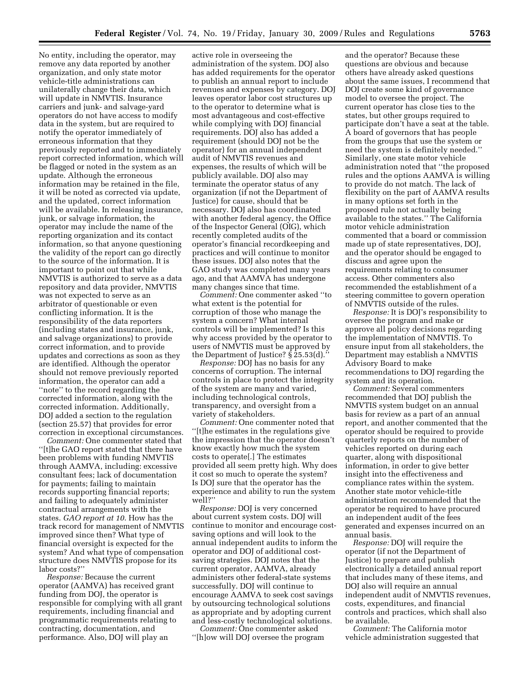No entity, including the operator, may remove any data reported by another organization, and only state motor vehicle-title administrations can unilaterally change their data, which will update in NMVTIS. Insurance carriers and junk- and salvage-yard operators do not have access to modify data in the system, but are required to notify the operator immediately of erroneous information that they previously reported and to immediately report corrected information, which will be flagged or noted in the system as an update. Although the erroneous information may be retained in the file, it will be noted as corrected via update, and the updated, correct information will be available. In releasing insurance, junk, or salvage information, the operator may include the name of the reporting organization and its contact information, so that anyone questioning the validity of the report can go directly to the source of the information. It is important to point out that while NMVTIS is authorized to serve as a data repository and data provider, NMVTIS was not expected to serve as an arbitrator of questionable or even conflicting information. It is the responsibility of the data reporters (including states and insurance, junk, and salvage organizations) to provide correct information, and to provide updates and corrections as soon as they are identified. Although the operator should not remove previously reported information, the operator can add a ''note'' to the record regarding the corrected information, along with the corrected information. Additionally, DOJ added a section to the regulation (section 25.57) that provides for error correction in exceptional circumstances.

*Comment:* One commenter stated that ''[t]he GAO report stated that there have been problems with funding NMVTIS through AAMVA, including: excessive consultant fees; lack of documentation for payments; failing to maintain records supporting financial reports; and failing to adequately administer contractual arrangements with the states. *GAO report at 10*. How has the track record for management of NMVTIS improved since then? What type of financial oversight is expected for the system? And what type of compensation structure does NMVTIS propose for its labor costs?''

*Response:* Because the current operator (AAMVA) has received grant funding from DOJ, the operator is responsible for complying with all grant requirements, including financial and programmatic requirements relating to contracting, documentation, and performance. Also, DOJ will play an

active role in overseeing the administration of the system. DOJ also has added requirements for the operator to publish an annual report to include revenues and expenses by category. DOJ leaves operator labor cost structures up to the operator to determine what is most advantageous and cost-effective while complying with DOJ financial requirements. DOJ also has added a requirement (should DOJ not be the operator) for an annual independent audit of NMVTIS revenues and expenses, the results of which will be publicly available. DOJ also may terminate the operator status of any organization (if not the Department of Justice) for cause, should that be necessary. DOJ also has coordinated with another federal agency, the Office of the Inspector General (OIG), which recently completed audits of the operator's financial recordkeeping and practices and will continue to monitor these issues. DOJ also notes that the GAO study was completed many years ago, and that AAMVA has undergone many changes since that time.

*Comment:* One commenter asked ''to what extent is the potential for corruption of those who manage the system a concern? What internal controls will be implemented? Is this why access provided by the operator to users of NMVTIS must be approved by the Department of Justice? § 25.53(d).''

*Response:* DOJ has no basis for any concerns of corruption. The internal controls in place to protect the integrity of the system are many and varied, including technological controls, transparency, and oversight from a variety of stakeholders.

*Comment:* One commenter noted that ''[t]he estimates in the regulations give the impression that the operator doesn't know exactly how much the system costs to operate[.] The estimates provided all seem pretty high. Why does it cost so much to operate the system? Is DOJ sure that the operator has the experience and ability to run the system well?''

*Response:* DOJ is very concerned about current system costs. DOJ will continue to monitor and encourage costsaving options and will look to the annual independent audits to inform the operator and DOJ of additional costsaving strategies. DOJ notes that the current operator, AAMVA, already administers other federal-state systems successfully. DOJ will continue to encourage AAMVA to seek cost savings by outsourcing technological solutions as appropriate and by adopting current and less-costly technological solutions.

*Comment:* One commenter asked ''[h]ow will DOJ oversee the program

and the operator? Because these questions are obvious and because others have already asked questions about the same issues, I recommend that DOJ create some kind of governance model to oversee the project. The current operator has close ties to the states, but other groups required to participate don't have a seat at the table. A board of governors that has people from the groups that use the system or need the system is definitely needed.'' Similarly, one state motor vehicle administration noted that ''the proposed rules and the options AAMVA is willing to provide do not match. The lack of flexibility on the part of AAMVA results in many options set forth in the proposed rule not actually being available to the states.'' The California motor vehicle administration commented that a board or commission made up of state representatives, DOJ, and the operator should be engaged to discuss and agree upon the requirements relating to consumer access. Other commenters also recommended the establishment of a steering committee to govern operation of NMVTIS outside of the rules.

*Response:* It is DOJ's responsibility to oversee the program and make or approve all policy decisions regarding the implementation of NMVTIS. To ensure input from all stakeholders, the Department may establish a NMVTIS Advisory Board to make recommendations to DOJ regarding the system and its operation.

*Comment:* Several commenters recommended that DOJ publish the NMVTIS system budget on an annual basis for review as a part of an annual report, and another commented that the operator should be required to provide quarterly reports on the number of vehicles reported on during each quarter, along with dispositional information, in order to give better insight into the effectiveness and compliance rates within the system. Another state motor vehicle-title administration recommended that the operator be required to have procured an independent audit of the fees generated and expenses incurred on an annual basis.

*Response:* DOJ will require the operator (if not the Department of Justice) to prepare and publish electronically a detailed annual report that includes many of these items, and DOJ also will require an annual independent audit of NMVTIS revenues, costs, expenditures, and financial controls and practices, which shall also be available.

*Comment:* The California motor vehicle administration suggested that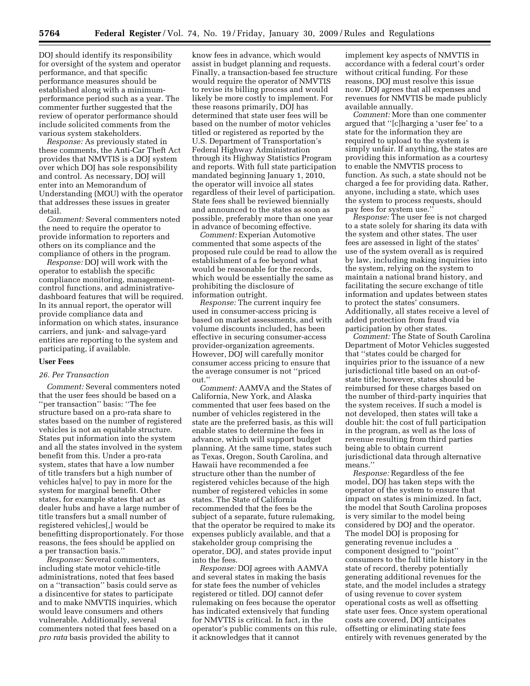DOJ should identify its responsibility for oversight of the system and operator performance, and that specific performance measures should be established along with a minimumperformance period such as a year. The commenter further suggested that the review of operator performance should include solicited comments from the various system stakeholders.

*Response:* As previously stated in these comments, the Anti-Car Theft Act provides that NMVTIS is a DOJ system over which DOJ has sole responsibility and control. As necessary, DOJ will enter into an Memorandum of Understanding (MOU) with the operator that addresses these issues in greater detail.

*Comment:* Several commenters noted the need to require the operator to provide information to reporters and others on its compliance and the compliance of others in the program.

*Response:* DOJ will work with the operator to establish the specific compliance monitoring, managementcontrol functions, and administrativedashboard features that will be required. In its annual report, the operator will provide compliance data and information on which states, insurance carriers, and junk- and salvage-yard entities are reporting to the system and participating, if available.

#### **User Fees**

#### *26. Per Transaction*

*Comment:* Several commenters noted that the user fees should be based on a ''per transaction'' basis: ''The fee structure based on a pro-rata share to states based on the number of registered vehicles is not an equitable structure. States put information into the system and all the states involved in the system benefit from this. Under a pro-rata system, states that have a low number of title transfers but a high number of vehicles ha[ve] to pay in more for the system for marginal benefit. Other states, for example states that act as dealer hubs and have a large number of title transfers but a small number of registered vehicles[,] would be benefitting disproportionately. For those reasons, the fees should be applied on a per transaction basis.''

*Response:* Several commenters, including state motor vehicle-title administrations, noted that fees based on a ''transaction'' basis could serve as a disincentive for states to participate and to make NMVTIS inquiries, which would leave consumers and others vulnerable. Additionally, several commenters noted that fees based on a *pro rata* basis provided the ability to

know fees in advance, which would assist in budget planning and requests. Finally, a transaction-based fee structure would require the operator of NMVTIS to revise its billing process and would likely be more costly to implement. For these reasons primarily, DOJ has determined that state user fees will be based on the number of motor vehicles titled or registered as reported by the U.S. Department of Transportation's Federal Highway Administration through its Highway Statistics Program and reports. With full state participation mandated beginning January 1, 2010, the operator will invoice all states regardless of their level of participation. State fees shall be reviewed biennially and announced to the states as soon as possible, preferably more than one year in advance of becoming effective.

*Comment:* Experian Automotive commented that some aspects of the proposed rule could be read to allow the establishment of a fee beyond what would be reasonable for the records, which would be essentially the same as prohibiting the disclosure of information outright.

*Response:* The current inquiry fee used in consumer-access pricing is based on market assessments, and with volume discounts included, has been effective in securing consumer-access provider-organization agreements. However, DOJ will carefully monitor consumer access pricing to ensure that the average consumer is not ''priced out.''

*Comment:* AAMVA and the States of California, New York, and Alaska commented that user fees based on the number of vehicles registered in the state are the preferred basis, as this will enable states to determine the fees in advance, which will support budget planning. At the same time, states such as Texas, Oregon, South Carolina, and Hawaii have recommended a fee structure other than the number of registered vehicles because of the high number of registered vehicles in some states. The State of California recommended that the fees be the subject of a separate, future rulemaking, that the operator be required to make its expenses publicly available, and that a stakeholder group comprising the operator, DOJ, and states provide input into the fees.

*Response:* DOJ agrees with AAMVA and several states in making the basis for state fees the number of vehicles registered or titled. DOJ cannot defer rulemaking on fees because the operator has indicated extensively that funding for NMVTIS is critical. In fact, in the operator's public comments on this rule, it acknowledges that it cannot

implement key aspects of NMVTIS in accordance with a federal court's order without critical funding. For these reasons, DOJ must resolve this issue now. DOJ agrees that all expenses and revenues for NMVTIS be made publicly available annually.

*Comment:* More than one commenter argued that ''[c]harging a 'user fee' to a state for the information they are required to upload to the system is simply unfair. If anything, the states are providing this information as a courtesy to enable the NMVTIS process to function. As such, a state should not be charged a fee for providing data. Rather, anyone, including a state, which uses the system to process requests, should pay fees for system use.''

*Response:* The user fee is not charged to a state solely for sharing its data with the system and other states. The user fees are assessed in light of the states' use of the system overall as is required by law, including making inquiries into the system, relying on the system to maintain a national brand history, and facilitating the secure exchange of title information and updates between states to protect the states' consumers. Additionally, all states receive a level of added protection from fraud via participation by other states.

*Comment:* The State of South Carolina Department of Motor Vehicles suggested that ''states could be charged for inquiries prior to the issuance of a new jurisdictional title based on an out-ofstate title; however, states should be reimbursed for these charges based on the number of third-party inquiries that the system receives. If such a model is not developed, then states will take a double hit: the cost of full participation in the program, as well as the loss of revenue resulting from third parties being able to obtain current jurisdictional data through alternative means.''

*Response:* Regardless of the fee model, DOJ has taken steps with the operator of the system to ensure that impact on states is minimized. In fact, the model that South Carolina proposes is very similar to the model being considered by DOJ and the operator. The model DOJ is proposing for generating revenue includes a component designed to ''point'' consumers to the full title history in the state of record, thereby potentially generating additional revenues for the state, and the model includes a strategy of using revenue to cover system operational costs as well as offsetting state user fees. Once system operational costs are covered, DOJ anticipates offsetting or eliminating state fees entirely with revenues generated by the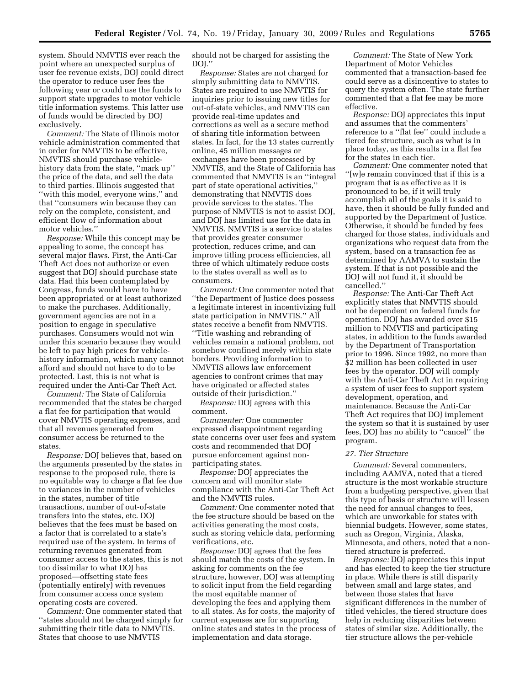system. Should NMVTIS ever reach the point where an unexpected surplus of user fee revenue exists, DOJ could direct the operator to reduce user fees the following year or could use the funds to support state upgrades to motor vehicle title information systems. This latter use of funds would be directed by DOJ exclusively.

*Comment:* The State of Illinois motor vehicle administration commented that in order for NMVTIS to be effective, NMVTIS should purchase vehiclehistory data from the state, ''mark up'' the price of the data, and sell the data to third parties. Illinois suggested that ''with this model, everyone wins,'' and that ''consumers win because they can rely on the complete, consistent, and efficient flow of information about motor vehicles.''

*Response:* While this concept may be appealing to some, the concept has several major flaws. First, the Anti-Car Theft Act does not authorize or even suggest that DOJ should purchase state data. Had this been contemplated by Congress, funds would have to have been appropriated or at least authorized to make the purchases. Additionally, government agencies are not in a position to engage in speculative purchases. Consumers would not win under this scenario because they would be left to pay high prices for vehiclehistory information, which many cannot afford and should not have to do to be protected. Last, this is not what is required under the Anti-Car Theft Act.

*Comment:* The State of California recommended that the states be charged a flat fee for participation that would cover NMVTIS operating expenses, and that all revenues generated from consumer access be returned to the states.

*Response:* DOJ believes that, based on the arguments presented by the states in response to the proposed rule, there is no equitable way to charge a flat fee due to variances in the number of vehicles in the states, number of title transactions, number of out-of-state transfers into the states, etc. DOJ believes that the fees must be based on a factor that is correlated to a state's required use of the system. In terms of returning revenues generated from consumer access to the states, this is not too dissimilar to what DOJ has proposed—offsetting state fees (potentially entirely) with revenues from consumer access once system operating costs are covered.

*Comment:* One commenter stated that ''states should not be charged simply for submitting their title data to NMVTIS. States that choose to use NMVTIS

should not be charged for assisting the DOJ.''

*Response:* States are not charged for simply submitting data to NMVTIS. States are required to use NMVTIS for inquiries prior to issuing new titles for out-of-state vehicles, and NMVTIS can provide real-time updates and corrections as well as a secure method of sharing title information between states. In fact, for the 13 states currently online, 45 million messages or exchanges have been processed by NMVTIS, and the State of California has commented that NMVTIS is an ''integral part of state operational activities,'' demonstrating that NMVTIS does provide services to the states. The purpose of NMVTIS is not to assist DOJ, and DOJ has limited use for the data in NMVTIS. NMVTIS is a service to states that provides greater consumer protection, reduces crime, and can improve titling process efficiencies, all three of which ultimately reduce costs to the states overall as well as to consumers.

*Comment:* One commenter noted that ''the Department of Justice does possess a legitimate interest in incentivizing full state participation in NMVTIS.'' All states receive a benefit from NMVTIS. ''Title washing and rebranding of vehicles remain a national problem, not somehow confined merely within state borders. Providing information to NMVTIS allows law enforcement agencies to confront crimes that may have originated or affected states outside of their jurisdiction.''

*Response:* DOJ agrees with this comment.

*Commenter:* One commenter expressed disappointment regarding state concerns over user fees and system costs and recommended that DOJ pursue enforcement against nonparticipating states.

*Response:* DOJ appreciates the concern and will monitor state compliance with the Anti-Car Theft Act and the NMVTIS rules.

*Comment:* One commenter noted that the fee structure should be based on the activities generating the most costs, such as storing vehicle data, performing verifications, etc.

*Response:* DOJ agrees that the fees should match the costs of the system. In asking for comments on the fee structure, however, DOJ was attempting to solicit input from the field regarding the most equitable manner of developing the fees and applying them to all states. As for costs, the majority of current expenses are for supporting online states and states in the process of implementation and data storage.

*Comment:* The State of New York Department of Motor Vehicles commented that a transaction-based fee could serve as a disincentive to states to query the system often. The state further commented that a flat fee may be more effective.

*Response:* DOJ appreciates this input and assumes that the commenters' reference to a ''flat fee'' could include a tiered fee structure, such as what is in place today, as this results in a flat fee for the states in each tier.

*Comment:* One commenter noted that ''[w]e remain convinced that if this is a program that is as effective as it is pronounced to be, if it will truly accomplish all of the goals it is said to have, then it should be fully funded and supported by the Department of Justice. Otherwise, it should be funded by fees charged for those states, individuals and organizations who request data from the system, based on a transaction fee as determined by AAMVA to sustain the system. If that is not possible and the DOJ will not fund it, it should be cancelled.''

*Response:* The Anti-Car Theft Act explicitly states that NMVTIS should not be dependent on federal funds for operation. DOJ has awarded over \$15 million to NMVTIS and participating states, in addition to the funds awarded by the Department of Transportation prior to 1996. Since 1992, no more than \$2 million has been collected in user fees by the operator. DOJ will comply with the Anti-Car Theft Act in requiring a system of user fees to support system development, operation, and maintenance. Because the Anti-Car Theft Act requires that DOJ implement the system so that it is sustained by user fees, DOJ has no ability to ''cancel'' the program.

## *27. Tier Structure*

*Comment:* Several commenters, including AAMVA, noted that a tiered structure is the most workable structure from a budgeting perspective, given that this type of basis or structure will lessen the need for annual changes to fees, which are unworkable for states with biennial budgets. However, some states, such as Oregon, Virginia, Alaska, Minnesota, and others, noted that a nontiered structure is preferred.

*Response:* DOJ appreciates this input and has elected to keep the tier structure in place. While there is still disparity between small and large states, and between those states that have significant differences in the number of titled vehicles, the tiered structure does help in reducing disparities between states of similar size. Additionally, the tier structure allows the per-vehicle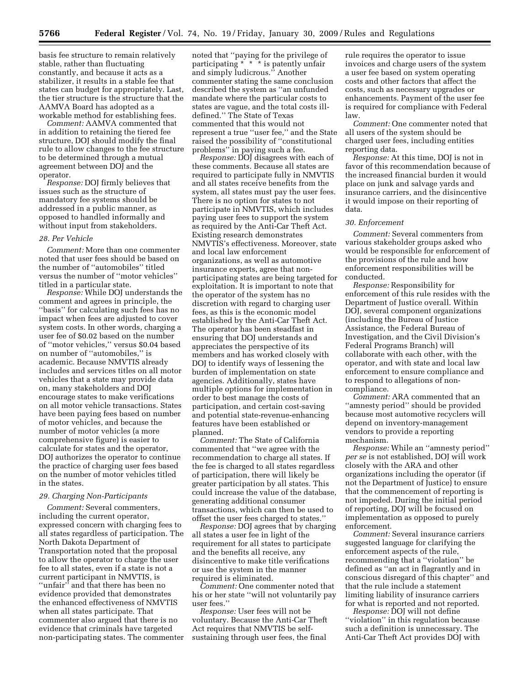basis fee structure to remain relatively stable, rather than fluctuating constantly, and because it acts as a stabilizer, it results in a stable fee that states can budget for appropriately. Last, the tier structure is the structure that the AAMVA Board has adopted as a workable method for establishing fees.

*Comment:* AAMVA commented that in addition to retaining the tiered fee structure, DOJ should modify the final rule to allow changes to the fee structure to be determined through a mutual agreement between DOJ and the operator.

*Response:* DOJ firmly believes that issues such as the structure of mandatory fee systems should be addressed in a public manner, as opposed to handled informally and without input from stakeholders.

## *28. Per Vehicle*

*Comment:* More than one commenter noted that user fees should be based on the number of ''automobiles'' titled versus the number of ''motor vehicles'' titled in a particular state.

*Response:* While DOJ understands the comment and agrees in principle, the ''basis'' for calculating such fees has no impact when fees are adjusted to cover system costs. In other words, charging a user fee of \$0.02 based on the number of ''motor vehicles,'' versus \$0.04 based on number of ''automobiles,'' is academic. Because NMVTIS already includes and services titles on all motor vehicles that a state may provide data on, many stakeholders and DOJ encourage states to make verifications on all motor vehicle transactions. States have been paying fees based on number of motor vehicles, and because the number of motor vehicles (a more comprehensive figure) is easier to calculate for states and the operator, DOJ authorizes the operator to continue the practice of charging user fees based on the number of motor vehicles titled in the states.

## *29. Charging Non-Participants*

*Comment:* Several commenters, including the current operator, expressed concern with charging fees to all states regardless of participation. The North Dakota Department of Transportation noted that the proposal to allow the operator to charge the user fee to all states, even if a state is not a current participant in NMVTIS, is ''unfair'' and that there has been no evidence provided that demonstrates the enhanced effectiveness of NMVTIS when all states participate. That commenter also argued that there is no evidence that criminals have targeted non-participating states. The commenter

noted that ''paying for the privilege of participating \* \* \* is patently unfair and simply ludicrous.'' Another commenter stating the same conclusion described the system as ''an unfunded mandate where the particular costs to states are vague, and the total costs illdefined.'' The State of Texas commented that this would not represent a true ''user fee,'' and the State raised the possibility of ''constitutional problems'' in paying such a fee.

*Response:* DOJ disagrees with each of these comments. Because all states are required to participate fully in NMVTIS and all states receive benefits from the system, all states must pay the user fees. There is no option for states to not participate in NMVTIS, which includes paying user fees to support the system as required by the Anti-Car Theft Act. Existing research demonstrates NMVTIS's effectiveness. Moreover, state and local law enforcement organizations, as well as automotive insurance experts, agree that nonparticipating states are being targeted for exploitation. It is important to note that the operator of the system has no discretion with regard to charging user fees, as this is the economic model established by the Anti-Car Theft Act. The operator has been steadfast in ensuring that DOJ understands and appreciates the perspective of its members and has worked closely with DOJ to identify ways of lessening the burden of implementation on state agencies. Additionally, states have multiple options for implementation in order to best manage the costs of participation, and certain cost-saving and potential state-revenue-enhancing features have been established or planned.

*Comment:* The State of California commented that ''we agree with the recommendation to charge all states. If the fee is charged to all states regardless of participation, there will likely be greater participation by all states. This could increase the value of the database, generating additional consumer transactions, which can then be used to offset the user fees charged to states.''

*Response:* DOJ agrees that by charging all states a user fee in light of the requirement for all states to participate and the benefits all receive, any disincentive to make title verifications or use the system in the manner required is eliminated.

*Comment:* One commenter noted that his or her state ''will not voluntarily pay user fees.''

*Response:* User fees will not be voluntary. Because the Anti-Car Theft Act requires that NMVTIS be selfsustaining through user fees, the final

rule requires the operator to issue invoices and charge users of the system a user fee based on system operating costs and other factors that affect the costs, such as necessary upgrades or enhancements. Payment of the user fee is required for compliance with Federal law.

*Comment:* One commenter noted that all users of the system should be charged user fees, including entities reporting data.

*Response:* At this time, DOJ is not in favor of this recommendation because of the increased financial burden it would place on junk and salvage yards and insurance carriers, and the disincentive it would impose on their reporting of data.

## *30. Enforcement*

*Comment:* Several commenters from various stakeholder groups asked who would be responsible for enforcement of the provisions of the rule and how enforcement responsibilities will be conducted.

*Response:* Responsibility for enforcement of this rule resides with the Department of Justice overall. Within DOJ, several component organizations (including the Bureau of Justice Assistance, the Federal Bureau of Investigation, and the Civil Division's Federal Programs Branch) will collaborate with each other, with the operator, and with state and local law enforcement to ensure compliance and to respond to allegations of noncompliance.

*Comment:* ARA commented that an ''amnesty period'' should be provided because most automotive recyclers will depend on inventory-management vendors to provide a reporting mechanism.

*Response:* While an ''amnesty period'' *per se* is not established, DOJ will work closely with the ARA and other organizations including the operator (if not the Department of Justice) to ensure that the commencement of reporting is not impeded. During the initial period of reporting, DOJ will be focused on implementation as opposed to purely enforcement.

*Comment:* Several insurance carriers suggested language for clarifying the enforcement aspects of the rule, recommending that a ''violation'' be defined as ''an act in flagrantly and in conscious disregard of this chapter'' and that the rule include a statement limiting liability of insurance carriers for what is reported and not reported.

*Response:* DOJ will not define ''violation'' in this regulation because such a definition is unnecessary. The Anti-Car Theft Act provides DOJ with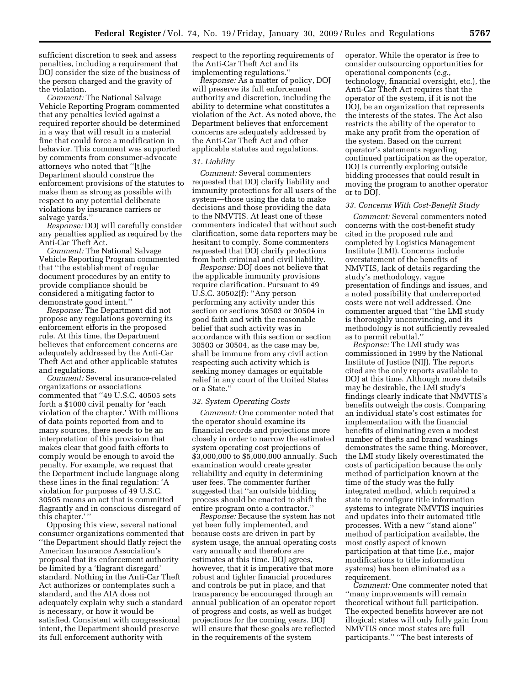sufficient discretion to seek and assess penalties, including a requirement that DOJ consider the size of the business of the person charged and the gravity of the violation.

*Comment:* The National Salvage Vehicle Reporting Program commented that any penalties levied against a required reporter should be determined in a way that will result in a material fine that could force a modification in behavior. This comment was supported by comments from consumer-advocate attorneys who noted that ''[t]he Department should construe the enforcement provisions of the statutes to make them as strong as possible with respect to any potential deliberate violations by insurance carriers or salvage yards.''

*Response:* DOJ will carefully consider any penalties applied as required by the Anti-Car Theft Act.

*Comment:* The National Salvage Vehicle Reporting Program commented that ''the establishment of regular document procedures by an entity to provide compliance should be considered a mitigating factor to demonstrate good intent.''

*Response:* The Department did not propose any regulations governing its enforcement efforts in the proposed rule. At this time, the Department believes that enforcement concerns are adequately addressed by the Anti-Car Theft Act and other applicable statutes and regulations.

*Comment:* Several insurance-related organizations or associations commented that ''49 U.S.C. 40505 sets forth a \$1000 civil penalty for 'each violation of the chapter.' With millions of data points reported from and to many sources, there needs to be an interpretation of this provision that makes clear that good faith efforts to comply would be enough to avoid the penalty. For example, we request that the Department include language along these lines in the final regulation: 'A violation for purposes of 49 U.S.C. 30505 means an act that is committed flagrantly and in conscious disregard of this chapter.' ''

Opposing this view, several national consumer organizations commented that ''the Department should flatly reject the American Insurance Association's proposal that its enforcement authority be limited by a 'flagrant disregard' standard. Nothing in the Anti-Car Theft Act authorizes or contemplates such a standard, and the AIA does not adequately explain why such a standard is necessary, or how it would be satisfied. Consistent with congressional intent, the Department should preserve its full enforcement authority with

respect to the reporting requirements of the Anti-Car Theft Act and its implementing regulations.''

*Response:* As a matter of policy, DOJ will preserve its full enforcement authority and discretion, including the ability to determine what constitutes a violation of the Act. As noted above, the Department believes that enforcement concerns are adequately addressed by the Anti-Car Theft Act and other applicable statutes and regulations.

## *31. Liability*

*Comment:* Several commenters requested that DOJ clarify liability and immunity protections for all users of the system—those using the data to make decisions and those providing the data to the NMVTIS. At least one of these commenters indicated that without such clarification, some data reporters may be hesitant to comply. Some commenters requested that DOJ clarify protections from both criminal and civil liability.

*Response:* DOJ does not believe that the applicable immunity provisions require clarification. Pursuant to 49 U.S.C. 30502(f): ''Any person performing any activity under this section or sections 30503 or 30504 in good faith and with the reasonable belief that such activity was in accordance with this section or section 30503 or 30504, as the case may be, shall be immune from any civil action respecting such activity which is seeking money damages or equitable relief in any court of the United States or a State.''

#### *32. System Operating Costs*

*Comment:* One commenter noted that the operator should examine its financial records and projections more closely in order to narrow the estimated system operating cost projections of \$3,000,000 to \$5,000,000 annually. Such examination would create greater reliability and equity in determining user fees. The commenter further suggested that ''an outside bidding process should be enacted to shift the entire program onto a contractor.''

*Response:* Because the system has not yet been fully implemented, and because costs are driven in part by system usage, the annual operating costs vary annually and therefore are estimates at this time. DOJ agrees, however, that it is imperative that more robust and tighter financial procedures and controls be put in place, and that transparency be encouraged through an annual publication of an operator report of progress and costs, as well as budget projections for the coming years. DOJ will ensure that these goals are reflected in the requirements of the system

operator. While the operator is free to consider outsourcing opportunities for operational components (*e.g.*, technology, financial oversight, etc.), the Anti-Car Theft Act requires that the operator of the system, if it is not the DOJ, be an organization that represents the interests of the states. The Act also restricts the ability of the operator to make any profit from the operation of the system. Based on the current operator's statements regarding continued participation as the operator, DOJ is currently exploring outside bidding processes that could result in moving the program to another operator or to DOJ.

#### *33. Concerns With Cost-Benefit Study*

*Comment:* Several commenters noted concerns with the cost-benefit study cited in the proposed rule and completed by Logistics Management Institute (LMI). Concerns include overstatement of the benefits of NMVTIS, lack of details regarding the study's methodology, vague presentation of findings and issues, and a noted possibility that underreported costs were not well addressed. One commenter argued that ''the LMI study is thoroughly unconvincing, and its methodology is not sufficiently revealed as to permit rebuttal.''

*Response:* The LMI study was commissioned in 1999 by the National Institute of Justice (NIJ). The reports cited are the only reports available to DOJ at this time. Although more details may be desirable, the LMI study's findings clearly indicate that NMVTIS's benefits outweigh the costs. Comparing an individual state's cost estimates for implementation with the financial benefits of eliminating even a modest number of thefts and brand washings demonstrates the same thing. Moreover, the LMI study likely overestimated the costs of participation because the only method of participation known at the time of the study was the fully integrated method, which required a state to reconfigure title information systems to integrate NMVTIS inquiries and updates into their automated title processes. With a new ''stand alone'' method of participation available, the most costly aspect of known participation at that time (*i.e.*, major modifications to title information systems) has been eliminated as a requirement.

*Comment:* One commenter noted that ''many improvements will remain theoretical without full participation. The expected benefits however are not illogical; states will only fully gain from NMVTIS once most states are full participants.'' ''The best interests of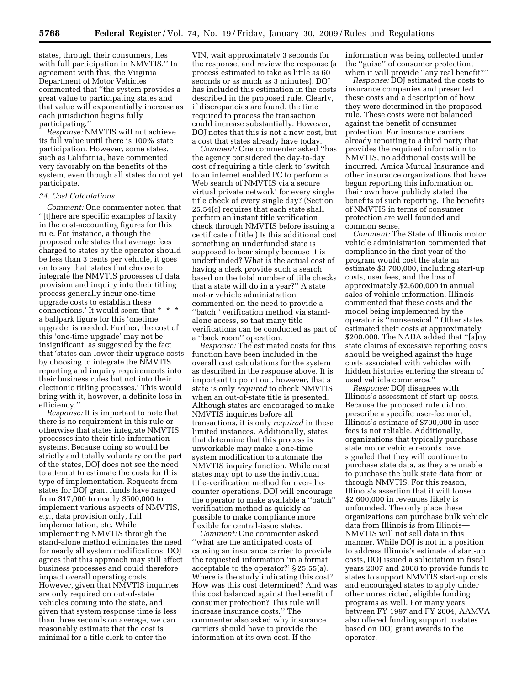states, through their consumers, lies with full participation in NMVTIS.'' In agreement with this, the Virginia Department of Motor Vehicles commented that ''the system provides a great value to participating states and that value will exponentially increase as each jurisdiction begins fully participating.''

*Response:* NMVTIS will not achieve its full value until there is 100% state participation. However, some states, such as California, have commented very favorably on the benefits of the system, even though all states do not yet participate.

## *34. Cost Calculations*

*Comment:* One commenter noted that ''[t]here are specific examples of laxity in the cost-accounting figures for this rule. For instance, although the proposed rule states that average fees charged to states by the operator should be less than 3 cents per vehicle, it goes on to say that 'states that choose to integrate the NMVTIS processes of data provision and inquiry into their titling process generally incur one-time upgrade costs to establish these connections.' It would seem that \* \* \* a ballpark figure for this 'onetime upgrade' is needed. Further, the cost of this 'one-time upgrade' may not be insignificant, as suggested by the fact that 'states can lower their upgrade costs by choosing to integrate the NMVTIS reporting and inquiry requirements into their business rules but not into their electronic titling processes.' This would bring with it, however, a definite loss in efficiency.''

*Response:* It is important to note that there is no requirement in this rule or otherwise that states integrate NMVTIS processes into their title-information systems. Because doing so would be strictly and totally voluntary on the part of the states, DOJ does not see the need to attempt to estimate the costs for this type of implementation. Requests from states for DOJ grant funds have ranged from \$17,000 to nearly \$500,000 to implement various aspects of NMVTIS, *e.g.*, data provision only, full implementation, etc. While implementing NMVTIS through the stand-alone method eliminates the need for nearly all system modifications, DOJ agrees that this approach may still affect business processes and could therefore impact overall operating costs. However, given that NMVTIS inquiries are only required on out-of-state vehicles coming into the state, and given that system response time is less than three seconds on average, we can reasonably estimate that the cost is minimal for a title clerk to enter the

VIN, wait approximately 3 seconds for the response, and review the response (a process estimated to take as little as 60 seconds or as much as 3 minutes). DOJ has included this estimation in the costs described in the proposed rule. Clearly, if discrepancies are found, the time required to process the transaction could increase substantially. However, DOJ notes that this is not a new cost, but a cost that states already have today.

*Comment:* One commenter asked ''has the agency considered the day-to-day cost of requiring a title clerk to 'switch to an internet enabled PC to perform a Web search of NMVTIS via a secure virtual private network' for every single title check of every single day? (Section 25.54(c) requires that each state shall perform an instant title verification check through NMVTIS before issuing a certificate of title.) Is this additional cost something an underfunded state is supposed to bear simply because it is underfunded? What is the actual cost of having a clerk provide such a search based on the total number of title checks that a state will do in a year?'' A state motor vehicle administration commented on the need to provide a ''batch'' verification method via standalone access, so that many title verifications can be conducted as part of a ''back room'' operation.

*Response:* The estimated costs for this function have been included in the overall cost calculations for the system as described in the response above. It is important to point out, however, that a state is only *required* to check NMVTIS when an out-of-state title is presented. Although states are encouraged to make NMVTIS inquiries before all transactions, it is only *required* in these limited instances. Additionally, states that determine that this process is unworkable may make a one-time system modification to automate the NMVTIS inquiry function. While most states may opt to use the individual title-verification method for over-thecounter operations, DOJ will encourage the operator to make available a ''batch'' verification method as quickly as possible to make compliance more flexible for central-issue states.

*Comment:* One commenter asked ''what are the anticipated costs of causing an insurance carrier to provide the requested information 'in a format acceptable to the operator?' § 25.55(a). Where is the study indicating this cost? How was this cost determined? And was this cost balanced against the benefit of consumer protection? This rule will increase insurance costs.'' The commenter also asked why insurance carriers should have to provide the information at its own cost. If the

information was being collected under the ''guise'' of consumer protection, when it will provide "any real benefit?"

*Response:* DOJ estimated the costs to insurance companies and presented these costs and a description of how they were determined in the proposed rule. These costs were not balanced against the benefit of consumer protection. For insurance carriers already reporting to a third party that provides the required information to NMVTIS, no additional costs will be incurred. Amica Mutual Insurance and other insurance organizations that have begun reporting this information on their own have publicly stated the benefits of such reporting. The benefits of NMVTIS in terms of consumer protection are well founded and common sense.

*Comment:* The State of Illinois motor vehicle administration commented that compliance in the first year of the program would cost the state an estimate \$3,700,000, including start-up costs, user fees, and the loss of approximately \$2,600,000 in annual sales of vehicle information. Illinois commented that these costs and the model being implemented by the operator is ''nonsensical.'' Other states estimated their costs at approximately \$200,000. The NADA added that ''[a]ny state claims of excessive reporting costs should be weighed against the huge costs associated with vehicles with hidden histories entering the stream of used vehicle commerce.''

*Response:* DOJ disagrees with Illinois's assessment of start-up costs. Because the proposed rule did not prescribe a specific user-fee model, Illinois's estimate of \$700,000 in user fees is not reliable. Additionally, organizations that typically purchase state motor vehicle records have signaled that they will continue to purchase state data, as they are unable to purchase the bulk state data from or through NMVTIS. For this reason, Illinois's assertion that it will loose \$2,600,000 in revenues likely is unfounded. The only place these organizations can purchase bulk vehicle data from Illinois is from Illinois— NMVTIS will not sell data in this manner. While DOJ is not in a position to address Illinois's estimate of start-up costs, DOJ issued a solicitation in fiscal years 2007 and 2008 to provide funds to states to support NMVTIS start-up costs and encouraged states to apply under other unrestricted, eligible funding programs as well. For many years between FY 1997 and FY 2004, AAMVA also offered funding support to states based on DOJ grant awards to the operator.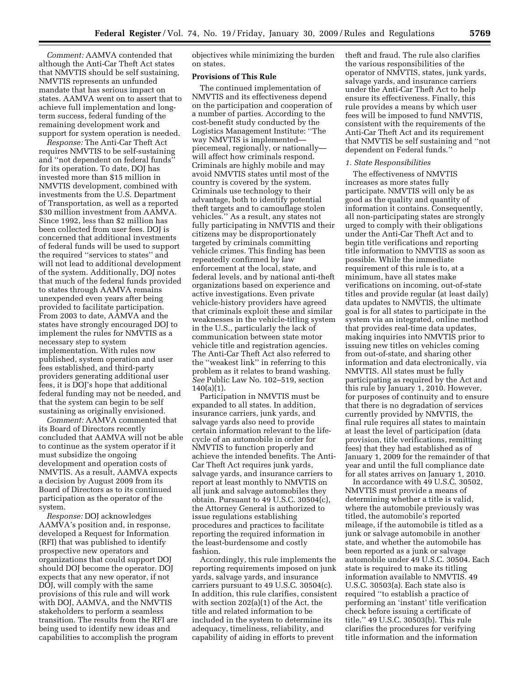*Comment:* AAMVA contended that although the Anti-Car Theft Act states that NMVTIS should be self sustaining, NMVTIS represents an unfunded mandate that has serious impact on states. AAMVA went on to assert that to achieve full implementation and longterm success, federal funding of the remaining development work and support for system operation is needed.

*Response:* The Anti-Car Theft Act requires NMVTIS to be self-sustaining and ''not dependent on federal funds'' for its operation. To date, DOJ has invested more than \$15 million in NMVTIS development, combined with investments from the U.S. Department of Transportation, as well as a reported \$30 million investment from AAMVA. Since 1992, less than \$2 million has been collected from user fees. DOJ is concerned that additional investments of federal funds will be used to support the required ''services to states'' and will not lead to additional development of the system. Additionally, DOJ notes that much of the federal funds provided to states through AAMVA remains unexpended even years after being provided to facilitate participation. From 2003 to date, AAMVA and the states have strongly encouraged DOJ to implement the rules for NMVTIS as a necessary step to system implementation. With rules now published, system operation and user fees established, and third-party providers generating additional user fees, it is DOJ's hope that additional federal funding may not be needed, and that the system can begin to be self sustaining as originally envisioned.

*Comment:* AAMVA commented that its Board of Directors recently concluded that AAMVA will not be able to continue as the system operator if it must subsidize the ongoing development and operation costs of NMVTIS. As a result, AAMVA expects a decision by August 2009 from its Board of Directors as to its continued participation as the operator of the system.

*Response:* DOJ acknowledges AAMVA's position and, in response, developed a Request for Information (RFI) that was published to identify prospective new operators and organizations that could support DOJ should DOJ become the operator. DOJ expects that any new operator, if not DOJ, will comply with the same provisions of this rule and will work with DOJ, AAMVA, and the NMVTIS stakeholders to perform a seamless transition. The results from the RFI are being used to identify new ideas and capabilities to accomplish the program objectives while minimizing the burden on states.

## **Provisions of This Rule**

The continued implementation of NMVTIS and its effectiveness depend on the participation and cooperation of a number of parties. According to the cost-benefit study conducted by the Logistics Management Institute: ''The way NMVTIS is implemented piecemeal, regionally, or nationally will affect how criminals respond. Criminals are highly mobile and may avoid NMVTIS states until most of the country is covered by the system. Criminals use technology to their advantage, both to identify potential theft targets and to camouflage stolen vehicles.'' As a result, any states not fully participating in NMVTIS and their citizens may be disproportionately targeted by criminals committing vehicle crimes. This finding has been repeatedly confirmed by law enforcement at the local, state, and federal levels, and by national anti-theft organizations based on experience and active investigations. Even private vehicle-history providers have agreed that criminals exploit these and similar weaknesses in the vehicle-titling system in the U.S., particularly the lack of communication between state motor vehicle title and registration agencies. The Anti-Car Theft Act also referred to the ''weakest link'' in referring to this problem as it relates to brand washing. *See* Public Law No. 102–519, section  $140(a)(1)$ .

Participation in NMVTIS must be expanded to all states. In addition, insurance carriers, junk yards, and salvage yards also need to provide certain information relevant to the lifecycle of an automobile in order for NMVTIS to function properly and achieve the intended benefits. The Anti-Car Theft Act requires junk yards, salvage yards, and insurance carriers to report at least monthly to NMVTIS on all junk and salvage automobiles they obtain. Pursuant to 49 U.S.C. 30504(c), the Attorney General is authorized to issue regulations establishing procedures and practices to facilitate reporting the required information in the least-burdensome and costly fashion.

Accordingly, this rule implements the reporting requirements imposed on junk yards, salvage yards, and insurance carriers pursuant to 49 U.S.C. 30504(c). In addition, this rule clarifies, consistent with section 202(a)(1) of the Act, the title and related information to be included in the system to determine its adequacy, timeliness, reliability, and capability of aiding in efforts to prevent

theft and fraud. The rule also clarifies the various responsibilities of the operator of NMVTIS, states, junk yards, salvage yards, and insurance carriers under the Anti-Car Theft Act to help ensure its effectiveness. Finally, this rule provides a means by which user fees will be imposed to fund NMVTIS, consistent with the requirements of the Anti-Car Theft Act and its requirement that NMVTIS be self sustaining and ''not dependent on Federal funds.''

#### *1. State Responsibilities*

The effectiveness of NMVTIS increases as more states fully participate. NMVTIS will only be as good as the quality and quantity of information it contains. Consequently, all non-participating states are strongly urged to comply with their obligations under the Anti-Car Theft Act and to begin title verifications and reporting title information to NMVTIS as soon as possible. While the immediate requirement of this rule is to, at a minimum, have all states make verifications on incoming, out-of-state titles and provide regular (at least daily) data updates to NMVTIS, the ultimate goal is for all states to participate in the system via an integrated, online method that provides real-time data updates, making inquiries into NMVTIS prior to issuing new titles on vehicles coming from out-of-state, and sharing other information and data electronically, via NMVTIS. All states must be fully participating as required by the Act and this rule by January 1, 2010. However, for purposes of continuity and to ensure that there is no degradation of services currently provided by NMVTIS, the final rule requires all states to maintain at least the level of participation (data provision, title verifications, remitting fees) that they had established as of January 1, 2009 for the remainder of that year and until the full compliance date for all states arrives on January 1, 2010.

In accordance with 49 U.S.C. 30502, NMVTIS must provide a means of determining whether a title is valid, where the automobile previously was titled, the automobile's reported mileage, if the automobile is titled as a junk or salvage automobile in another state, and whether the automobile has been reported as a junk or salvage automobile under 49 U.S.C. 30504. Each state is required to make its titling information available to NMVTIS. 49 U.S.C. 30503(a). Each state also is required ''to establish a practice of performing an 'instant' title verification check before issuing a certificate of title.'' 49 U.S.C. 30503(b). This rule clarifies the procedures for verifying title information and the information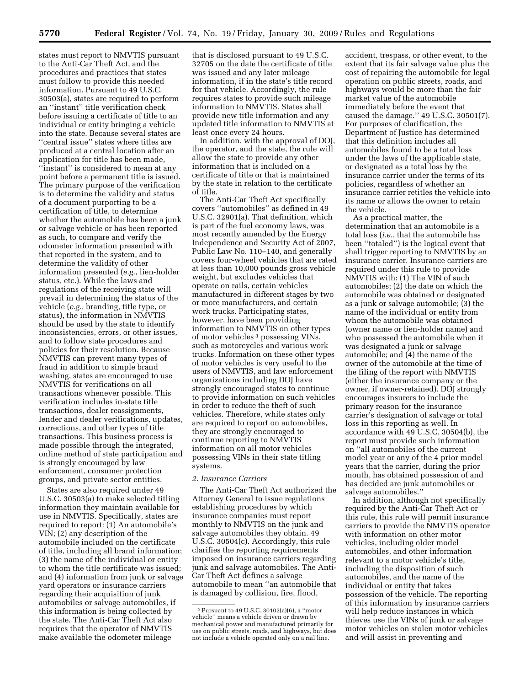states must report to NMVTIS pursuant to the Anti-Car Theft Act, and the procedures and practices that states must follow to provide this needed information. Pursuant to 49 U.S.C. 30503(a), states are required to perform an ''instant'' title verification check before issuing a certificate of title to an individual or entity bringing a vehicle into the state. Because several states are ''central issue'' states where titles are produced at a central location after an application for title has been made, "instant" is considered to mean at any point before a permanent title is issued. The primary purpose of the verification is to determine the validity and status of a document purporting to be a certification of title, to determine whether the automobile has been a junk or salvage vehicle or has been reported as such, to compare and verify the odometer information presented with that reported in the system, and to determine the validity of other information presented (*e.g.*, lien-holder status, etc.). While the laws and regulations of the receiving state will prevail in determining the status of the vehicle (*e.g.*, branding, title type, or status), the information in NMVTIS should be used by the state to identify inconsistencies, errors, or other issues, and to follow state procedures and policies for their resolution. Because NMVTIS can prevent many types of fraud in addition to simple brand washing, states are encouraged to use NMVTIS for verifications on all transactions whenever possible. This verification includes in-state title transactions, dealer reassignments, lender and dealer verifications, updates, corrections, and other types of title transactions. This business process is made possible through the integrated, online method of state participation and is strongly encouraged by law enforcement, consumer protection groups, and private sector entities.

States are also required under 49 U.S.C. 30503(a) to make selected titling information they maintain available for use in NMVTIS. Specifically, states are required to report: (1) An automobile's VIN; (2) any description of the automobile included on the certificate of title, including all brand information; (3) the name of the individual or entity to whom the title certificate was issued; and (4) information from junk or salvage yard operators or insurance carriers regarding their acquisition of junk automobiles or salvage automobiles, if this information is being collected by the state. The Anti-Car Theft Act also requires that the operator of NMVTIS make available the odometer mileage

that is disclosed pursuant to 49 U.S.C. 32705 on the date the certificate of title was issued and any later mileage information, if in the state's title record for that vehicle. Accordingly, the rule requires states to provide such mileage information to NMVTIS. States shall provide new title information and any updated title information to NMVTIS at least once every 24 hours.

In addition, with the approval of DOJ, the operator, and the state, the rule will allow the state to provide any other information that is included on a certificate of title or that is maintained by the state in relation to the certificate of title.

The Anti-Car Theft Act specifically covers ''automobiles'' as defined in 49 U.S.C. 32901(a). That definition, which is part of the fuel economy laws, was most recently amended by the Energy Independence and Security Act of 2007, Public Law No. 110–140, and generally covers four-wheel vehicles that are rated at less than 10,000 pounds gross vehicle weight, but excludes vehicles that operate on rails, certain vehicles manufactured in different stages by two or more manufacturers, and certain work trucks. Participating states, however, have been providing information to NMVTIS on other types of motor vehicles 3 possessing VINs, such as motorcycles and various work trucks. Information on these other types of motor vehicles is very useful to the users of NMVTIS, and law enforcement organizations including DOJ have strongly encouraged states to continue to provide information on such vehicles in order to reduce the theft of such vehicles. Therefore, while states only are required to report on automobiles, they are strongly encouraged to continue reporting to NMVTIS information on all motor vehicles possessing VINs in their state titling systems.

## *2. Insurance Carriers*

The Anti-Car Theft Act authorized the Attorney General to issue regulations establishing procedures by which insurance companies must report monthly to NMVTIS on the junk and salvage automobiles they obtain. 49 U.S.C. 30504(c). Accordingly, this rule clarifies the reporting requirements imposed on insurance carriers regarding junk and salvage automobiles. The Anti-Car Theft Act defines a salvage automobile to mean ''an automobile that is damaged by collision, fire, flood,

accident, trespass, or other event, to the extent that its fair salvage value plus the cost of repairing the automobile for legal operation on public streets, roads, and highways would be more than the fair market value of the automobile immediately before the event that caused the damage.'' 49 U.S.C. 30501(7). For purposes of clarification, the Department of Justice has determined that this definition includes all automobiles found to be a total loss under the laws of the applicable state, or designated as a total loss by the insurance carrier under the terms of its policies, regardless of whether an insurance carrier retitles the vehicle into its name or allows the owner to retain the vehicle.

As a practical matter, the determination that an automobile is a total loss (*i.e.*, that the automobile has been ''totaled'') is the logical event that shall trigger reporting to NMVTIS by an insurance carrier. Insurance carriers are required under this rule to provide NMVTIS with: (1) The VIN of such automobiles; (2) the date on which the automobile was obtained or designated as a junk or salvage automobile; (3) the name of the individual or entity from whom the automobile was obtained (owner name or lien-holder name) and who possessed the automobile when it was designated a junk or salvage automobile; and (4) the name of the owner of the automobile at the time of the filing of the report with NMVTIS (either the insurance company or the owner, if owner-retained). DOJ strongly encourages insurers to include the primary reason for the insurance carrier's designation of salvage or total loss in this reporting as well. In accordance with 49 U.S.C. 30504(b), the report must provide such information on ''all automobiles of the current model year or any of the 4 prior model years that the carrier, during the prior month, has obtained possession of and has decided are junk automobiles or salvage automobiles.''

In addition, although not specifically required by the Anti-Car Theft Act or this rule, this rule will permit insurance carriers to provide the NMVTIS operator with information on other motor vehicles, including older model automobiles, and other information relevant to a motor vehicle's title, including the disposition of such automobiles, and the name of the individual or entity that takes possession of the vehicle. The reporting of this information by insurance carriers will help reduce instances in which thieves use the VINs of junk or salvage motor vehicles on stolen motor vehicles and will assist in preventing and

<sup>3</sup>Pursuant to 49 U.S.C. 30102(a)(6), a ''motor vehicle'' means a vehicle driven or drawn by mechanical power and manufactured primarily for use on public streets, roads, and highways, but does not include a vehicle operated only on a rail line.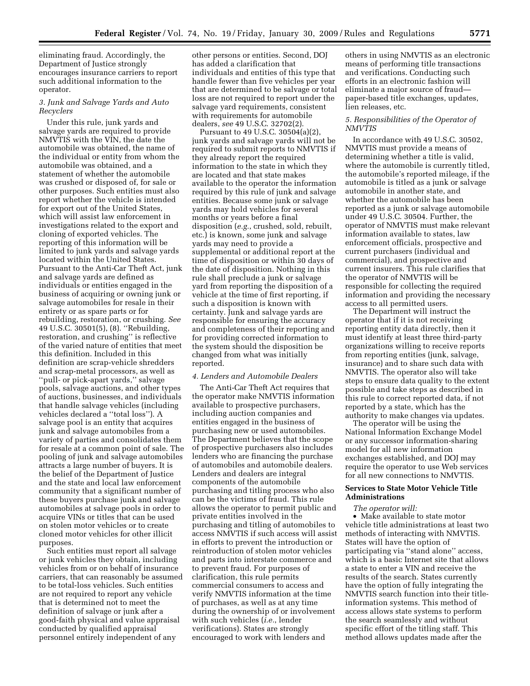eliminating fraud. Accordingly, the Department of Justice strongly encourages insurance carriers to report such additional information to the operator.

## *3. Junk and Salvage Yards and Auto Recyclers*

Under this rule, junk yards and salvage yards are required to provide NMVTIS with the VIN, the date the automobile was obtained, the name of the individual or entity from whom the automobile was obtained, and a statement of whether the automobile was crushed or disposed of, for sale or other purposes. Such entities must also report whether the vehicle is intended for export out of the United States, which will assist law enforcement in investigations related to the export and cloning of exported vehicles. The reporting of this information will be limited to junk yards and salvage yards located within the United States. Pursuant to the Anti-Car Theft Act, junk and salvage yards are defined as individuals or entities engaged in the business of acquiring or owning junk or salvage automobiles for resale in their entirety or as spare parts or for rebuilding, restoration, or crushing. *See*  49 U.S.C. 30501(5), (8). ''Rebuilding, restoration, and crushing'' is reflective of the varied nature of entities that meet this definition. Included in this definition are scrap-vehicle shredders and scrap-metal processors, as well as ''pull- or pick-apart yards,'' salvage pools, salvage auctions, and other types of auctions, businesses, and individuals that handle salvage vehicles (including vehicles declared a ''total loss''). A salvage pool is an entity that acquires junk and salvage automobiles from a variety of parties and consolidates them for resale at a common point of sale. The pooling of junk and salvage automobiles attracts a large number of buyers. It is the belief of the Department of Justice and the state and local law enforcement community that a significant number of these buyers purchase junk and salvage automobiles at salvage pools in order to acquire VINs or titles that can be used on stolen motor vehicles or to create cloned motor vehicles for other illicit purposes.

Such entities must report all salvage or junk vehicles they obtain, including vehicles from or on behalf of insurance carriers, that can reasonably be assumed to be total-loss vehicles. Such entities are not required to report any vehicle that is determined not to meet the definition of salvage or junk after a good-faith physical and value appraisal conducted by qualified appraisal personnel entirely independent of any

other persons or entities. Second, DOJ has added a clarification that individuals and entities of this type that handle fewer than five vehicles per year that are determined to be salvage or total loss are not required to report under the salvage yard requirements, consistent with requirements for automobile dealers, *see* 49 U.S.C. 32702(2).

Pursuant to 49 U.S.C. 30504(a)(2), junk yards and salvage yards will not be required to submit reports to NMVTIS if they already report the required information to the state in which they are located and that state makes available to the operator the information required by this rule of junk and salvage entities. Because some junk or salvage yards may hold vehicles for several months or years before a final disposition (*e.g.*, crushed, sold, rebuilt, etc.) is known, some junk and salvage yards may need to provide a supplemental or additional report at the time of disposition or within 30 days of the date of disposition. Nothing in this rule shall preclude a junk or salvage yard from reporting the disposition of a vehicle at the time of first reporting, if such a disposition is known with certainty. Junk and salvage yards are responsible for ensuring the accuracy and completeness of their reporting and for providing corrected information to the system should the disposition be changed from what was initially reported.

#### *4. Lenders and Automobile Dealers*

The Anti-Car Theft Act requires that the operator make NMVTIS information available to prospective purchasers, including auction companies and entities engaged in the business of purchasing new or used automobiles. The Department believes that the scope of prospective purchasers also includes lenders who are financing the purchase of automobiles and automobile dealers. Lenders and dealers are integral components of the automobile purchasing and titling process who also can be the victims of fraud. This rule allows the operator to permit public and private entities involved in the purchasing and titling of automobiles to access NMVTIS if such access will assist in efforts to prevent the introduction or reintroduction of stolen motor vehicles and parts into interstate commerce and to prevent fraud. For purposes of clarification, this rule permits commercial consumers to access and verify NMVTIS information at the time of purchases, as well as at any time during the ownership of or involvement with such vehicles (*i.e.*, lender verifications). States are strongly encouraged to work with lenders and

others in using NMVTIS as an electronic means of performing title transactions and verifications. Conducting such efforts in an electronic fashion will eliminate a major source of fraud paper-based title exchanges, updates, lien releases, etc.

## *5. Responsibilities of the Operator of NMVTIS*

In accordance with 49 U.S.C. 30502, NMVTIS must provide a means of determining whether a title is valid, where the automobile is currently titled, the automobile's reported mileage, if the automobile is titled as a junk or salvage automobile in another state, and whether the automobile has been reported as a junk or salvage automobile under 49 U.S.C. 30504. Further, the operator of NMVTIS must make relevant information available to states, law enforcement officials, prospective and current purchasers (individual and commercial), and prospective and current insurers. This rule clarifies that the operator of NMVTIS will be responsible for collecting the required information and providing the necessary access to all permitted users.

The Department will instruct the operator that if it is not receiving reporting entity data directly, then it must identify at least three third-party organizations willing to receive reports from reporting entities (junk, salvage, insurance) and to share such data with NMVTIS. The operator also will take steps to ensure data quality to the extent possible and take steps as described in this rule to correct reported data, if not reported by a state, which has the authority to make changes via updates.

The operator will be using the National Information Exchange Model or any successor information-sharing model for all new information exchanges established, and DOJ may require the operator to use Web services for all new connections to NMVTIS.

## **Services to State Motor Vehicle Title Administrations**

#### *The operator will:*

• Make available to state motor vehicle title administrations at least two methods of interacting with NMVTIS. States will have the option of participating via ''stand alone'' access, which is a basic Internet site that allows a state to enter a VIN and receive the results of the search. States currently have the option of fully integrating the NMVTIS search function into their titleinformation systems. This method of access allows state systems to perform the search seamlessly and without specific effort of the titling staff. This method allows updates made after the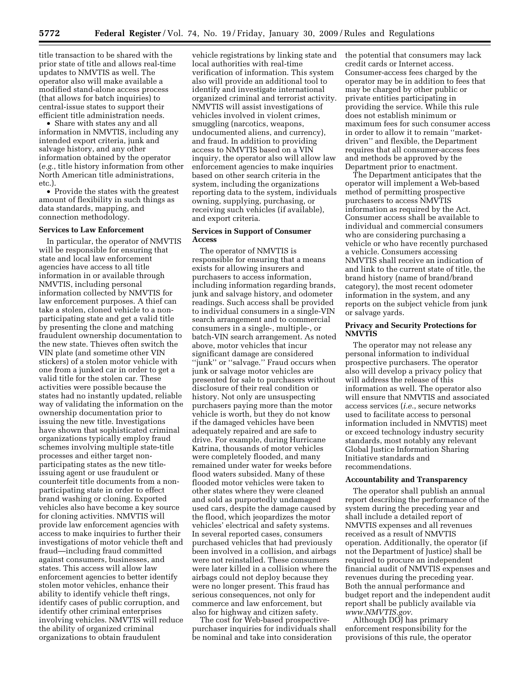title transaction to be shared with the prior state of title and allows real-time updates to NMVTIS as well. The operator also will make available a modified stand-alone access process (that allows for batch inquiries) to central-issue states to support their efficient title administration needs.

• Share with states any and all information in NMVTIS, including any intended export criteria, junk and salvage history, and any other information obtained by the operator (*e.g.*, title history information from other North American title administrations, etc.).

• Provide the states with the greatest amount of flexibility in such things as data standards, mapping, and connection methodology.

#### **Services to Law Enforcement**

In particular, the operator of NMVTIS will be responsible for ensuring that state and local law enforcement agencies have access to all title information in or available through NMVTIS, including personal information collected by NMVTIS for law enforcement purposes. A thief can take a stolen, cloned vehicle to a nonparticipating state and get a valid title by presenting the clone and matching fraudulent ownership documentation to the new state. Thieves often switch the VIN plate (and sometime other VIN stickers) of a stolen motor vehicle with one from a junked car in order to get a valid title for the stolen car. These activities were possible because the states had no instantly updated, reliable way of validating the information on the ownership documentation prior to issuing the new title. Investigations have shown that sophisticated criminal organizations typically employ fraud schemes involving multiple state-title processes and either target nonparticipating states as the new titleissuing agent or use fraudulent or counterfeit title documents from a nonparticipating state in order to effect brand washing or cloning. Exported vehicles also have become a key source for cloning activities. NMVTIS will provide law enforcement agencies with access to make inquiries to further their investigations of motor vehicle theft and fraud—including fraud committed against consumers, businesses, and states. This access will allow law enforcement agencies to better identify stolen motor vehicles, enhance their ability to identify vehicle theft rings, identify cases of public corruption, and identify other criminal enterprises involving vehicles. NMVTIS will reduce the ability of organized criminal organizations to obtain fraudulent

vehicle registrations by linking state and local authorities with real-time verification of information. This system also will provide an additional tool to identify and investigate international organized criminal and terrorist activity. NMVTIS will assist investigations of vehicles involved in violent crimes, smuggling (narcotics, weapons, undocumented aliens, and currency), and fraud. In addition to providing access to NMVTIS based on a VIN inquiry, the operator also will allow law enforcement agencies to make inquiries based on other search criteria in the system, including the organizations reporting data to the system, individuals owning, supplying, purchasing, or receiving such vehicles (if available), and export criteria.

## **Services in Support of Consumer Access**

The operator of NMVTIS is responsible for ensuring that a means exists for allowing insurers and purchasers to access information, including information regarding brands, junk and salvage history, and odometer readings. Such access shall be provided to individual consumers in a single-VIN search arrangement and to commercial consumers in a single-, multiple-, or batch-VIN search arrangement. As noted above, motor vehicles that incur significant damage are considered "junk" or "salvage." Fraud occurs when junk or salvage motor vehicles are presented for sale to purchasers without disclosure of their real condition or history. Not only are unsuspecting purchasers paying more than the motor vehicle is worth, but they do not know if the damaged vehicles have been adequately repaired and are safe to drive. For example, during Hurricane Katrina, thousands of motor vehicles were completely flooded, and many remained under water for weeks before flood waters subsided. Many of these flooded motor vehicles were taken to other states where they were cleaned and sold as purportedly undamaged used cars, despite the damage caused by the flood, which jeopardizes the motor vehicles' electrical and safety systems. In several reported cases, consumers purchased vehicles that had previously been involved in a collision, and airbags were not reinstalled. These consumers were later killed in a collision where the airbags could not deploy because they were no longer present. This fraud has serious consequences, not only for commerce and law enforcement, but also for highway and citizen safety.

The cost for Web-based prospectivepurchaser inquiries for individuals shall be nominal and take into consideration

the potential that consumers may lack credit cards or Internet access. Consumer-access fees charged by the operator may be in addition to fees that may be charged by other public or private entities participating in providing the service. While this rule does not establish minimum or maximum fees for such consumer access in order to allow it to remain ''marketdriven'' and flexible, the Department requires that all consumer-access fees and methods be approved by the Department prior to enactment.

The Department anticipates that the operator will implement a Web-based method of permitting prospective purchasers to access NMVTIS information as required by the Act. Consumer access shall be available to individual and commercial consumers who are considering purchasing a vehicle or who have recently purchased a vehicle. Consumers accessing NMVTIS shall receive an indication of and link to the current state of title, the brand history (name of brand/brand category), the most recent odometer information in the system, and any reports on the subject vehicle from junk or salvage yards.

## **Privacy and Security Protections for NMVTIS**

The operator may not release any personal information to individual prospective purchasers. The operator also will develop a privacy policy that will address the release of this information as well. The operator also will ensure that NMVTIS and associated access services (*i.e.*, secure networks used to facilitate access to personal information included in NMVTIS) meet or exceed technology industry security standards, most notably any relevant Global Justice Information Sharing Initiative standards and recommendations.

#### **Accountability and Transparency**

The operator shall publish an annual report describing the performance of the system during the preceding year and shall include a detailed report of NMVTIS expenses and all revenues received as a result of NMVTIS operation. Additionally, the operator (if not the Department of Justice) shall be required to procure an independent financial audit of NMVTIS expenses and revenues during the preceding year. Both the annual performance and budget report and the independent audit report shall be publicly available via *[www.NMVTIS.gov](http://www.NMVTIS.gov)*.

Although DOJ has primary enforcement responsibility for the provisions of this rule, the operator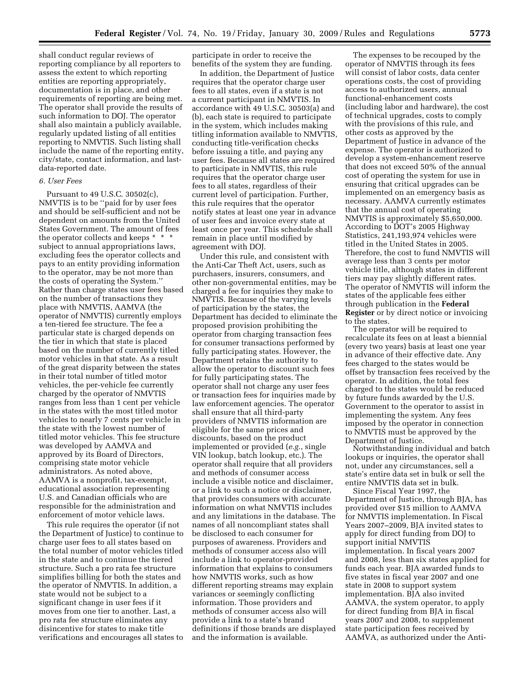shall conduct regular reviews of reporting compliance by all reporters to assess the extent to which reporting entities are reporting appropriately, documentation is in place, and other requirements of reporting are being met. The operator shall provide the results of such information to DOJ. The operator shall also maintain a publicly available, regularly updated listing of all entities reporting to NMVTIS. Such listing shall include the name of the reporting entity, city/state, contact information, and lastdata-reported date.

#### *6. User Fees*

Pursuant to 49 U.S.C. 30502(c), NMVTIS is to be ''paid for by user fees and should be self-sufficient and not be dependent on amounts from the United States Government. The amount of fees the operator collects and keeps \* \* \* subject to annual appropriations laws, excluding fees the operator collects and pays to an entity providing information to the operator, may be not more than the costs of operating the System.'' Rather than charge states user fees based on the number of transactions they place with NMVTIS, AAMVA (the operator of NMVTIS) currently employs a ten-tiered fee structure. The fee a particular state is charged depends on the tier in which that state is placed based on the number of currently titled motor vehicles in that state. As a result of the great disparity between the states in their total number of titled motor vehicles, the per-vehicle fee currently charged by the operator of NMVTIS ranges from less than 1 cent per vehicle in the states with the most titled motor vehicles to nearly 7 cents per vehicle in the state with the lowest number of titled motor vehicles. This fee structure was developed by AAMVA and approved by its Board of Directors, comprising state motor vehicle administrators. As noted above, AAMVA is a nonprofit, tax-exempt, educational association representing U.S. and Canadian officials who are responsible for the administration and enforcement of motor vehicle laws.

This rule requires the operator (if not the Department of Justice) to continue to charge user fees to all states based on the total number of motor vehicles titled in the state and to continue the tiered structure. Such a pro rata fee structure simplifies billing for both the states and the operator of NMVTIS. In addition, a state would not be subject to a significant change in user fees if it moves from one tier to another. Last, a pro rata fee structure eliminates any disincentive for states to make title verifications and encourages all states to

participate in order to receive the benefits of the system they are funding.

In addition, the Department of Justice requires that the operator charge user fees to all states, even if a state is not a current participant in NMVTIS. In accordance with 49 U.S.C. 30503(a) and (b), each state is required to participate in the system, which includes making titling information available to NMVTIS, conducting title-verification checks before issuing a title, and paying any user fees. Because all states are required to participate in NMVTIS, this rule requires that the operator charge user fees to all states, regardless of their current level of participation. Further, this rule requires that the operator notify states at least one year in advance of user fees and invoice every state at least once per year. This schedule shall remain in place until modified by agreement with DOJ.

Under this rule, and consistent with the Anti-Car Theft Act, users, such as purchasers, insurers, consumers, and other non-governmental entities, may be charged a fee for inquiries they make to NMVTIS. Because of the varying levels of participation by the states, the Department has decided to eliminate the proposed provision prohibiting the operator from charging transaction fees for consumer transactions performed by fully participating states. However, the Department retains the authority to allow the operator to discount such fees for fully participating states. The operator shall not charge any user fees or transaction fees for inquiries made by law enforcement agencies. The operator shall ensure that all third-party providers of NMVTIS information are eligible for the same prices and discounts, based on the product implemented or provided (*e.g.*, single VIN lookup, batch lookup, etc.). The operator shall require that all providers and methods of consumer access include a visible notice and disclaimer, or a link to such a notice or disclaimer, that provides consumers with accurate information on what NMVTIS includes and any limitations in the database. The names of all noncompliant states shall be disclosed to each consumer for purposes of awareness. Providers and methods of consumer access also will include a link to operator-provided information that explains to consumers how NMVTIS works, such as how different reporting streams may explain variances or seemingly conflicting information. Those providers and methods of consumer access also will provide a link to a state's brand definitions if those brands are displayed and the information is available.

The expenses to be recouped by the operator of NMVTIS through its fees will consist of labor costs, data center operations costs, the cost of providing access to authorized users, annual functional-enhancement costs (including labor and hardware), the cost of technical upgrades, costs to comply with the provisions of this rule, and other costs as approved by the Department of Justice in advance of the expense. The operator is authorized to develop a system-enhancement reserve that does not exceed 50% of the annual cost of operating the system for use in ensuring that critical upgrades can be implemented on an emergency basis as necessary. AAMVA currently estimates that the annual cost of operating NMVTIS is approximately \$5,650,000. According to DOT's 2005 Highway Statistics, 241,193,974 vehicles were titled in the United States in 2005. Therefore, the cost to fund NMVTIS will average less than 3 cents per motor vehicle title, although states in different tiers may pay slightly different rates. The operator of NMVTIS will inform the states of the applicable fees either through publication in the **Federal Register** or by direct notice or invoicing to the states.

The operator will be required to recalculate its fees on at least a biennial (every two years) basis at least one year in advance of their effective date. Any fees charged to the states would be offset by transaction fees received by the operator. In addition, the total fees charged to the states would be reduced by future funds awarded by the U.S. Government to the operator to assist in implementing the system. Any fees imposed by the operator in connection to NMVTIS must be approved by the Department of Justice.

Notwithstanding individual and batch lookups or inquiries, the operator shall not, under any circumstances, sell a state's entire data set in bulk or sell the entire NMVTIS data set in bulk.

Since Fiscal Year 1997, the Department of Justice, through BJA, has provided over \$15 million to AAMVA for NMVTIS implementation. In Fiscal Years 2007–2009, BJA invited states to apply for direct funding from DOJ to support initial NMVTIS implementation. In fiscal years 2007 and 2008, less than six states applied for funds each year. BJA awarded funds to five states in fiscal year 2007 and one state in 2008 to support system implementation. BJA also invited AAMVA, the system operator, to apply for direct funding from BJA in fiscal years 2007 and 2008, to supplement state participation fees received by AAMVA, as authorized under the Anti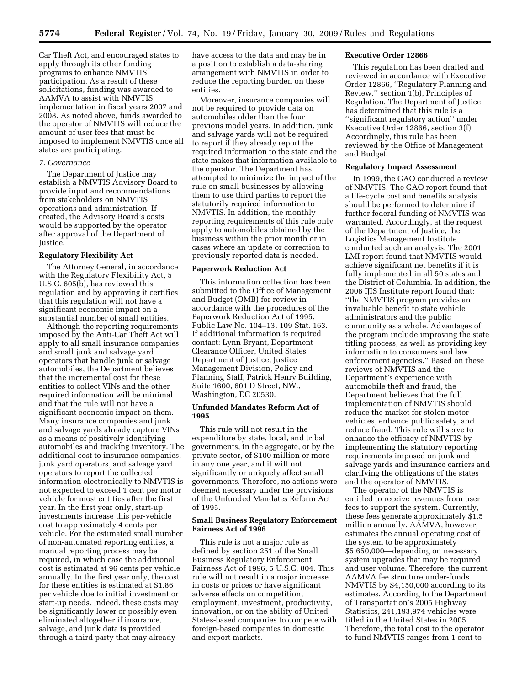Car Theft Act, and encouraged states to apply through its other funding programs to enhance NMVTIS participation. As a result of these solicitations, funding was awarded to AAMVA to assist with NMVTIS implementation in fiscal years 2007 and 2008. As noted above, funds awarded to the operator of NMVTIS will reduce the amount of user fees that must be imposed to implement NMVTIS once all states are participating.

## *7. Governance*

The Department of Justice may establish a NMVTIS Advisory Board to provide input and recommendations from stakeholders on NMVTIS operations and administration. If created, the Advisory Board's costs would be supported by the operator after approval of the Department of Justice.

## **Regulatory Flexibility Act**

The Attorney General, in accordance with the Regulatory Flexibility Act, 5 U.S.C. 605(b), has reviewed this regulation and by approving it certifies that this regulation will not have a significant economic impact on a substantial number of small entities.

Although the reporting requirements imposed by the Anti-Car Theft Act will apply to all small insurance companies and small junk and salvage yard operators that handle junk or salvage automobiles, the Department believes that the incremental cost for these entities to collect VINs and the other required information will be minimal and that the rule will not have a significant economic impact on them. Many insurance companies and junk and salvage yards already capture VINs as a means of positively identifying automobiles and tracking inventory. The additional cost to insurance companies, junk yard operators, and salvage yard operators to report the collected information electronically to NMVTIS is not expected to exceed 1 cent per motor vehicle for most entities after the first year. In the first year only, start-up investments increase this per-vehicle cost to approximately 4 cents per vehicle. For the estimated small number of non-automated reporting entities, a manual reporting process may be required, in which case the additional cost is estimated at 96 cents per vehicle annually. In the first year only, the cost for these entities is estimated at \$1.86 per vehicle due to initial investment or start-up needs. Indeed, these costs may be significantly lower or possibly even eliminated altogether if insurance, salvage, and junk data is provided through a third party that may already

have access to the data and may be in a position to establish a data-sharing arrangement with NMVTIS in order to reduce the reporting burden on these entities.

Moreover, insurance companies will not be required to provide data on automobiles older than the four previous model years. In addition, junk and salvage yards will not be required to report if they already report the required information to the state and the state makes that information available to the operator. The Department has attempted to minimize the impact of the rule on small businesses by allowing them to use third parties to report the statutorily required information to NMVTIS. In addition, the monthly reporting requirements of this rule only apply to automobiles obtained by the business within the prior month or in cases where an update or correction to previously reported data is needed.

#### **Paperwork Reduction Act**

This information collection has been submitted to the Office of Management and Budget (OMB) for review in accordance with the procedures of the Paperwork Reduction Act of 1995, Public Law No. 104–13, 109 Stat. 163. If additional information is required contact: Lynn Bryant, Department Clearance Officer, United States Department of Justice, Justice Management Division, Policy and Planning Staff, Patrick Henry Building, Suite 1600, 601 D Street, NW., Washington, DC 20530.

## **Unfunded Mandates Reform Act of 1995**

This rule will not result in the expenditure by state, local, and tribal governments, in the aggregate, or by the private sector, of \$100 million or more in any one year, and it will not significantly or uniquely affect small governments. Therefore, no actions were deemed necessary under the provisions of the Unfunded Mandates Reform Act of 1995.

## **Small Business Regulatory Enforcement Fairness Act of 1996**

This rule is not a major rule as defined by section 251 of the Small Business Regulatory Enforcement Fairness Act of 1996, 5 U.S.C. 804. This rule will not result in a major increase in costs or prices or have significant adverse effects on competition, employment, investment, productivity, innovation, or on the ability of United States-based companies to compete with foreign-based companies in domestic and export markets.

## **Executive Order 12866**

This regulation has been drafted and reviewed in accordance with Executive Order 12866, ''Regulatory Planning and Review,'' section 1(b), Principles of Regulation. The Department of Justice has determined that this rule is a ''significant regulatory action'' under Executive Order 12866, section 3(f). Accordingly, this rule has been reviewed by the Office of Management and Budget.

## **Regulatory Impact Assessment**

In 1999, the GAO conducted a review of NMVTIS. The GAO report found that a life-cycle cost and benefits analysis should be performed to determine if further federal funding of NMVTIS was warranted. Accordingly, at the request of the Department of Justice, the Logistics Management Institute conducted such an analysis. The 2001 LMI report found that NMVTIS would achieve significant net benefits if it is fully implemented in all 50 states and the District of Columbia. In addition, the 2006 IJIS Institute report found that: ''the NMVTIS program provides an invaluable benefit to state vehicle administrators and the public community as a whole. Advantages of the program include improving the state titling process, as well as providing key information to consumers and law enforcement agencies.'' Based on these reviews of NMVTIS and the Department's experience with automobile theft and fraud, the Department believes that the full implementation of NMVTIS should reduce the market for stolen motor vehicles, enhance public safety, and reduce fraud. This rule will serve to enhance the efficacy of NMVTIS by implementing the statutory reporting requirements imposed on junk and salvage yards and insurance carriers and clarifying the obligations of the states and the operator of NMVTIS.

The operator of the NMVTIS is entitled to receive revenues from user fees to support the system. Currently, these fees generate approximately \$1.5 million annually. AAMVA, however, estimates the annual operating cost of the system to be approximately \$5,650,000—depending on necessary system upgrades that may be required and user volume. Therefore, the current AAMVA fee structure under-funds NMVTIS by \$4,150,000 according to its estimates. According to the Department of Transportation's 2005 Highway Statistics, 241,193,974 vehicles were titled in the United States in 2005. Therefore, the total cost to the operator to fund NMVTIS ranges from 1 cent to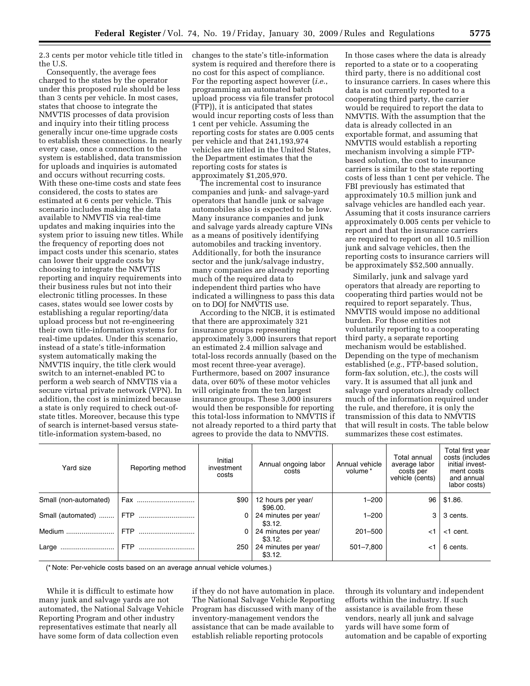2.3 cents per motor vehicle title titled in the U.S.

Consequently, the average fees charged to the states by the operator under this proposed rule should be less than 3 cents per vehicle. In most cases, states that choose to integrate the NMVTIS processes of data provision and inquiry into their titling process generally incur one-time upgrade costs to establish these connections. In nearly every case, once a connection to the system is established, data transmission for uploads and inquiries is automated and occurs without recurring costs. With these one-time costs and state fees considered, the costs to states are estimated at 6 cents per vehicle. This scenario includes making the data available to NMVTIS via real-time updates and making inquiries into the system prior to issuing new titles. While the frequency of reporting does not impact costs under this scenario, states can lower their upgrade costs by choosing to integrate the NMVTIS reporting and inquiry requirements into their business rules but not into their electronic titling processes. In these cases, states would see lower costs by establishing a regular reporting/data upload process but not re-engineering their own title-information systems for real-time updates. Under this scenario, instead of a state's title-information system automatically making the NMVTIS inquiry, the title clerk would switch to an internet-enabled PC to perform a web search of NMVTIS via a secure virtual private network (VPN). In addition, the cost is minimized because a state is only required to check out-ofstate titles. Moreover, because this type of search is internet-based versus statetitle-information system-based, no

changes to the state's title-information system is required and therefore there is no cost for this aspect of compliance. For the reporting aspect however (*i.e.*, programming an automated batch upload process via file transfer protocol (FTP)), it is anticipated that states would incur reporting costs of less than 1 cent per vehicle. Assuming the reporting costs for states are 0.005 cents per vehicle and that 241,193,974 vehicles are titled in the United States, the Department estimates that the reporting costs for states is approximately \$1,205,970.

The incremental cost to insurance companies and junk- and salvage-yard operators that handle junk or salvage automobiles also is expected to be low. Many insurance companies and junk and salvage yards already capture VINs as a means of positively identifying automobiles and tracking inventory. Additionally, for both the insurance sector and the junk/salvage industry, many companies are already reporting much of the required data to independent third parties who have indicated a willingness to pass this data on to DOJ for NMVTIS use.

According to the NICB, it is estimated that there are approximately 321 insurance groups representing approximately 3,000 insurers that report an estimated 2.4 million salvage and total-loss records annually (based on the most recent three-year average). Furthermore, based on 2007 insurance data, over 60% of these motor vehicles will originate from the ten largest insurance groups. These 3,000 insurers would then be responsible for reporting this total-loss information to NMVTIS if not already reported to a third party that agrees to provide the data to NMVTIS.

In those cases where the data is already reported to a state or to a cooperating third party, there is no additional cost to insurance carriers. In cases where this data is not currently reported to a cooperating third party, the carrier would be required to report the data to NMVTIS. With the assumption that the data is already collected in an exportable format, and assuming that NMVTIS would establish a reporting mechanism involving a simple FTPbased solution, the cost to insurance carriers is similar to the state reporting costs of less than 1 cent per vehicle. The FBI previously has estimated that approximately 10.5 million junk and salvage vehicles are handled each year. Assuming that it costs insurance carriers approximately 0.005 cents per vehicle to report and that the insurance carriers are required to report on all 10.5 million junk and salvage vehicles, then the reporting costs to insurance carriers will be approximately \$52,500 annually.

Similarly, junk and salvage yard operators that already are reporting to cooperating third parties would not be required to report separately. Thus, NMVTIS would impose no additional burden. For those entities not voluntarily reporting to a cooperating third party, a separate reporting mechanism would be established. Depending on the type of mechanism established (*e.g.*, FTP-based solution, form-fax solution, etc.), the costs will vary. It is assumed that all junk and salvage yard operators already collect much of the information required under the rule, and therefore, it is only the transmission of this data to NMVTIS that will result in costs. The table below summarizes these cost estimates.

| Yard size             | Reporting method | Initial<br>investment<br>costs | Annual ongoing labor<br>costs   | Annual vehicle<br>volume* | Total annual<br>average labor<br>costs per<br>vehicle (cents) | Total first year<br>costs (includes<br>initial invest-<br>ment costs<br>and annual<br>labor costs) |
|-----------------------|------------------|--------------------------------|---------------------------------|---------------------------|---------------------------------------------------------------|----------------------------------------------------------------------------------------------------|
| Small (non-automated) | Fax              | \$90                           | 12 hours per year/<br>\$96.00.  | $1 - 200$                 | 96                                                            | \$1.86.                                                                                            |
| Small (automated)     | <b>FTP</b>       | 0                              | 24 minutes per year/<br>\$3.12. | $1 - 200$                 | 3                                                             | 3 cents.                                                                                           |
| Medium                | <b>FTP</b>       | $\Omega$                       | 24 minutes per year/<br>\$3.12. | $201 - 500$               | ا>                                                            | $<$ 1 cent.                                                                                        |
| Large                 | <b>FTP</b>       | 250                            | 24 minutes per year/<br>\$3.12. | 501-7,800                 | <1                                                            | 6 cents.                                                                                           |

(\* Note: Per-vehicle costs based on an average annual vehicle volumes.)

While it is difficult to estimate how many junk and salvage yards are not automated, the National Salvage Vehicle Reporting Program and other industry representatives estimate that nearly all have some form of data collection even

if they do not have automation in place. The National Salvage Vehicle Reporting Program has discussed with many of the inventory-management vendors the assistance that can be made available to establish reliable reporting protocols

through its voluntary and independent efforts within the industry. If such assistance is available from these vendors, nearly all junk and salvage yards will have some form of automation and be capable of exporting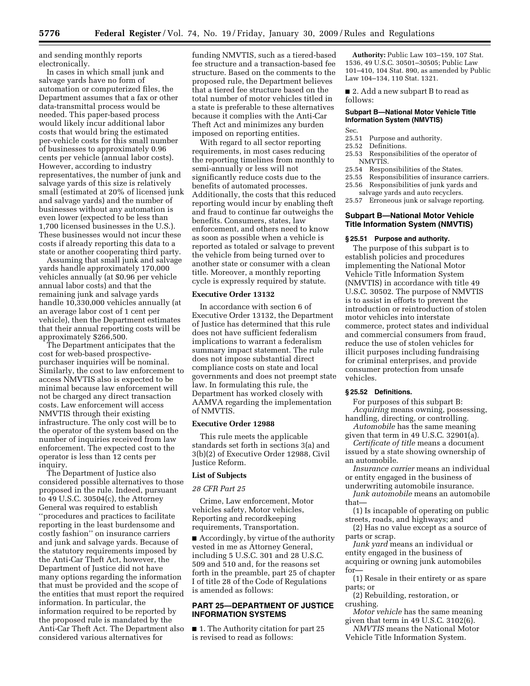and sending monthly reports electronically.

In cases in which small junk and salvage yards have no form of automation or computerized files, the Department assumes that a fax or other data-transmittal process would be needed. This paper-based process would likely incur additional labor costs that would bring the estimated per-vehicle costs for this small number of businesses to approximately 0.96 cents per vehicle (annual labor costs). However, according to industry representatives, the number of junk and salvage yards of this size is relatively small (estimated at 20% of licensed junk and salvage yards) and the number of businesses without any automation is even lower (expected to be less than 1,700 licensed businesses in the U.S.). These businesses would not incur these costs if already reporting this data to a state or another cooperating third party.

Assuming that small junk and salvage yards handle approximately 170,000 vehicles annually (at \$0.96 per vehicle annual labor costs) and that the remaining junk and salvage yards handle 10,330,000 vehicles annually (at an average labor cost of 1 cent per vehicle), then the Department estimates that their annual reporting costs will be approximately \$266,500.

The Department anticipates that the cost for web-based prospectivepurchaser inquiries will be nominal. Similarly, the cost to law enforcement to access NMVTIS also is expected to be minimal because law enforcement will not be charged any direct transaction costs. Law enforcement will access NMVTIS through their existing infrastructure. The only cost will be to the operator of the system based on the number of inquiries received from law enforcement. The expected cost to the operator is less than 12 cents per inquiry.

The Department of Justice also considered possible alternatives to those proposed in the rule. Indeed, pursuant to 49 U.S.C. 30504(c), the Attorney General was required to establish ''procedures and practices to facilitate reporting in the least burdensome and costly fashion'' on insurance carriers and junk and salvage yards. Because of the statutory requirements imposed by the Anti-Car Theft Act, however, the Department of Justice did not have many options regarding the information that must be provided and the scope of the entities that must report the required information. In particular, the information required to be reported by the proposed rule is mandated by the Anti-Car Theft Act. The Department also considered various alternatives for

funding NMVTIS, such as a tiered-based fee structure and a transaction-based fee structure. Based on the comments to the proposed rule, the Department believes that a tiered fee structure based on the total number of motor vehicles titled in a state is preferable to these alternatives because it complies with the Anti-Car Theft Act and minimizes any burden imposed on reporting entities.

With regard to all sector reporting requirements, in most cases reducing the reporting timelines from monthly to semi-annually or less will not significantly reduce costs due to the benefits of automated processes. Additionally, the costs that this reduced reporting would incur by enabling theft and fraud to continue far outweighs the benefits. Consumers, states, law enforcement, and others need to know as soon as possible when a vehicle is reported as totaled or salvage to prevent the vehicle from being turned over to another state or consumer with a clean title. Moreover, a monthly reporting cycle is expressly required by statute.

## **Executive Order 13132**

In accordance with section 6 of Executive Order 13132, the Department of Justice has determined that this rule does not have sufficient federalism implications to warrant a federalism summary impact statement. The rule does not impose substantial direct compliance costs on state and local governments and does not preempt state law. In formulating this rule, the Department has worked closely with AAMVA regarding the implementation of NMVTIS.

#### **Executive Order 12988**

This rule meets the applicable standards set forth in sections 3(a) and 3(b)(2) of Executive Order 12988, Civil Justice Reform.

## **List of Subjects**

#### *28 CFR Part 25*

Crime, Law enforcement, Motor vehicles safety, Motor vehicles, Reporting and recordkeeping requirements, Transportation.

■ Accordingly, by virtue of the authority vested in me as Attorney General, including 5 U.S.C. 301 and 28 U.S.C. 509 and 510 and, for the reasons set forth in the preamble, part 25 of chapter I of title 28 of the Code of Regulations is amended as follows:

## **PART 25—DEPARTMENT OF JUSTICE INFORMATION SYSTEMS**

■ 1. The Authority citation for part 25 is revised to read as follows:

**Authority:** Public Law 103–159, 107 Stat. 1536, 49 U.S.C. 30501–30505; Public Law 101–410, 104 Stat. 890, as amended by Public Law 104–134, 110 Stat. 1321.

■ 2. Add a new subpart B to read as follows:

## **Subpart B—National Motor Vehicle Title Information System (NMVTIS)**

- Sec.<br>25.51 25.51 Purpose and authority.<br>25.52 Definitions.
- 25.52 Definitions.<br>25.53 Responsibil
- Responsibilities of the operator of NMVTIS.<br>25.54 Respo
- Responsibilities of the States.
- 25.55 Responsibilities of insurance carriers.<br>25.56 Responsibilities of junk vards and
- 25.56 Responsibilities of junk yards and salvage yards and auto recyclers.
- 25.57 Erroneous junk or salvage reporting.

## **Subpart B—National Motor Vehicle Title Information System (NMVTIS)**

#### **§ 25.51 Purpose and authority.**

The purpose of this subpart is to establish policies and procedures implementing the National Motor Vehicle Title Information System (NMVTIS) in accordance with title 49 U.S.C. 30502. The purpose of NMVTIS is to assist in efforts to prevent the introduction or reintroduction of stolen motor vehicles into interstate commerce, protect states and individual and commercial consumers from fraud, reduce the use of stolen vehicles for illicit purposes including fundraising for criminal enterprises, and provide consumer protection from unsafe vehicles.

## **§ 25.52 Definitions.**

For purposes of this subpart B: *Acquiring* means owning, possessing, handling, directing, or controlling.

*Automobile* has the same meaning given that term in 49 U.S.C. 32901(a).

*Certificate of title* means a document issued by a state showing ownership of an automobile.

*Insurance carrier* means an individual or entity engaged in the business of

- underwriting automobile insurance. *Junk automobile* means an automobile that—
- (1) Is incapable of operating on public streets, roads, and highways; and
- (2) Has no value except as a source of parts or scrap.

*Junk yard* means an individual or entity engaged in the business of acquiring or owning junk automobiles for—

- (1) Resale in their entirety or as spare parts; or
- (2) Rebuilding, restoration, or crushing.
- *Motor vehicle* has the same meaning given that term in 49 U.S.C. 3102(6).
- *NMVTIS* means the National Motor Vehicle Title Information System.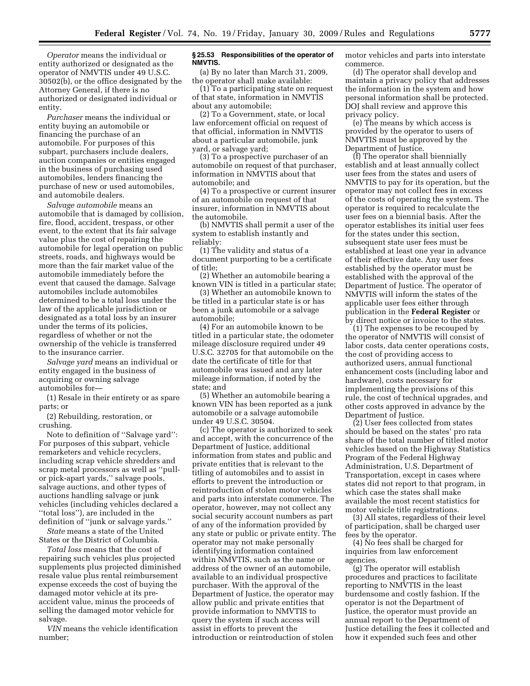*Operator* means the individual or entity authorized or designated as the operator of NMVTIS under 49 U.S.C. 30502(b), or the office designated by the Attorney General, if there is no authorized or designated individual or entity.

*Purchaser* means the individual or entity buying an automobile or financing the purchase of an automobile. For purposes of this subpart, purchasers include dealers, auction companies or entities engaged in the business of purchasing used automobiles, lenders financing the purchase of new or used automobiles, and automobile dealers.

*Salvage automobile* means an automobile that is damaged by collision, fire, flood, accident, trespass, or other event, to the extent that its fair salvage value plus the cost of repairing the automobile for legal operation on public streets, roads, and highways would be more than the fair market value of the automobile immediately before the event that caused the damage. Salvage automobiles include automobiles determined to be a total loss under the law of the applicable jurisdiction or designated as a total loss by an insurer under the terms of its policies, regardless of whether or not the ownership of the vehicle is transferred to the insurance carrier.

*Salvage yard* means an individual or entity engaged in the business of acquiring or owning salvage automobiles for—

(1) Resale in their entirety or as spare parts; or

(2) Rebuilding, restoration, or crushing.

Note to definition of ''Salvage yard'': For purposes of this subpart, vehicle remarketers and vehicle recyclers, including scrap vehicle shredders and scrap metal processors as well as ''pullor pick-apart yards,'' salvage pools, salvage auctions, and other types of auctions handling salvage or junk vehicles (including vehicles declared a ''total loss''), are included in the definition of ''junk or salvage yards.''

*State* means a state of the United States or the District of Columbia.

*Total loss* means that the cost of repairing such vehicles plus projected supplements plus projected diminished resale value plus rental reimbursement expense exceeds the cost of buying the damaged motor vehicle at its preaccident value, minus the proceeds of selling the damaged motor vehicle for salvage.

*VIN* means the vehicle identification number;

## **§ 25.53 Responsibilities of the operator of NMVTIS.**

(a) By no later than March 31, 2009, the operator shall make available:

(1) To a participating state on request of that state, information in NMVTIS about any automobile;

(2) To a Government, state, or local law enforcement official on request of that official, information in NMVTIS about a particular automobile, junk yard, or salvage yard;

(3) To a prospective purchaser of an automobile on request of that purchaser, information in NMVTIS about that automobile; and

(4) To a prospective or current insurer of an automobile on request of that insurer, information in NMVTIS about the automobile.

(b) NMVTIS shall permit a user of the system to establish instantly and reliably:

(1) The validity and status of a document purporting to be a certificate of title;

(2) Whether an automobile bearing a known VIN is titled in a particular state;

(3) Whether an automobile known to be titled in a particular state is or has been a junk automobile or a salvage automobile;

(4) For an automobile known to be titled in a particular state, the odometer mileage disclosure required under 49 U.S.C. 32705 for that automobile on the date the certificate of title for that automobile was issued and any later mileage information, if noted by the state; and

(5) Whether an automobile bearing a known VIN has been reported as a junk automobile or a salvage automobile under 49 U.S.C. 30504.

(c) The operator is authorized to seek and accept, with the concurrence of the Department of Justice, additional information from states and public and private entities that is relevant to the titling of automobiles and to assist in efforts to prevent the introduction or reintroduction of stolen motor vehicles and parts into interstate commerce. The operator, however, may not collect any social security account numbers as part of any of the information provided by any state or public or private entity. The operator may not make personally identifying information contained within NMVTIS, such as the name or address of the owner of an automobile, available to an individual prospective purchaser. With the approval of the Department of Justice, the operator may allow public and private entities that provide information to NMVTIS to query the system if such access will assist in efforts to prevent the introduction or reintroduction of stolen

motor vehicles and parts into interstate commerce.

(d) The operator shall develop and maintain a privacy policy that addresses the information in the system and how personal information shall be protected. DOJ shall review and approve this privacy policy.

(e) The means by which access is provided by the operator to users of NMVTIS must be approved by the Department of Justice.

(f) The operator shall biennially establish and at least annually collect user fees from the states and users of NMVTIS to pay for its operation, but the operator may not collect fees in excess of the costs of operating the system. The operator is required to recalculate the user fees on a biennial basis. After the operator establishes its initial user fees for the states under this section, subsequent state user fees must be established at least one year in advance of their effective date. Any user fees established by the operator must be established with the approval of the Department of Justice. The operator of NMVTIS will inform the states of the applicable user fees either through publication in the **Federal Register** or by direct notice or invoice to the states.

(1) The expenses to be recouped by the operator of NMVTIS will consist of labor costs, data center operations costs, the cost of providing access to authorized users, annual functional enhancement costs (including labor and hardware), costs necessary for implementing the provisions of this rule, the cost of technical upgrades, and other costs approved in advance by the Department of Justice.

(2) User fees collected from states should be based on the states' pro rata share of the total number of titled motor vehicles based on the Highway Statistics Program of the Federal Highway Administration, U.S. Department of Transportation, except in cases where states did not report to that program, in which case the states shall make available the most recent statistics for motor vehicle title registrations.

(3) All states, regardless of their level of participation, shall be charged user fees by the operator.

(4) No fees shall be charged for inquiries from law enforcement agencies.

(g) The operator will establish procedures and practices to facilitate reporting to NMVTIS in the least burdensome and costly fashion. If the operator is not the Department of Justice, the operator must provide an annual report to the Department of Justice detailing the fees it collected and how it expended such fees and other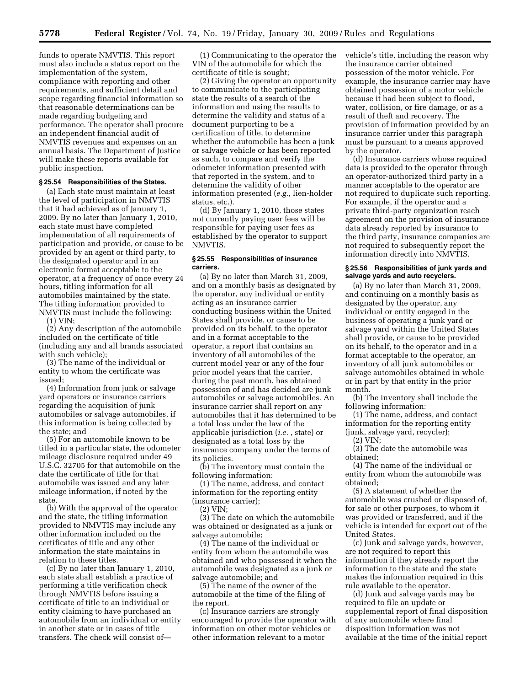funds to operate NMVTIS. This report must also include a status report on the implementation of the system, compliance with reporting and other requirements, and sufficient detail and scope regarding financial information so that reasonable determinations can be made regarding budgeting and performance. The operator shall procure an independent financial audit of NMVTIS revenues and expenses on an annual basis. The Department of Justice will make these reports available for public inspection.

#### **§ 25.54 Responsibilities of the States.**

(a) Each state must maintain at least the level of participation in NMVTIS that it had achieved as of January 1, 2009. By no later than January 1, 2010, each state must have completed implementation of all requirements of participation and provide, or cause to be provided by an agent or third party, to the designated operator and in an electronic format acceptable to the operator, at a frequency of once every 24 hours, titling information for all automobiles maintained by the state. The titling information provided to NMVTIS must include the following:

(1) VIN;

(2) Any description of the automobile included on the certificate of title (including any and all brands associated with such vehicle);

(3) The name of the individual or entity to whom the certificate was issued;

(4) Information from junk or salvage yard operators or insurance carriers regarding the acquisition of junk automobiles or salvage automobiles, if this information is being collected by the state; and

(5) For an automobile known to be titled in a particular state, the odometer mileage disclosure required under 49 U.S.C. 32705 for that automobile on the date the certificate of title for that automobile was issued and any later mileage information, if noted by the state.

(b) With the approval of the operator and the state, the titling information provided to NMVTIS may include any other information included on the certificates of title and any other information the state maintains in relation to these titles.

(c) By no later than January 1, 2010, each state shall establish a practice of performing a title verification check through NMVTIS before issuing a certificate of title to an individual or entity claiming to have purchased an automobile from an individual or entity in another state or in cases of title transfers. The check will consist of—

(1) Communicating to the operator the VIN of the automobile for which the certificate of title is sought;

(2) Giving the operator an opportunity to communicate to the participating state the results of a search of the information and using the results to determine the validity and status of a document purporting to be a certification of title, to determine whether the automobile has been a junk or salvage vehicle or has been reported as such, to compare and verify the odometer information presented with that reported in the system, and to determine the validity of other information presented (*e.g.*, lien-holder status, etc.).

(d) By January 1, 2010, those states not currently paying user fees will be responsible for paying user fees as established by the operator to support NMVTIS.

#### **§ 25.55 Responsibilities of insurance carriers.**

(a) By no later than March 31, 2009, and on a monthly basis as designated by the operator, any individual or entity acting as an insurance carrier conducting business within the United States shall provide, or cause to be provided on its behalf, to the operator and in a format acceptable to the operator, a report that contains an inventory of all automobiles of the current model year or any of the four prior model years that the carrier, during the past month, has obtained possession of and has decided are junk automobiles or salvage automobiles. An insurance carrier shall report on any automobiles that it has determined to be a total loss under the law of the applicable jurisdiction (*i.e.* , state) or designated as a total loss by the insurance company under the terms of its policies.

(b) The inventory must contain the following information:

(1) The name, address, and contact information for the reporting entity (insurance carrier);

(2) VIN;

(3) The date on which the automobile was obtained or designated as a junk or salvage automobile;

(4) The name of the individual or entity from whom the automobile was obtained and who possessed it when the automobile was designated as a junk or salvage automobile; and

(5) The name of the owner of the automobile at the time of the filing of the report.

(c) Insurance carriers are strongly encouraged to provide the operator with information on other motor vehicles or other information relevant to a motor

vehicle's title, including the reason why the insurance carrier obtained possession of the motor vehicle. For example, the insurance carrier may have obtained possession of a motor vehicle because it had been subject to flood, water, collision, or fire damage, or as a result of theft and recovery. The provision of information provided by an insurance carrier under this paragraph must be pursuant to a means approved by the operator.

(d) Insurance carriers whose required data is provided to the operator through an operator-authorized third party in a manner acceptable to the operator are not required to duplicate such reporting. For example, if the operator and a private third-party organization reach agreement on the provision of insurance data already reported by insurance to the third party, insurance companies are not required to subsequently report the information directly into NMVTIS.

#### **§ 25.56 Responsibilities of junk yards and salvage yards and auto recyclers.**

(a) By no later than March 31, 2009, and continuing on a monthly basis as designated by the operator, any individual or entity engaged in the business of operating a junk yard or salvage yard within the United States shall provide, or cause to be provided on its behalf, to the operator and in a format acceptable to the operator, an inventory of all junk automobiles or salvage automobiles obtained in whole or in part by that entity in the prior month.

(b) The inventory shall include the following information:

(1) The name, address, and contact information for the reporting entity (junk, salvage yard, recycler);

(2) VIN;

(3) The date the automobile was obtained;

(4) The name of the individual or entity from whom the automobile was obtained;

(5) A statement of whether the automobile was crushed or disposed of, for sale or other purposes, to whom it was provided or transferred, and if the vehicle is intended for export out of the United States.

(c) Junk and salvage yards, however, are not required to report this information if they already report the information to the state and the state makes the information required in this rule available to the operator.

(d) Junk and salvage yards may be required to file an update or supplemental report of final disposition of any automobile where final disposition information was not available at the time of the initial report